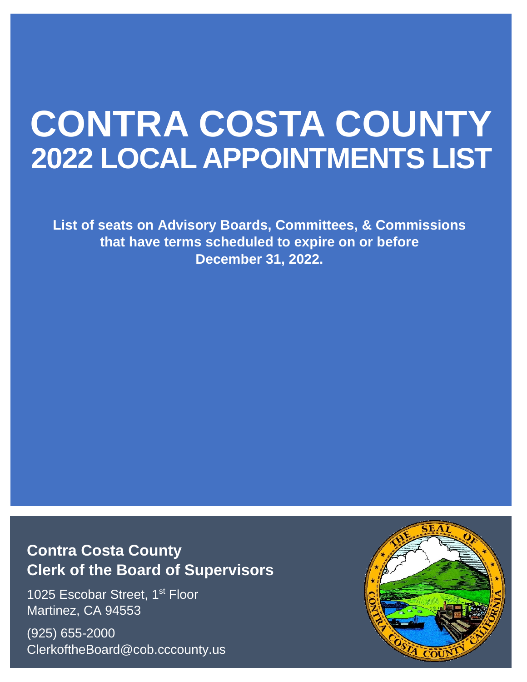# **CONTRA COSTA COUNTY 2022 LOCAL APPOINTMENTS LIST**

**List of seats on Advisory Boards, Committees, & Commissions that have terms scheduled to expire on or before December 31, 2022.**

# **Contra Costa County Clerk of the Board of Supervisors**

1025 Escobar Street, 1<sup>st</sup> Floor Martinez, CA 94553

(925) 655-2000 ClerkoftheBoard@cob.cccounty.us

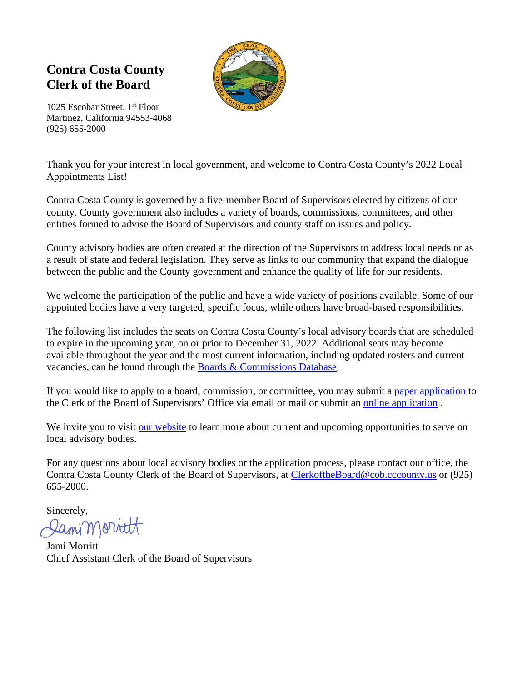# **Contra Costa County Clerk of the Board**



1025 Escobar Street, 1st Floor Martinez, California 94553-4068 (925) 655-2000

Thank you for your interest in local government, and welcome to Contra Costa County's 2022 Local Appointments List!

Contra Costa County is governed by a five-member Board of Supervisors elected by citizens of our county. County government also includes a variety of boards, commissions, committees, and other entities formed to advise the Board of Supervisors and county staff on issues and policy.

County advisory bodies are often created at the direction of the Supervisors to address local needs or as a result of state and federal legislation. They serve as links to our community that expand the dialogue between the public and the County government and enhance the quality of life for our residents.

We welcome the participation of the public and have a wide variety of positions available. Some of our appointed bodies have a very targeted, specific focus, while others have broad-based responsibilities.

The following list includes the seats on Contra Costa County's local advisory boards that are scheduled to expire in the upcoming year, on or prior to December 31, 2022. Additional seats may become available throughout the year and the most current information, including updated rosters and current vacancies, can be found through the [Boards & Commissions Database.](https://www.contracosta.ca.gov/6408/Boards-and-Commissions-Database)

If you would like to apply to a board, commission, or committee, you may submit a [paper application](https://www.contracosta.ca.gov/DocumentCenter/View/6433/Application-for-Appointive-bodies) to the Clerk of the Board of Supervisors' Office via email or mail or submit an [online application](https://contra-costa.granicus.com/boards/forms/321/apply) .

We invite you to visit [our website](https://www.contracosta.ca.gov/129/Clerk-of-the-Board) to learn more about current and upcoming opportunities to serve on local advisory bodies.

For any questions about local advisory bodies or the application process, please contact our office, the Contra Costa County Clerk of the Board of Supervisors, at [ClerkoftheBoard@cob.cccounty.us](mailto:ClerkoftheBoard@cob.cccounty.us) or (925) 655-2000.

Sincerely, Sami Morritt

Jami Morritt Chief Assistant Clerk of the Board of Supervisors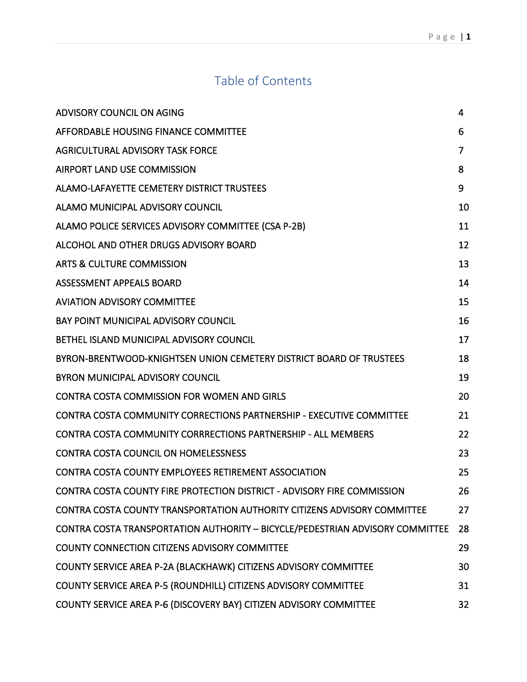# Table of Contents

<span id="page-2-0"></span>

| ADVISORY COUNCIL ON AGING                                                       | 4  |
|---------------------------------------------------------------------------------|----|
| AFFORDABLE HOUSING FINANCE COMMITTEE                                            | 6  |
| AGRICULTURAL ADVISORY TASK FORCE                                                | 7  |
| <b>AIRPORT LAND USE COMMISSION</b>                                              | 8  |
| ALAMO-LAFAYETTE CEMETERY DISTRICT TRUSTEES                                      | 9  |
| ALAMO MUNICIPAL ADVISORY COUNCIL                                                | 10 |
| ALAMO POLICE SERVICES ADVISORY COMMITTEE (CSA P-2B)                             | 11 |
| ALCOHOL AND OTHER DRUGS ADVISORY BOARD                                          | 12 |
| ARTS & CULTURE COMMISSION                                                       | 13 |
| ASSESSMENT APPEALS BOARD                                                        | 14 |
| <b>AVIATION ADVISORY COMMITTEE</b>                                              | 15 |
| <b>BAY POINT MUNICIPAL ADVISORY COUNCIL</b>                                     | 16 |
| BETHEL ISLAND MUNICIPAL ADVISORY COUNCIL                                        | 17 |
| BYRON-BRENTWOOD-KNIGHTSEN UNION CEMETERY DISTRICT BOARD OF TRUSTEES             | 18 |
| <b>BYRON MUNICIPAL ADVISORY COUNCIL</b>                                         | 19 |
| <b>CONTRA COSTA COMMISSION FOR WOMEN AND GIRLS</b>                              | 20 |
| <b>CONTRA COSTA COMMUNITY CORRECTIONS PARTNERSHIP - EXECUTIVE COMMITTEE</b>     | 21 |
| <b>CONTRA COSTA COMMUNITY CORRRECTIONS PARTNERSHIP - ALL MEMBERS</b>            | 22 |
| <b>CONTRA COSTA COUNCIL ON HOMELESSNESS</b>                                     | 23 |
| <b>CONTRA COSTA COUNTY EMPLOYEES RETIREMENT ASSOCIATION</b>                     | 25 |
| CONTRA COSTA COUNTY FIRE PROTECTION DISTRICT - ADVISORY FIRE COMMISSION         | 26 |
| <b>CONTRA COSTA COUNTY TRANSPORTATION AUTHORITY CITIZENS ADVISORY COMMITTEE</b> | 27 |
| CONTRA COSTA TRANSPORTATION AUTHORITY - BICYCLE/PEDESTRIAN ADVISORY COMMITTEE   | 28 |
| COUNTY CONNECTION CITIZENS ADVISORY COMMITTEE                                   | 29 |
| COUNTY SERVICE AREA P-2A (BLACKHAWK) CITIZENS ADVISORY COMMITTEE                | 30 |
| COUNTY SERVICE AREA P-5 (ROUNDHILL) CITIZENS ADVISORY COMMITTEE                 | 31 |
| COUNTY SERVICE AREA P-6 (DISCOVERY BAY) CITIZEN ADVISORY COMMITTEE              | 32 |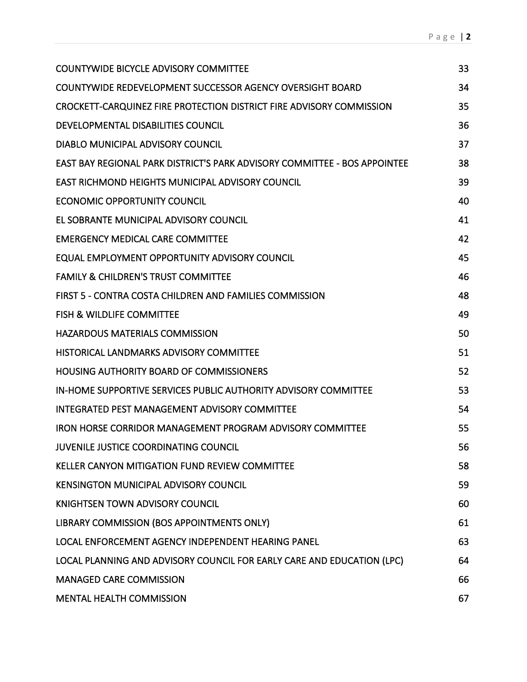| <b>COUNTYWIDE BICYCLE ADVISORY COMMITTEE</b>                              | 33 |
|---------------------------------------------------------------------------|----|
| <b>COUNTYWIDE REDEVELOPMENT SUCCESSOR AGENCY OVERSIGHT BOARD</b>          | 34 |
| CROCKETT-CARQUINEZ FIRE PROTECTION DISTRICT FIRE ADVISORY COMMISSION      | 35 |
| DEVELOPMENTAL DISABILITIES COUNCIL                                        | 36 |
| DIABLO MUNICIPAL ADVISORY COUNCIL                                         | 37 |
| EAST BAY REGIONAL PARK DISTRICT'S PARK ADVISORY COMMITTEE - BOS APPOINTEE | 38 |
| <b>EAST RICHMOND HEIGHTS MUNICIPAL ADVISORY COUNCIL</b>                   | 39 |
| <b>ECONOMIC OPPORTUNITY COUNCIL</b>                                       | 40 |
| EL SOBRANTE MUNICIPAL ADVISORY COUNCIL                                    | 41 |
| <b>EMERGENCY MEDICAL CARE COMMITTEE</b>                                   | 42 |
| EQUAL EMPLOYMENT OPPORTUNITY ADVISORY COUNCIL                             | 45 |
| <b>FAMILY &amp; CHILDREN'S TRUST COMMITTEE</b>                            | 46 |
| FIRST 5 - CONTRA COSTA CHILDREN AND FAMILIES COMMISSION                   | 48 |
| <b>FISH &amp; WILDLIFE COMMITTEE</b>                                      | 49 |
| <b>HAZARDOUS MATERIALS COMMISSION</b>                                     | 50 |
| HISTORICAL LANDMARKS ADVISORY COMMITTEE                                   | 51 |
| <b>HOUSING AUTHORITY BOARD OF COMMISSIONERS</b>                           | 52 |
| IN-HOME SUPPORTIVE SERVICES PUBLIC AUTHORITY ADVISORY COMMITTEE           | 53 |
| <b>INTEGRATED PEST MANAGEMENT ADVISORY COMMITTEE</b>                      | 54 |
| IRON HORSE CORRIDOR MANAGEMENT PROGRAM ADVISORY COMMITTEE                 | 55 |
| JUVENILE JUSTICE COORDINATING COUNCIL                                     | 56 |
| <b>KELLER CANYON MITIGATION FUND REVIEW COMMITTEE</b>                     | 58 |
| <b>KENSINGTON MUNICIPAL ADVISORY COUNCIL</b>                              | 59 |
| KNIGHTSEN TOWN ADVISORY COUNCIL                                           | 60 |
| LIBRARY COMMISSION (BOS APPOINTMENTS ONLY)                                | 61 |
| LOCAL ENFORCEMENT AGENCY INDEPENDENT HEARING PANEL                        | 63 |
| LOCAL PLANNING AND ADVISORY COUNCIL FOR EARLY CARE AND EDUCATION (LPC)    | 64 |
| <b>MANAGED CARE COMMISSION</b>                                            | 66 |
| <b>MENTAL HEALTH COMMISSION</b>                                           | 67 |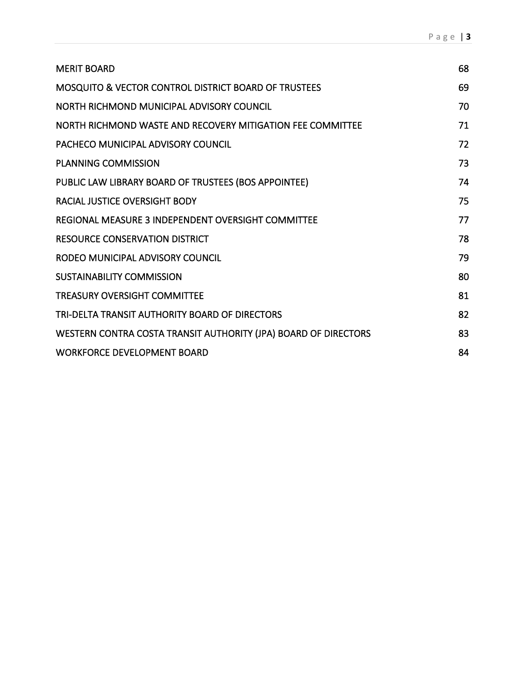| <b>MERIT BOARD</b>                                              | 68 |
|-----------------------------------------------------------------|----|
| <b>MOSQUITO &amp; VECTOR CONTROL DISTRICT BOARD OF TRUSTEES</b> | 69 |
| NORTH RICHMOND MUNICIPAL ADVISORY COUNCIL                       | 70 |
| NORTH RICHMOND WASTE AND RECOVERY MITIGATION FEE COMMITTEE      | 71 |
| PACHECO MUNICIPAL ADVISORY COUNCIL                              | 72 |
| <b>PLANNING COMMISSION</b>                                      | 73 |
| PUBLIC LAW LIBRARY BOARD OF TRUSTEES (BOS APPOINTEE)            | 74 |
| <b>RACIAL JUSTICE OVERSIGHT BODY</b>                            | 75 |
| REGIONAL MEASURE 3 INDEPENDENT OVERSIGHT COMMITTEE              | 77 |
| <b>RESOURCE CONSERVATION DISTRICT</b>                           | 78 |
| RODEO MUNICIPAL ADVISORY COUNCIL                                | 79 |
| <b>SUSTAINABILITY COMMISSION</b>                                | 80 |
| <b>TREASURY OVERSIGHT COMMITTEE</b>                             | 81 |
| TRI-DELTA TRANSIT AUTHORITY BOARD OF DIRECTORS                  | 82 |
| WESTERN CONTRA COSTA TRANSIT AUTHORITY (JPA) BOARD OF DIRECTORS | 83 |
| <b>WORKFORCE DEVELOPMENT BOARD</b>                              | 84 |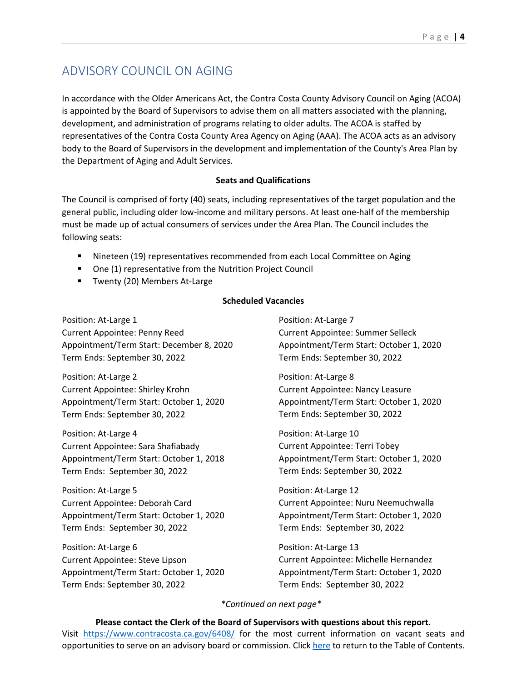# <span id="page-5-0"></span>ADVISORY COUNCIL ON AGING

In accordance with the Older Americans Act, the Contra Costa County Advisory Council on Aging (ACOA) is appointed by the Board of Supervisors to advise them on all matters associated with the planning, development, and administration of programs relating to older adults. The ACOA is staffed by representatives of the Contra Costa County Area Agency on Aging (AAA). The ACOA acts as an advisory body to the Board of Supervisors in the development and implementation of the County's Area Plan by the Department of Aging and Adult Services.

### **Seats and Qualifications**

The Council is comprised of forty (40) seats, including representatives of the target population and the general public, including older low-income and military persons. At least one-half of the membership must be made up of actual consumers of services under the Area Plan. The Council includes the following seats:

- Nineteen (19) representatives recommended from each Local Committee on Aging
- One (1) representative from the Nutrition Project Council
- **Twenty (20) Members At-Large**

### **Scheduled Vacancies**

Position: At-Large 1 Current Appointee: Penny Reed Appointment/Term Start: December 8, 2020 Term Ends: September 30, 2022

Position: At-Large 2 Current Appointee: Shirley Krohn Appointment/Term Start: October 1, 2020 Term Ends: September 30, 2022

Position: At-Large 4 Current Appointee: Sara Shafiabady Appointment/Term Start: October 1, 2018 Term Ends: September 30, 2022

Position: At-Large 5 Current Appointee: Deborah Card Appointment/Term Start: October 1, 2020 Term Ends: September 30, 2022

Position: At-Large 6 Current Appointee: Steve Lipson Appointment/Term Start: October 1, 2020 Term Ends: September 30, 2022

Position: At-Large 7 Current Appointee: Summer Selleck Appointment/Term Start: October 1, 2020 Term Ends: September 30, 2022

Position: At-Large 8 Current Appointee: Nancy Leasure Appointment/Term Start: October 1, 2020 Term Ends: September 30, 2022

Position: At-Large 10 Current Appointee: Terri Tobey Appointment/Term Start: October 1, 2020 Term Ends: September 30, 2022

Position: At-Large 12 Current Appointee: Nuru Neemuchwalla Appointment/Term Start: October 1, 2020 Term Ends: September 30, 2022

Position: At-Large 13 Current Appointee: Michelle Hernandez Appointment/Term Start: October 1, 2020 Term Ends: September 30, 2022

### *\*Continued on next page\**

**Please contact the Clerk of the Board of Supervisors with questions about this report.** Visit <https://www.contracosta.ca.gov/6408/> for the most current information on vacant seats and opportunities to serve on an advisory board or commission. Clic[k here](#page-2-0) to return to the Table of Contents.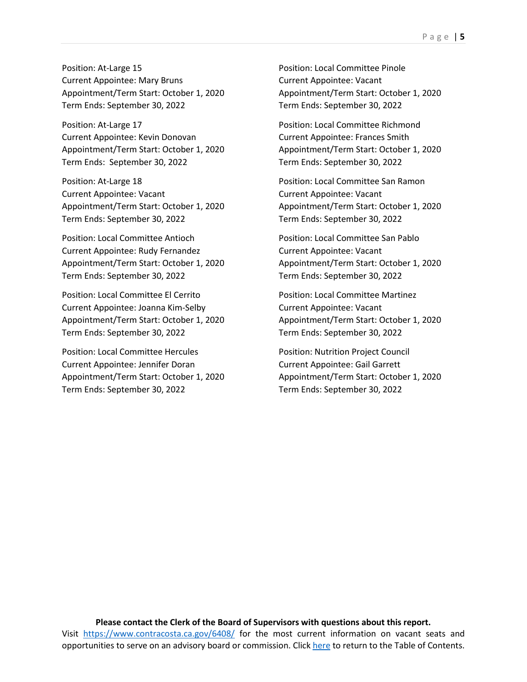Position: At-Large 15 Current Appointee: Mary Bruns Appointment/Term Start: October 1, 2020 Term Ends: September 30, 2022

Position: At-Large 17 Current Appointee: Kevin Donovan Appointment/Term Start: October 1, 2020 Term Ends: September 30, 2022

Position: At-Large 18 Current Appointee: Vacant Appointment/Term Start: October 1, 2020 Term Ends: September 30, 2022

Position: Local Committee Antioch Current Appointee: Rudy Fernandez Appointment/Term Start: October 1, 2020 Term Ends: September 30, 2022

Position: Local Committee El Cerrito Current Appointee: Joanna Kim-Selby Appointment/Term Start: October 1, 2020 Term Ends: September 30, 2022

Position: Local Committee Hercules Current Appointee: Jennifer Doran Appointment/Term Start: October 1, 2020 Term Ends: September 30, 2022

Position: Local Committee Pinole Current Appointee: Vacant Appointment/Term Start: October 1, 2020 Term Ends: September 30, 2022

Position: Local Committee Richmond Current Appointee: Frances Smith Appointment/Term Start: October 1, 2020 Term Ends: September 30, 2022

Position: Local Committee San Ramon Current Appointee: Vacant Appointment/Term Start: October 1, 2020 Term Ends: September 30, 2022

Position: Local Committee San Pablo Current Appointee: Vacant Appointment/Term Start: October 1, 2020 Term Ends: September 30, 2022

Position: Local Committee Martinez Current Appointee: Vacant Appointment/Term Start: October 1, 2020 Term Ends: September 30, 2022

Position: Nutrition Project Council Current Appointee: Gail Garrett Appointment/Term Start: October 1, 2020 Term Ends: September 30, 2022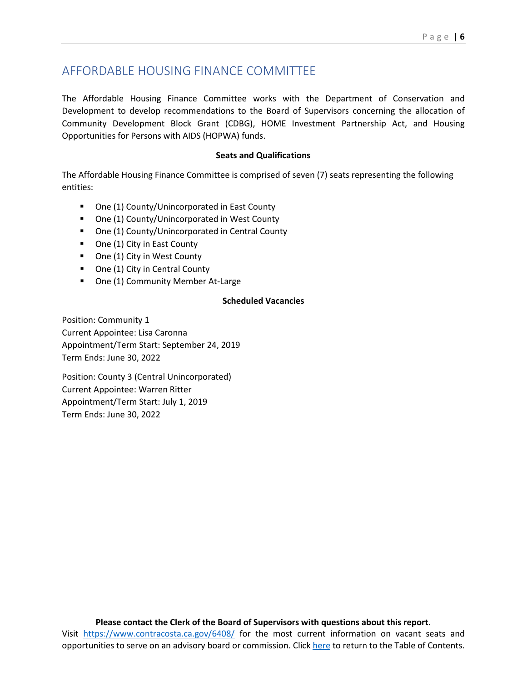# <span id="page-7-0"></span>AFFORDABLE HOUSING FINANCE COMMITTEE

The Affordable Housing Finance Committee works with the Department of Conservation and Development to develop recommendations to the Board of Supervisors concerning the allocation of Community Development Block Grant (CDBG), HOME Investment Partnership Act, and Housing Opportunities for Persons with AIDS (HOPWA) funds.

#### **Seats and Qualifications**

The Affordable Housing Finance Committee is comprised of seven (7) seats representing the following entities:

- One (1) County/Unincorporated in East County
- One (1) County/Unincorporated in West County
- One (1) County/Unincorporated in Central County
- One (1) City in East County
- One (1) City in West County
- One (1) City in Central County
- One (1) Community Member At-Large

#### **Scheduled Vacancies**

Position: Community 1 Current Appointee: Lisa Caronna Appointment/Term Start: September 24, 2019 Term Ends: June 30, 2022

Position: County 3 (Central Unincorporated) Current Appointee: Warren Ritter Appointment/Term Start: July 1, 2019 Term Ends: June 30, 2022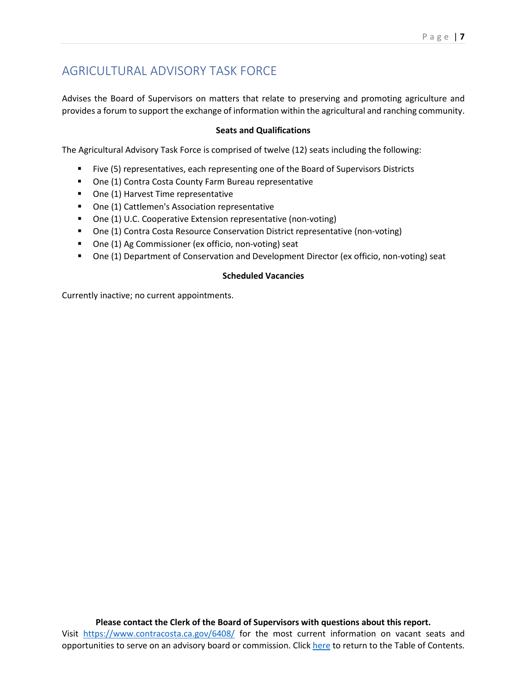# <span id="page-8-0"></span>AGRICULTURAL ADVISORY TASK FORCE

Advises the Board of Supervisors on matters that relate to preserving and promoting agriculture and provides a forum to support the exchange of information within the agricultural and ranching community.

# **Seats and Qualifications**

The Agricultural Advisory Task Force is comprised of twelve (12) seats including the following:

- Five (5) representatives, each representing one of the Board of Supervisors Districts
- One (1) Contra Costa County Farm Bureau representative
- **•** One (1) Harvest Time representative
- One (1) Cattlemen's Association representative
- One (1) U.C. Cooperative Extension representative (non-voting)
- One (1) Contra Costa Resource Conservation District representative (non-voting)
- One (1) Ag Commissioner (ex officio, non-voting) seat
- One (1) Department of Conservation and Development Director (ex officio, non-voting) seat

### **Scheduled Vacancies**

Currently inactive; no current appointments.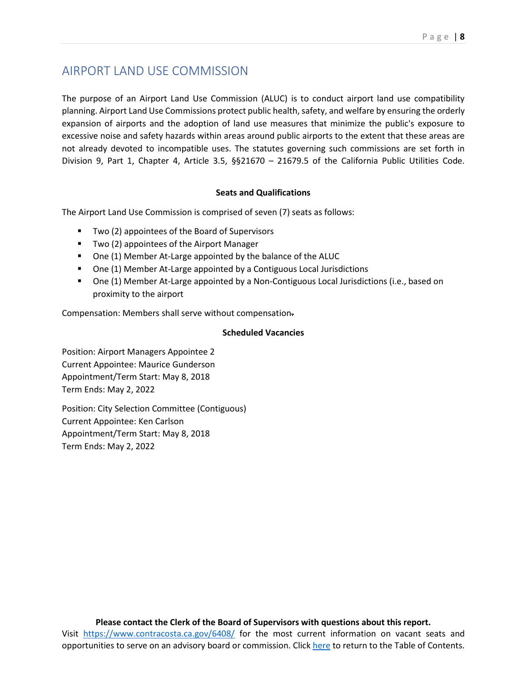# <span id="page-9-0"></span>AIRPORT LAND USE COMMISSION

The purpose of an Airport Land Use Commission (ALUC) is to conduct airport land use compatibility planning. Airport Land Use Commissions protect public health, safety, and welfare by ensuring the orderly expansion of airports and the adoption of land use measures that minimize the public's exposure to excessive noise and safety hazards within areas around public airports to the extent that these areas are not already devoted to incompatible uses. The statutes governing such commissions are set forth in Division 9, Part 1, Chapter 4, Article 3.5, §§21670 – 21679.5 of the California Public Utilities Code.

### **Seats and Qualifications**

The Airport Land Use Commission is comprised of seven (7) seats as follows:

- **Two (2) appointees of the Board of Supervisors**
- **Two (2) appointees of the Airport Manager**
- One (1) Member At-Large appointed by the balance of the ALUC
- One (1) Member At-Large appointed by a Contiguous Local Jurisdictions
- One (1) Member At-Large appointed by a Non-Contiguous Local Jurisdictions (i.e., based on proximity to the airport

Compensation: Members shall serve without compensation.

### **Scheduled Vacancies**

Position: Airport Managers Appointee 2 Current Appointee: Maurice Gunderson Appointment/Term Start: May 8, 2018 Term Ends: May 2, 2022

Position: City Selection Committee (Contiguous) Current Appointee: Ken Carlson Appointment/Term Start: May 8, 2018 Term Ends: May 2, 2022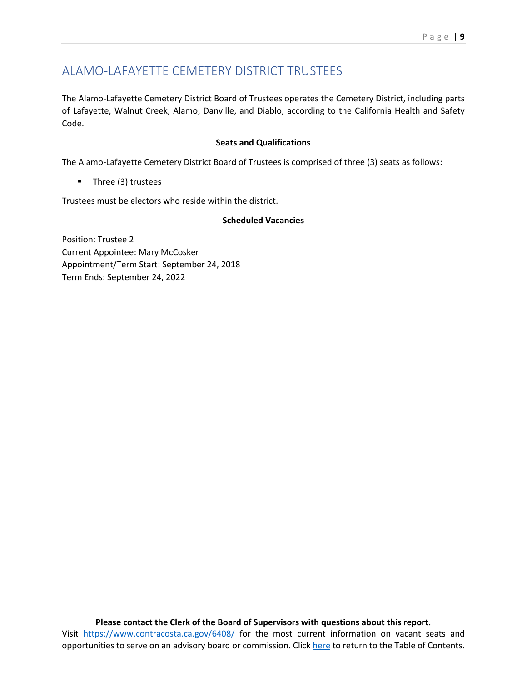# <span id="page-10-0"></span>ALAMO-LAFAYETTE CEMETERY DISTRICT TRUSTEES

The Alamo-Lafayette Cemetery District Board of Trustees operates the Cemetery District, including parts of Lafayette, Walnut Creek, Alamo, Danville, and Diablo, according to the California Health and Safety Code.

### **Seats and Qualifications**

The Alamo-Lafayette Cemetery District Board of Trustees is comprised of three (3) seats as follows:

**Three (3) trustees** 

Trustees must be electors who reside within the district.

### **Scheduled Vacancies**

Position: Trustee 2 Current Appointee: Mary McCosker Appointment/Term Start: September 24, 2018 Term Ends: September 24, 2022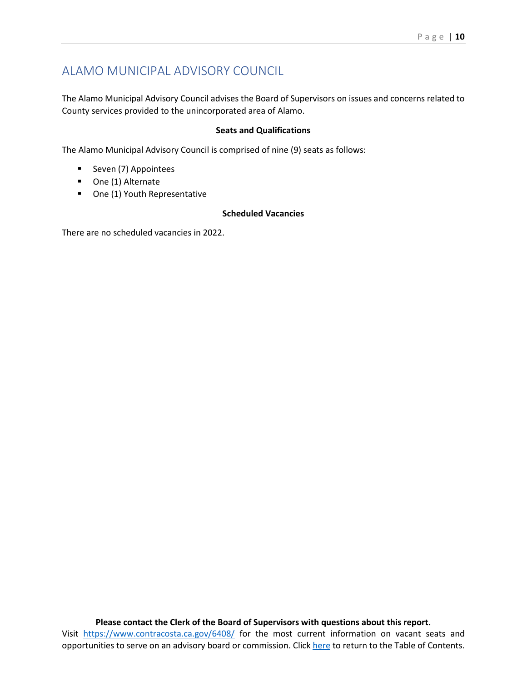# <span id="page-11-0"></span>ALAMO MUNICIPAL ADVISORY COUNCIL

The Alamo Municipal Advisory Council advises the Board of Supervisors on issues and concerns related to County services provided to the unincorporated area of Alamo.

### **Seats and Qualifications**

The Alamo Municipal Advisory Council is comprised of nine (9) seats as follows:

- Seven (7) Appointees
- **One (1) Alternate**
- One (1) Youth Representative

# **Scheduled Vacancies**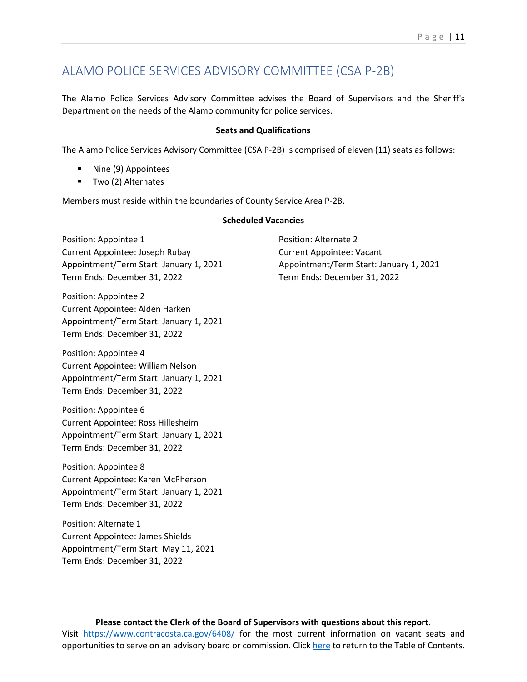# <span id="page-12-0"></span>ALAMO POLICE SERVICES ADVISORY COMMITTEE (CSA P-2B)

The Alamo Police Services Advisory Committee advises the Board of Supervisors and the Sheriff's Department on the needs of the Alamo community for police services.

#### **Seats and Qualifications**

The Alamo Police Services Advisory Committee (CSA P-2B) is comprised of eleven (11) seats as follows:

- **Nine (9) Appointees**
- Two (2) Alternates

Members must reside within the boundaries of County Service Area P-2B.

#### **Scheduled Vacancies**

Position: Appointee 1 Current Appointee: Joseph Rubay Appointment/Term Start: January 1, 2021 Term Ends: December 31, 2022

Position: Appointee 2 Current Appointee: Alden Harken Appointment/Term Start: January 1, 2021 Term Ends: December 31, 2022

Position: Appointee 4 Current Appointee: William Nelson Appointment/Term Start: January 1, 2021 Term Ends: December 31, 2022

Position: Appointee 6 Current Appointee: Ross Hillesheim Appointment/Term Start: January 1, 2021 Term Ends: December 31, 2022

Position: Appointee 8 Current Appointee: Karen McPherson Appointment/Term Start: January 1, 2021 Term Ends: December 31, 2022

Position: Alternate 1 Current Appointee: James Shields Appointment/Term Start: May 11, 2021 Term Ends: December 31, 2022

Position: Alternate 2 Current Appointee: Vacant Appointment/Term Start: January 1, 2021 Term Ends: December 31, 2022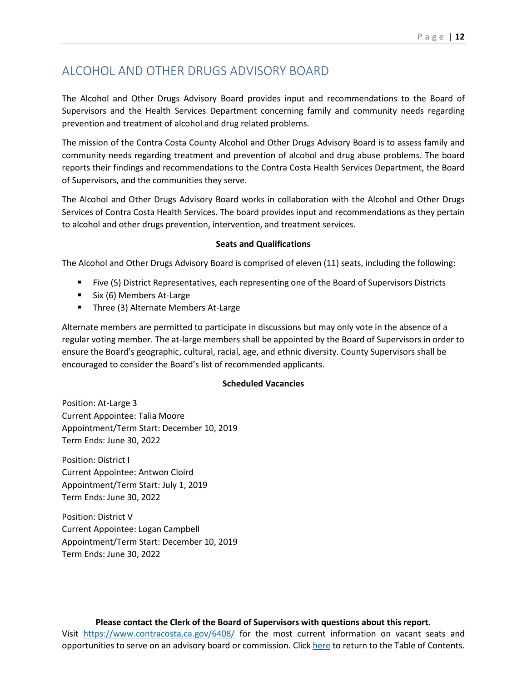# <span id="page-13-0"></span>ALCOHOL AND OTHER DRUGS ADVISORY BOARD

The Alcohol and Other Drugs Advisory Board provides input and recommendations to the Board of Supervisors and the Health Services Department concerning family and community needs regarding prevention and treatment of alcohol and drug related problems.

The mission of the Contra Costa County Alcohol and Other Drugs Advisory Board is to assess family and community needs regarding treatment and prevention of alcohol and drug abuse problems. The board reports their findings and recommendations to the Contra Costa Health Services Department, the Board of Supervisors, and the communities they serve.

The Alcohol and Other Drugs Advisory Board works in collaboration with the Alcohol and Other Drugs Services of Contra Costa Health Services. The board provides input and recommendations as they pertain to alcohol and other drugs prevention, intervention, and treatment services.

### **Seats and Qualifications**

The Alcohol and Other Drugs Advisory Board is comprised of eleven (11) seats, including the following:

- Five (5) District Representatives, each representing one of the Board of Supervisors Districts
- $\blacksquare$  Six (6) Members At-Large
- **Three (3) Alternate Members At-Large**

Alternate members are permitted to participate in discussions but may only vote in the absence of a regular voting member. The at-large members shall be appointed by the Board of Supervisors in order to ensure the Board's geographic, cultural, racial, age, and ethnic diversity. County Supervisors shall be encouraged to consider the Board's list of recommended applicants.

### **Scheduled Vacancies**

Position: At-Large 3 Current Appointee: Talia Moore Appointment/Term Start: December 10, 2019 Term Ends: June 30, 2022

Position: District I Current Appointee: Antwon Cloird Appointment/Term Start: July 1, 2019 Term Ends: June 30, 2022

Position: District V Current Appointee: Logan Campbell Appointment/Term Start: December 10, 2019 Term Ends: June 30, 2022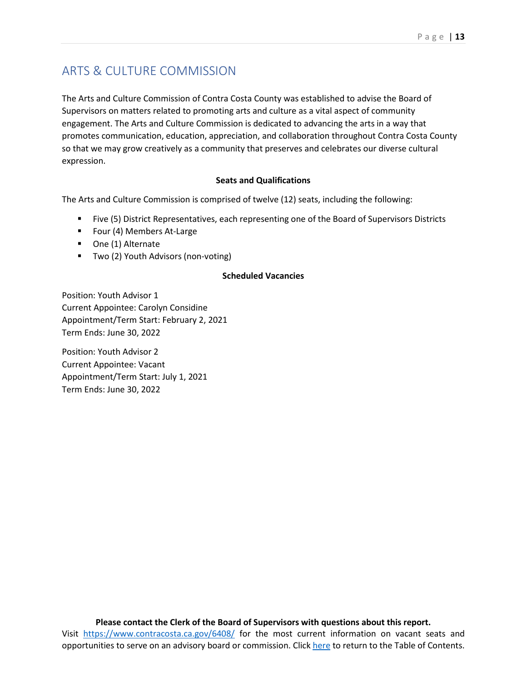# <span id="page-14-0"></span>ARTS & CULTURE COMMISSION

The Arts and Culture Commission of Contra Costa County was established to advise the Board of Supervisors on matters related to promoting arts and culture as a vital aspect of community engagement. The Arts and Culture Commission is dedicated to advancing the arts in a way that promotes communication, education, appreciation, and collaboration throughout Contra Costa County so that we may grow creatively as a community that preserves and celebrates our diverse cultural expression.

### **Seats and Qualifications**

The Arts and Culture Commission is comprised of twelve (12) seats, including the following:

- Five (5) District Representatives, each representing one of the Board of Supervisors Districts
- Four (4) Members At-Large
- One (1) Alternate
- Two (2) Youth Advisors (non-voting)

#### **Scheduled Vacancies**

Position: Youth Advisor 1 Current Appointee: Carolyn Considine Appointment/Term Start: February 2, 2021 Term Ends: June 30, 2022

Position: Youth Advisor 2 Current Appointee: Vacant Appointment/Term Start: July 1, 2021 Term Ends: June 30, 2022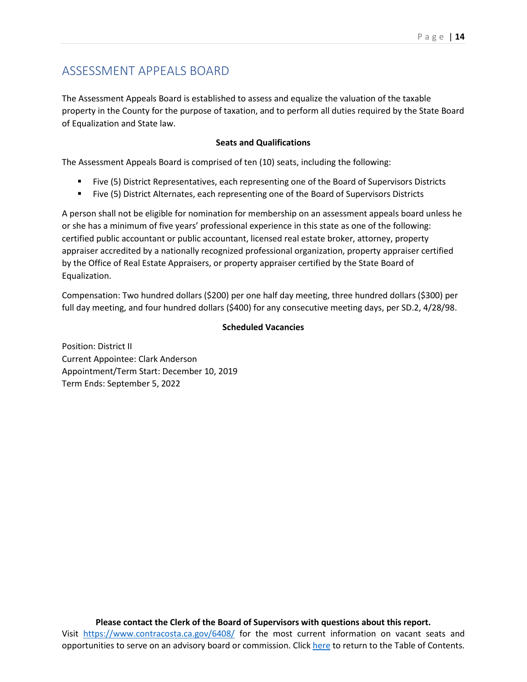# <span id="page-15-0"></span>ASSESSMENT APPEALS BOARD

The Assessment Appeals Board is established to assess and equalize the valuation of the taxable property in the County for the purpose of taxation, and to perform all duties required by the State Board of Equalization and State law.

### **Seats and Qualifications**

The Assessment Appeals Board is comprised of ten (10) seats, including the following:

- Five (5) District Representatives, each representing one of the Board of Supervisors Districts
- Five (5) District Alternates, each representing one of the Board of Supervisors Districts

A person shall not be eligible for nomination for membership on an assessment appeals board unless he or she has a minimum of five years' professional experience in this state as one of the following: certified public accountant or public accountant, licensed real estate broker, attorney, property appraiser accredited by a nationally recognized professional organization, property appraiser certified by the Office of Real Estate Appraisers, or property appraiser certified by the State Board of Equalization.

Compensation: Two hundred dollars (\$200) per one half day meeting, three hundred dollars (\$300) per full day meeting, and four hundred dollars (\$400) for any consecutive meeting days, per SD.2, 4/28/98.

# **Scheduled Vacancies**

Position: District II Current Appointee: Clark Anderson Appointment/Term Start: December 10, 2019 Term Ends: September 5, 2022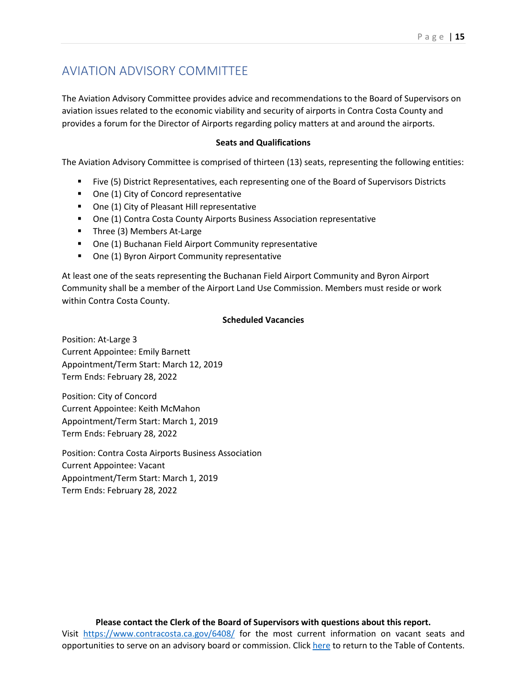# <span id="page-16-0"></span>AVIATION ADVISORY COMMITTEE

The Aviation Advisory Committee provides advice and recommendations to the Board of Supervisors on aviation issues related to the economic viability and security of airports in Contra Costa County and provides a forum for the Director of Airports regarding policy matters at and around the airports.

#### **Seats and Qualifications**

The Aviation Advisory Committee is comprised of thirteen (13) seats, representing the following entities:

- Five (5) District Representatives, each representing one of the Board of Supervisors Districts
- One (1) City of Concord representative
- One (1) City of Pleasant Hill representative
- One (1) Contra Costa County Airports Business Association representative
- Three (3) Members At-Large
- One (1) Buchanan Field Airport Community representative
- One (1) Byron Airport Community representative

At least one of the seats representing the Buchanan Field Airport Community and Byron Airport Community shall be a member of the Airport Land Use Commission. Members must reside or work within Contra Costa County.

#### **Scheduled Vacancies**

Position: At-Large 3 Current Appointee: Emily Barnett Appointment/Term Start: March 12, 2019 Term Ends: February 28, 2022

Position: City of Concord Current Appointee: Keith McMahon Appointment/Term Start: March 1, 2019 Term Ends: February 28, 2022

Position: Contra Costa Airports Business Association Current Appointee: Vacant Appointment/Term Start: March 1, 2019 Term Ends: February 28, 2022

### **Please contact the Clerk of the Board of Supervisors with questions about this report.**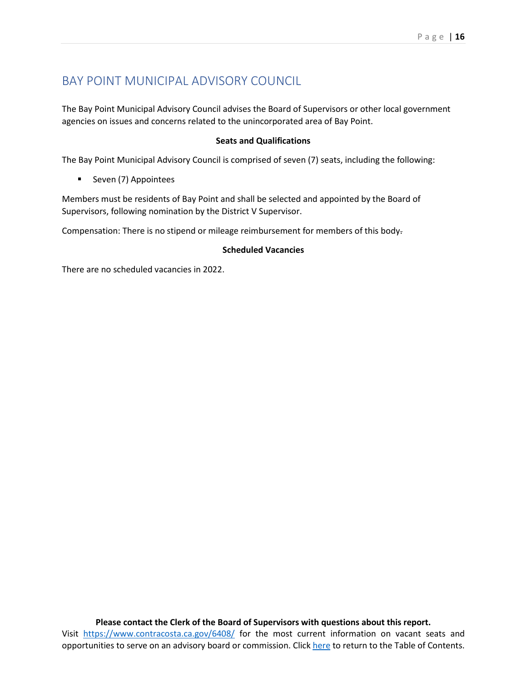# <span id="page-17-0"></span>BAY POINT MUNICIPAL ADVISORY COUNCIL

The Bay Point Municipal Advisory Council advises the Board of Supervisors or other local government agencies on issues and concerns related to the unincorporated area of Bay Point.

### **Seats and Qualifications**

The Bay Point Municipal Advisory Council is comprised of seven (7) seats, including the following:

**Seven (7) Appointees** 

Members must be residents of Bay Point and shall be selected and appointed by the Board of Supervisors, following nomination by the District V Supervisor.

Compensation: There is no stipend or mileage reimbursement for members of this body.

#### **Scheduled Vacancies**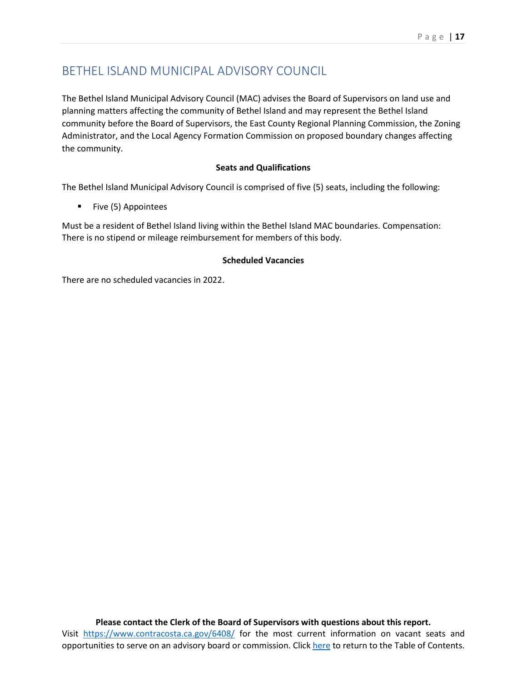# <span id="page-18-0"></span>BETHEL ISLAND MUNICIPAL ADVISORY COUNCIL

The Bethel Island Municipal Advisory Council (MAC) advises the Board of Supervisors on land use and planning matters affecting the community of Bethel Island and may represent the Bethel Island community before the Board of Supervisors, the East County Regional Planning Commission, the Zoning Administrator, and the Local Agency Formation Commission on proposed boundary changes affecting the community.

# **Seats and Qualifications**

The Bethel Island Municipal Advisory Council is comprised of five (5) seats, including the following:

■ Five (5) Appointees

Must be a resident of Bethel Island living within the Bethel Island MAC boundaries. Compensation: There is no stipend or mileage reimbursement for members of this body.

# **Scheduled Vacancies**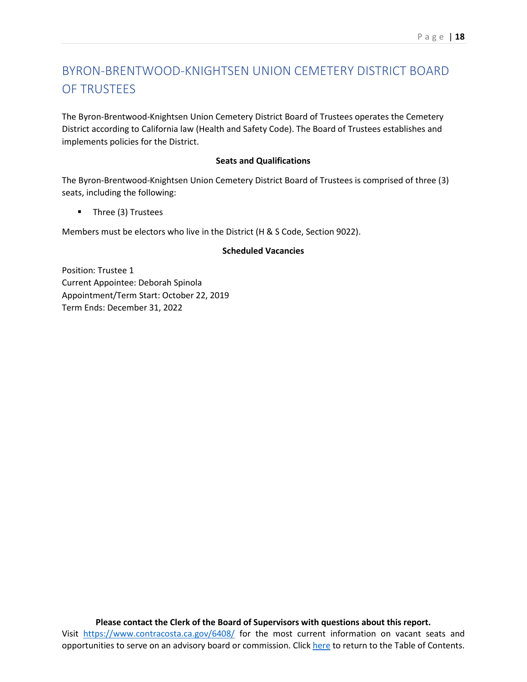# <span id="page-19-0"></span>BYRON-BRENTWOOD-KNIGHTSEN UNION CEMETERY DISTRICT BOARD OF TRUSTEES

The Byron-Brentwood-Knightsen Union Cemetery District Board of Trustees operates the Cemetery District according to California law (Health and Safety Code). The Board of Trustees establishes and implements policies for the District.

#### **Seats and Qualifications**

The Byron-Brentwood-Knightsen Union Cemetery District Board of Trustees is comprised of three (3) seats, including the following:

**Three (3) Trustees** 

Members must be electors who live in the District (H & S Code, Section 9022).

### **Scheduled Vacancies**

Position: Trustee 1 Current Appointee: Deborah Spinola Appointment/Term Start: October 22, 2019 Term Ends: December 31, 2022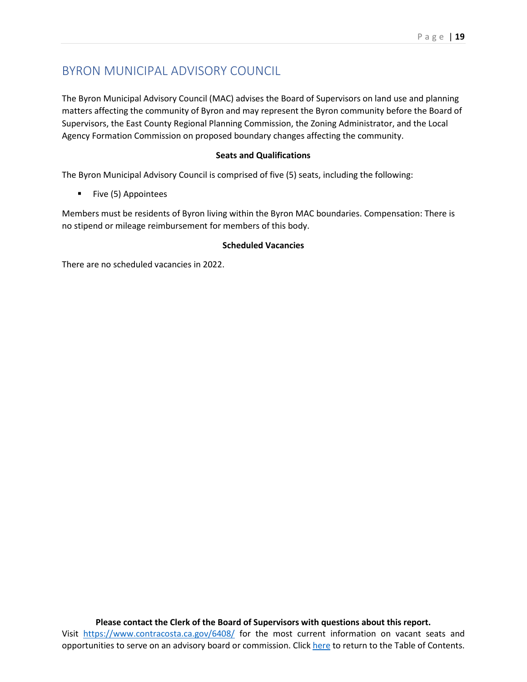# <span id="page-20-0"></span>BYRON MUNICIPAL ADVISORY COUNCIL

The Byron Municipal Advisory Council (MAC) advises the Board of Supervisors on land use and planning matters affecting the community of Byron and may represent the Byron community before the Board of Supervisors, the East County Regional Planning Commission, the Zoning Administrator, and the Local Agency Formation Commission on proposed boundary changes affecting the community.

### **Seats and Qualifications**

The Byron Municipal Advisory Council is comprised of five (5) seats, including the following:

**Five (5) Appointees** 

Members must be residents of Byron living within the Byron MAC boundaries. Compensation: There is no stipend or mileage reimbursement for members of this body.

### **Scheduled Vacancies**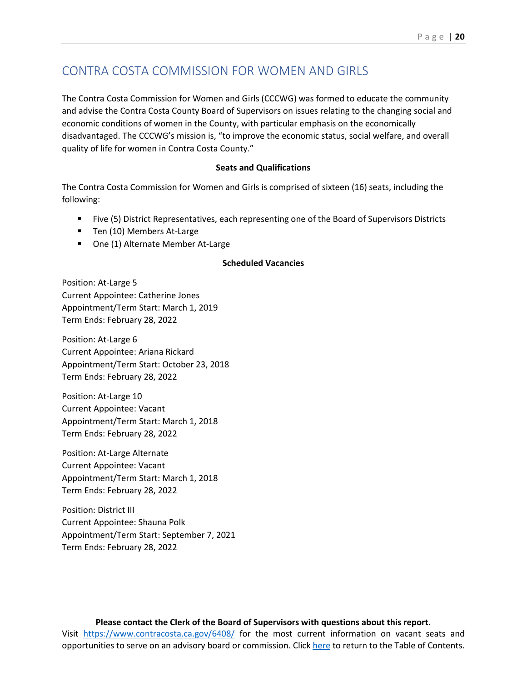# <span id="page-21-0"></span>CONTRA COSTA COMMISSION FOR WOMEN AND GIRLS

The Contra Costa Commission for Women and Girls (CCCWG) was formed to educate the community and advise the Contra Costa County Board of Supervisors on issues relating to the changing social and economic conditions of women in the County, with particular emphasis on the economically disadvantaged. The CCCWG's mission is, "to improve the economic status, social welfare, and overall quality of life for women in Contra Costa County."

#### **Seats and Qualifications**

The Contra Costa Commission for Women and Girls is comprised of sixteen (16) seats, including the following:

- Five (5) District Representatives, each representing one of the Board of Supervisors Districts
- **Ten (10) Members At-Large**
- One (1) Alternate Member At-Large

#### **Scheduled Vacancies**

Position: At-Large 5 Current Appointee: Catherine Jones Appointment/Term Start: March 1, 2019 Term Ends: February 28, 2022

Position: At-Large 6 Current Appointee: Ariana Rickard Appointment/Term Start: October 23, 2018 Term Ends: February 28, 2022

Position: At-Large 10 Current Appointee: Vacant Appointment/Term Start: March 1, 2018 Term Ends: February 28, 2022

Position: At-Large Alternate Current Appointee: Vacant Appointment/Term Start: March 1, 2018 Term Ends: February 28, 2022

Position: District III Current Appointee: Shauna Polk Appointment/Term Start: September 7, 2021 Term Ends: February 28, 2022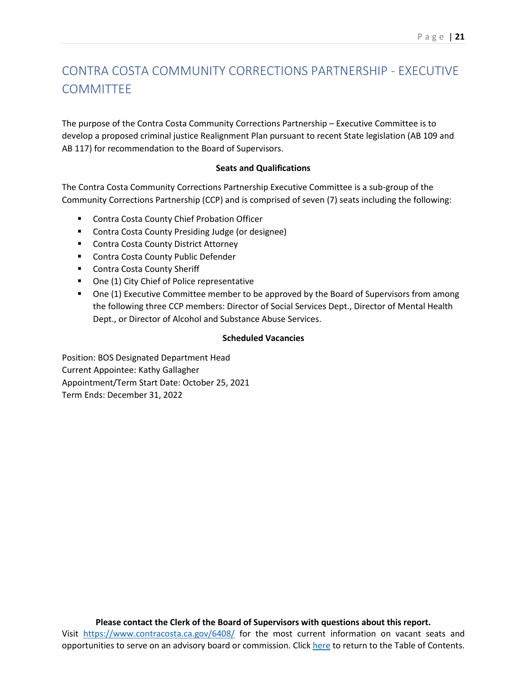# <span id="page-22-0"></span>CONTRA COSTA COMMUNITY CORRECTIONS PARTNERSHIP - EXECUTIVE **COMMITTEE**

The purpose of the Contra Costa Community Corrections Partnership – Executive Committee is to develop a proposed criminal justice Realignment Plan pursuant to recent State legislation (AB 109 and AB 117) for recommendation to the Board of Supervisors.

#### **Seats and Qualifications**

The Contra Costa Community Corrections Partnership Executive Committee is a sub-group of the Community Corrections Partnership (CCP) and is comprised of seven (7) seats including the following:

- **EXECONTE:** Contra Costa County Chief Probation Officer
- **E** Contra Costa County Presiding Judge (or designee)
- **E** Contra Costa County District Attorney
- **EXECONTE COSTS COUNTY Public Defender**
- **Contra Costa County Sheriff**
- One (1) City Chief of Police representative
- **One (1) Executive Committee member to be approved by the Board of Supervisors from among** the following three CCP members: Director of Social Services Dept., Director of Mental Health Dept., or Director of Alcohol and Substance Abuse Services.

### **Scheduled Vacancies**

Position: BOS Designated Department Head Current Appointee: Kathy Gallagher Appointment/Term Start Date: October 25, 2021 Term Ends: December 31, 2022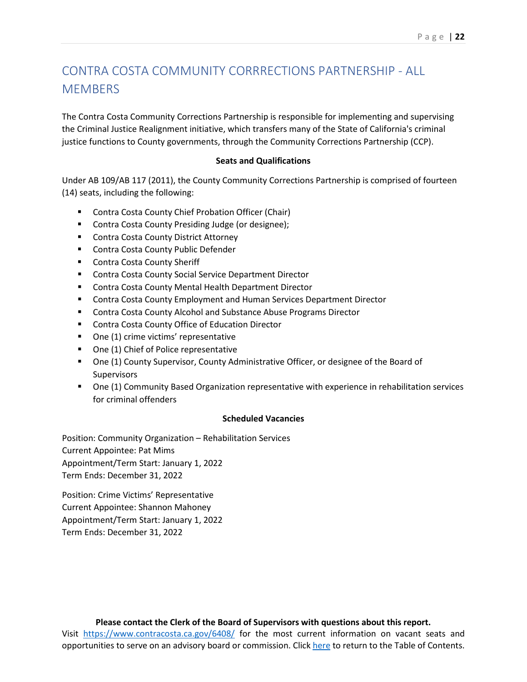# <span id="page-23-0"></span>CONTRA COSTA COMMUNITY CORRRECTIONS PARTNERSHIP - ALL **MEMBERS**

The Contra Costa Community Corrections Partnership is responsible for implementing and supervising the Criminal Justice Realignment initiative, which transfers many of the State of California's criminal justice functions to County governments, through the Community Corrections Partnership (CCP).

### **Seats and Qualifications**

Under AB 109/AB 117 (2011), the County Community Corrections Partnership is comprised of fourteen (14) seats, including the following:

- **E** Contra Costa County Chief Probation Officer (Chair)
- Contra Costa County Presiding Judge (or designee);
- **E** Contra Costa County District Attorney
- **E** Contra Costa County Public Defender
- **EXECONTE COSTA County Sheriff**
- **E** Contra Costa County Social Service Department Director
- **E** Contra Costa County Mental Health Department Director
- **EXECO** Contra Costa County Employment and Human Services Department Director
- **EXP** Contra Costa County Alcohol and Substance Abuse Programs Director
- Contra Costa County Office of Education Director
- One (1) crime victims' representative
- One (1) Chief of Police representative
- One (1) County Supervisor, County Administrative Officer, or designee of the Board of **Supervisors**
- One (1) Community Based Organization representative with experience in rehabilitation services for criminal offenders

#### **Scheduled Vacancies**

Position: Community Organization – Rehabilitation Services Current Appointee: Pat Mims Appointment/Term Start: January 1, 2022 Term Ends: December 31, 2022

Position: Crime Victims' Representative Current Appointee: Shannon Mahoney Appointment/Term Start: January 1, 2022 Term Ends: December 31, 2022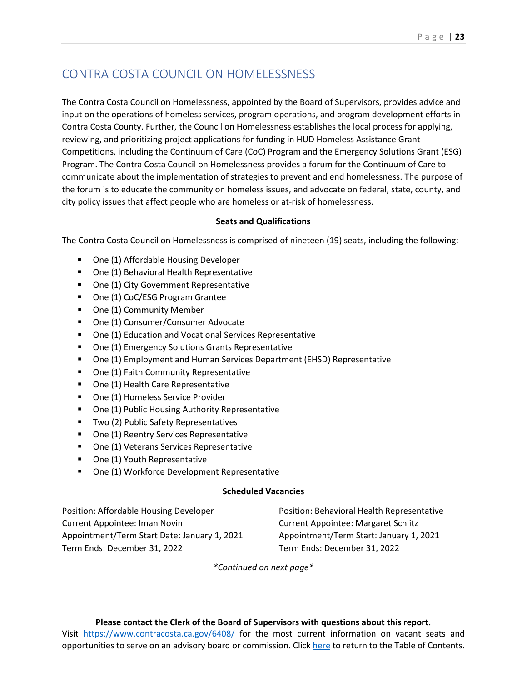# <span id="page-24-0"></span>CONTRA COSTA COUNCIL ON HOMELESSNESS

The Contra Costa Council on Homelessness, appointed by the Board of Supervisors, provides advice and input on the operations of homeless services, program operations, and program development efforts in Contra Costa County. Further, the Council on Homelessness establishes the local process for applying, reviewing, and prioritizing project applications for funding in HUD Homeless Assistance Grant Competitions, including the Continuum of Care (CoC) Program and the Emergency Solutions Grant (ESG) Program. The Contra Costa Council on Homelessness provides a forum for the Continuum of Care to communicate about the implementation of strategies to prevent and end homelessness. The purpose of the forum is to educate the community on homeless issues, and advocate on federal, state, county, and city policy issues that affect people who are homeless or at-risk of homelessness.

# **Seats and Qualifications**

The Contra Costa Council on Homelessness is comprised of nineteen (19) seats, including the following:

- **One (1) Affordable Housing Developer**
- One (1) Behavioral Health Representative
- **One (1) City Government Representative**
- **One (1) CoC/ESG Program Grantee**
- One (1) Community Member
- One (1) Consumer/Consumer Advocate
- One (1) Education and Vocational Services Representative
- One (1) Emergency Solutions Grants Representative
- One (1) Employment and Human Services Department (EHSD) Representative
- One (1) Faith Community Representative
- One (1) Health Care Representative
- **One (1) Homeless Service Provider**
- **One (1) Public Housing Authority Representative**
- **Two (2) Public Safety Representatives**
- **One (1) Reentry Services Representative**
- One (1) Veterans Services Representative
- One (1) Youth Representative
- One (1) Workforce Development Representative

#### **Scheduled Vacancies**

Position: Affordable Housing Developer Current Appointee: Iman Novin Appointment/Term Start Date: January 1, 2021 Term Ends: December 31, 2022

Position: Behavioral Health Representative Current Appointee: Margaret Schlitz Appointment/Term Start: January 1, 2021 Term Ends: December 31, 2022

*\*Continued on next page\**

### **Please contact the Clerk of the Board of Supervisors with questions about this report.**

Visit <https://www.contracosta.ca.gov/6408/> for the most current information on vacant seats and opportunities to serve on an advisory board or commission. Clic[k here](#page-2-0) to return to the Table of Contents.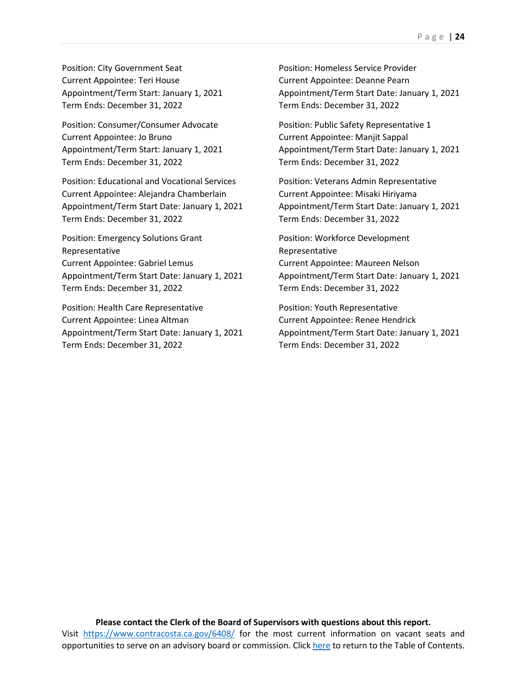Position: City Government Seat Current Appointee: Teri House Appointment/Term Start: January 1, 2021 Term Ends: December 31, 2022

Position: Consumer/Consumer Advocate Current Appointee: Jo Bruno Appointment/Term Start: January 1, 2021 Term Ends: December 31, 2022

Position: Educational and Vocational Services Current Appointee: Alejandra Chamberlain Appointment/Term Start Date: January 1, 2021 Term Ends: December 31, 2022

Position: Emergency Solutions Grant Representative Current Appointee: Gabriel Lemus Appointment/Term Start Date: January 1, 2021 Term Ends: December 31, 2022

Position: Health Care Representative Current Appointee: Linea Altman Appointment/Term Start Date: January 1, 2021 Term Ends: December 31, 2022

Position: Homeless Service Provider Current Appointee: Deanne Pearn Appointment/Term Start Date: January 1, 2021 Term Ends: December 31, 2022

Position: Public Safety Representative 1 Current Appointee: Manjit Sappal Appointment/Term Start Date: January 1, 2021 Term Ends: December 31, 2022

Position: Veterans Admin Representative Current Appointee: Misaki Hiriyama Appointment/Term Start Date: January 1, 2021 Term Ends: December 31, 2022

Position: Workforce Development Representative Current Appointee: Maureen Nelson Appointment/Term Start Date: January 1, 2021 Term Ends: December 31, 2022

Position: Youth Representative Current Appointee: Renee Hendrick Appointment/Term Start Date: January 1, 2021 Term Ends: December 31, 2022

**Please contact the Clerk of the Board of Supervisors with questions about this report.** Visit <https://www.contracosta.ca.gov/6408/> for the most current information on vacant seats and opportunities to serve on an advisory board or commission. Clic[k here](#page-2-0) to return to the Table of Contents.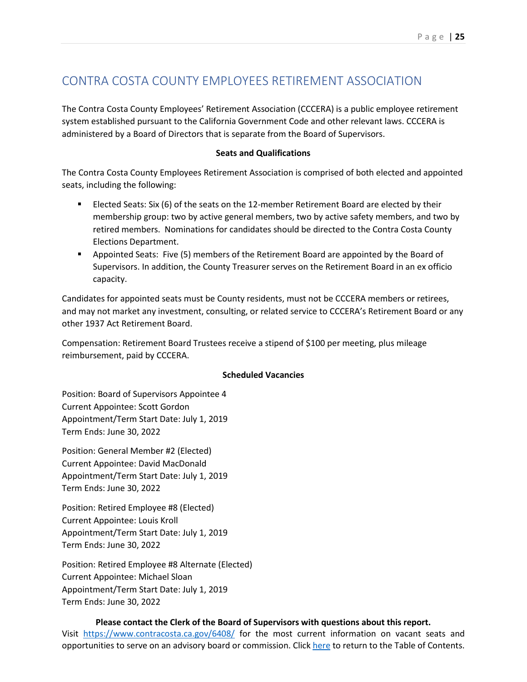# <span id="page-26-0"></span>CONTRA COSTA COUNTY EMPLOYEES RETIREMENT ASSOCIATION

The Contra Costa County Employees' Retirement Association (CCCERA) is a public employee retirement system established pursuant to the California Government Code and other relevant laws. CCCERA is administered by a Board of Directors that is separate from the Board of Supervisors.

### **Seats and Qualifications**

The Contra Costa County Employees Retirement Association is comprised of both elected and appointed seats, including the following:

- Elected Seats: Six (6) of the seats on the 12-member Retirement Board are elected by their membership group: two by active general members, two by active safety members, and two by retired members. Nominations for candidates should be directed to the Contra Costa County Elections Department.
- **Appointed Seats: Five (5) members of the Retirement Board are appointed by the Board of** Supervisors. In addition, the County Treasurer serves on the Retirement Board in an ex officio capacity.

Candidates for appointed seats must be County residents, must not be CCCERA members or retirees, and may not market any investment, consulting, or related service to CCCERA's Retirement Board or any other 1937 Act Retirement Board.

Compensation: Retirement Board Trustees receive a stipend of \$100 per meeting, plus mileage reimbursement, paid by CCCERA.

### **Scheduled Vacancies**

Position: Board of Supervisors Appointee 4 Current Appointee: Scott Gordon Appointment/Term Start Date: July 1, 2019 Term Ends: June 30, 2022

Position: General Member #2 (Elected) Current Appointee: David MacDonald Appointment/Term Start Date: July 1, 2019 Term Ends: June 30, 2022

Position: Retired Employee #8 (Elected) Current Appointee: Louis Kroll Appointment/Term Start Date: July 1, 2019 Term Ends: June 30, 2022

Position: Retired Employee #8 Alternate (Elected) Current Appointee: Michael Sloan Appointment/Term Start Date: July 1, 2019 Term Ends: June 30, 2022

# **Please contact the Clerk of the Board of Supervisors with questions about this report.**

Visit <https://www.contracosta.ca.gov/6408/> for the most current information on vacant seats and opportunities to serve on an advisory board or commission. Clic[k here](#page-2-0) to return to the Table of Contents.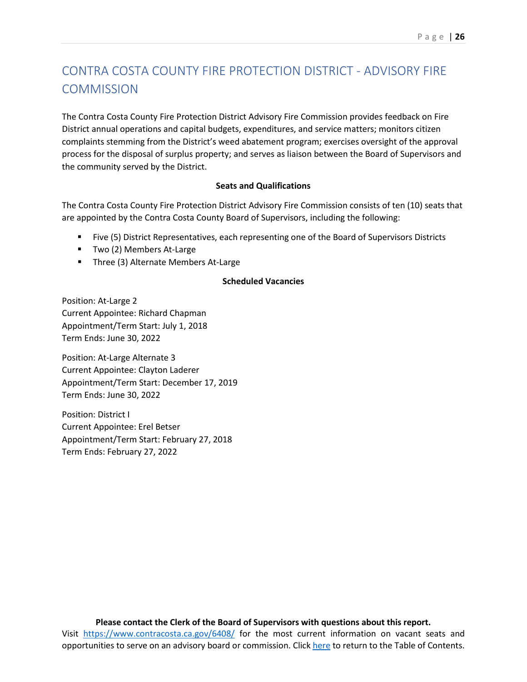# <span id="page-27-0"></span>CONTRA COSTA COUNTY FIRE PROTECTION DISTRICT - ADVISORY FIRE **COMMISSION**

The Contra Costa County Fire Protection District Advisory Fire Commission provides feedback on Fire District annual operations and capital budgets, expenditures, and service matters; monitors citizen complaints stemming from the District's weed abatement program; exercises oversight of the approval process for the disposal of surplus property; and serves as liaison between the Board of Supervisors and the community served by the District.

#### **Seats and Qualifications**

The Contra Costa County Fire Protection District Advisory Fire Commission consists of ten (10) seats that are appointed by the Contra Costa County Board of Supervisors, including the following:

- Five (5) District Representatives, each representing one of the Board of Supervisors Districts
- Two (2) Members At-Large
- **Three (3) Alternate Members At-Large**

#### **Scheduled Vacancies**

Position: At-Large 2 Current Appointee: Richard Chapman Appointment/Term Start: July 1, 2018 Term Ends: June 30, 2022

Position: At-Large Alternate 3 Current Appointee: Clayton Laderer Appointment/Term Start: December 17, 2019 Term Ends: June 30, 2022

Position: District I Current Appointee: Erel Betser Appointment/Term Start: February 27, 2018 Term Ends: February 27, 2022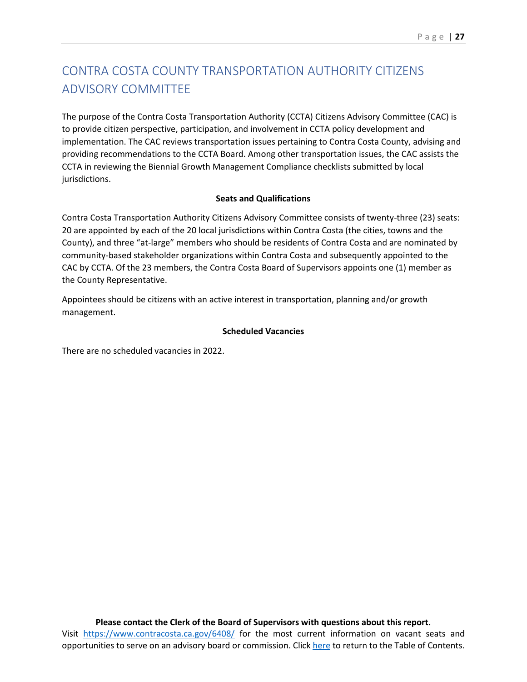# <span id="page-28-0"></span>CONTRA COSTA COUNTY TRANSPORTATION AUTHORITY CITIZENS ADVISORY COMMITTEE

The purpose of the Contra Costa Transportation Authority (CCTA) Citizens Advisory Committee (CAC) is to provide citizen perspective, participation, and involvement in CCTA policy development and implementation. The CAC reviews transportation issues pertaining to Contra Costa County, advising and providing recommendations to the CCTA Board. Among other transportation issues, the CAC assists the CCTA in reviewing the Biennial Growth Management Compliance checklists submitted by local jurisdictions.

### **Seats and Qualifications**

Contra Costa Transportation Authority Citizens Advisory Committee consists of twenty-three (23) seats: 20 are appointed by each of the 20 local jurisdictions within Contra Costa (the cities, towns and the County), and three "at-large" members who should be residents of Contra Costa and are nominated by community-based stakeholder organizations within Contra Costa and subsequently appointed to the CAC by CCTA. Of the 23 members, the Contra Costa Board of Supervisors appoints one (1) member as the County Representative.

Appointees should be citizens with an active interest in transportation, planning and/or growth management.

### **Scheduled Vacancies**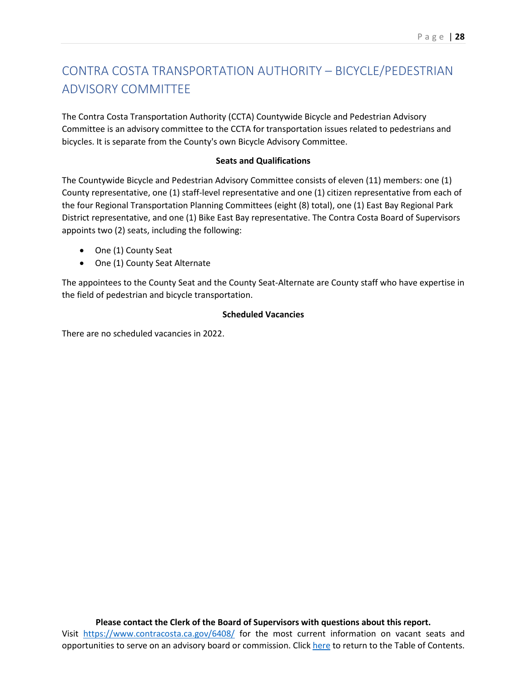# <span id="page-29-0"></span>CONTRA COSTA TRANSPORTATION AUTHORITY – BICYCLE/PEDESTRIAN ADVISORY COMMITTEE

The Contra Costa Transportation Authority (CCTA) Countywide Bicycle and Pedestrian Advisory Committee is an advisory committee to the CCTA for transportation issues related to pedestrians and bicycles. It is separate from the County's own Bicycle Advisory Committee.

#### **Seats and Qualifications**

The Countywide Bicycle and Pedestrian Advisory Committee consists of eleven (11) members: one (1) County representative, one (1) staff-level representative and one (1) citizen representative from each of the four Regional Transportation Planning Committees (eight (8) total), one (1) East Bay Regional Park District representative, and one (1) Bike East Bay representative. The Contra Costa Board of Supervisors appoints two (2) seats, including the following:

- One (1) County Seat
- One (1) County Seat Alternate

The appointees to the County Seat and the County Seat-Alternate are County staff who have expertise in the field of pedestrian and bicycle transportation.

### **Scheduled Vacancies**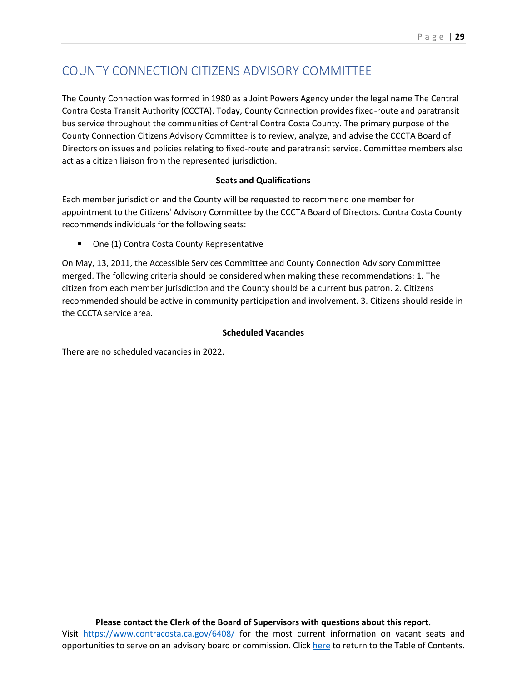# <span id="page-30-0"></span>COUNTY CONNECTION CITIZENS ADVISORY COMMITTEE

The County Connection was formed in 1980 as a Joint Powers Agency under the legal name The Central Contra Costa Transit Authority (CCCTA). Today, County Connection provides fixed-route and paratransit bus service throughout the communities of Central Contra Costa County. The primary purpose of the County Connection Citizens Advisory Committee is to review, analyze, and advise the CCCTA Board of Directors on issues and policies relating to fixed-route and paratransit service. Committee members also act as a citizen liaison from the represented jurisdiction.

### **Seats and Qualifications**

Each member jurisdiction and the County will be requested to recommend one member for appointment to the Citizens' Advisory Committee by the CCCTA Board of Directors. Contra Costa County recommends individuals for the following seats:

■ One (1) Contra Costa County Representative

On May, 13, 2011, the Accessible Services Committee and County Connection Advisory Committee merged. The following criteria should be considered when making these recommendations: 1. The citizen from each member jurisdiction and the County should be a current bus patron. 2. Citizens recommended should be active in community participation and involvement. 3. Citizens should reside in the CCCTA service area.

### **Scheduled Vacancies**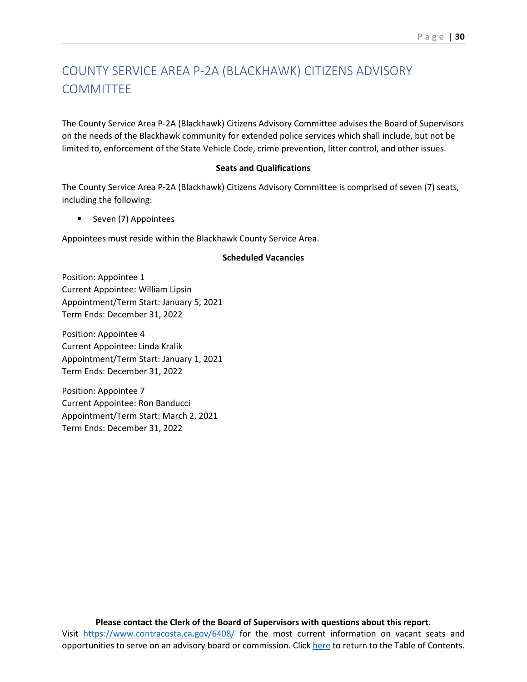# <span id="page-31-0"></span>COUNTY SERVICE AREA P-2A (BLACKHAWK) CITIZENS ADVISORY **COMMITTEE**

The County Service Area P-2A (Blackhawk) Citizens Advisory Committee advises the Board of Supervisors on the needs of the Blackhawk community for extended police services which shall include, but not be limited to, enforcement of the State Vehicle Code, crime prevention, litter control, and other issues.

### **Seats and Qualifications**

The County Service Area P-2A (Blackhawk) Citizens Advisory Committee is comprised of seven (7) seats, including the following:

Seven (7) Appointees

Appointees must reside within the Blackhawk County Service Area.

#### **Scheduled Vacancies**

Position: Appointee 1 Current Appointee: William Lipsin Appointment/Term Start: January 5, 2021 Term Ends: December 31, 2022

Position: Appointee 4 Current Appointee: Linda Kralik Appointment/Term Start: January 1, 2021 Term Ends: December 31, 2022

Position: Appointee 7 Current Appointee: Ron Banducci Appointment/Term Start: March 2, 2021 Term Ends: December 31, 2022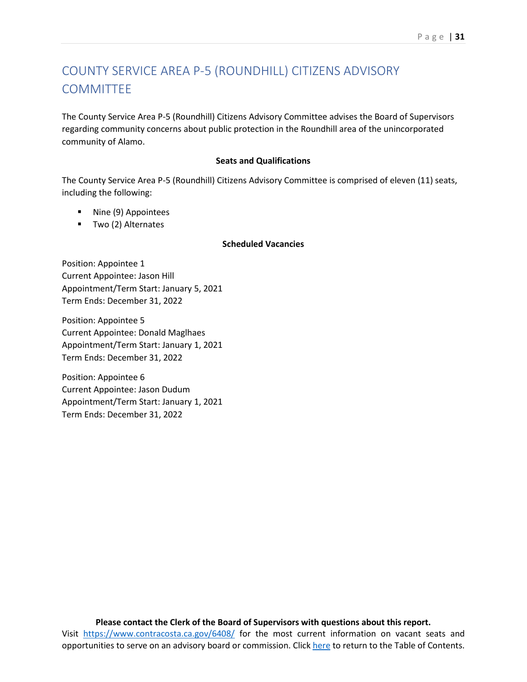# <span id="page-32-0"></span>COUNTY SERVICE AREA P-5 (ROUNDHILL) CITIZENS ADVISORY **COMMITTEE**

The County Service Area P-5 (Roundhill) Citizens Advisory Committee advises the Board of Supervisors regarding community concerns about public protection in the Roundhill area of the unincorporated community of Alamo.

#### **Seats and Qualifications**

The County Service Area P-5 (Roundhill) Citizens Advisory Committee is comprised of eleven (11) seats, including the following:

- Nine (9) Appointees
- **Two (2) Alternates**

### **Scheduled Vacancies**

Position: Appointee 1 Current Appointee: Jason Hill Appointment/Term Start: January 5, 2021 Term Ends: December 31, 2022

Position: Appointee 5 Current Appointee: Donald Maglhaes Appointment/Term Start: January 1, 2021 Term Ends: December 31, 2022

Position: Appointee 6 Current Appointee: Jason Dudum Appointment/Term Start: January 1, 2021 Term Ends: December 31, 2022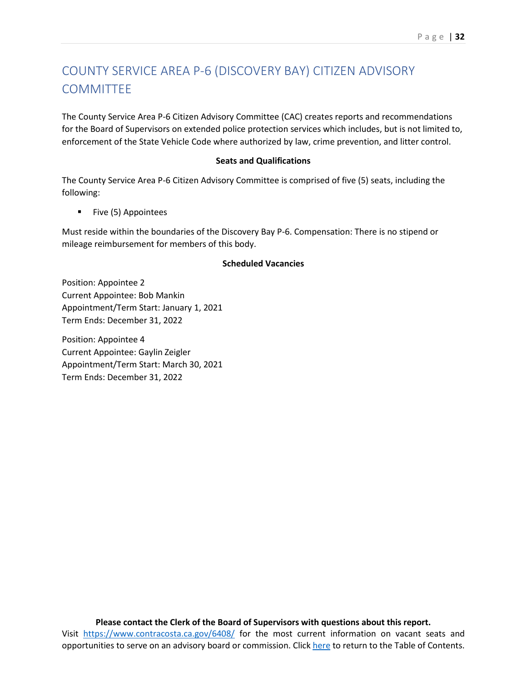# <span id="page-33-0"></span>COUNTY SERVICE AREA P-6 (DISCOVERY BAY) CITIZEN ADVISORY **COMMITTEE**

The County Service Area P-6 Citizen Advisory Committee (CAC) creates reports and recommendations for the Board of Supervisors on extended police protection services which includes, but is not limited to, enforcement of the State Vehicle Code where authorized by law, crime prevention, and litter control.

#### **Seats and Qualifications**

The County Service Area P-6 Citizen Advisory Committee is comprised of five (5) seats, including the following:

**Five (5) Appointees** 

Must reside within the boundaries of the Discovery Bay P-6. Compensation: There is no stipend or mileage reimbursement for members of this body.

#### **Scheduled Vacancies**

Position: Appointee 2 Current Appointee: Bob Mankin Appointment/Term Start: January 1, 2021 Term Ends: December 31, 2022

Position: Appointee 4 Current Appointee: Gaylin Zeigler Appointment/Term Start: March 30, 2021 Term Ends: December 31, 2022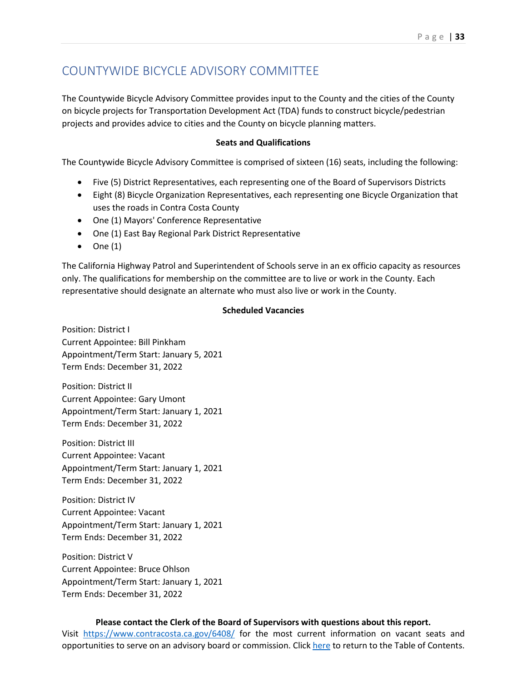# <span id="page-34-0"></span>COUNTYWIDE BICYCLE ADVISORY COMMITTEE

The Countywide Bicycle Advisory Committee provides input to the County and the cities of the County on bicycle projects for Transportation Development Act (TDA) funds to construct bicycle/pedestrian projects and provides advice to cities and the County on bicycle planning matters.

#### **Seats and Qualifications**

The Countywide Bicycle Advisory Committee is comprised of sixteen (16) seats, including the following:

- Five (5) District Representatives, each representing one of the Board of Supervisors Districts
- Eight (8) Bicycle Organization Representatives, each representing one Bicycle Organization that uses the roads in Contra Costa County
- One (1) Mayors' Conference Representative
- One (1) East Bay Regional Park District Representative
- $\bullet$  One (1)

The California Highway Patrol and Superintendent of Schools serve in an ex officio capacity as resources only. The qualifications for membership on the committee are to live or work in the County. Each representative should designate an alternate who must also live or work in the County.

#### **Scheduled Vacancies**

Position: District I Current Appointee: Bill Pinkham Appointment/Term Start: January 5, 2021 Term Ends: December 31, 2022

Position: District II Current Appointee: Gary Umont Appointment/Term Start: January 1, 2021 Term Ends: December 31, 2022

Position: District III Current Appointee: Vacant Appointment/Term Start: January 1, 2021 Term Ends: December 31, 2022

Position: District IV Current Appointee: Vacant Appointment/Term Start: January 1, 2021 Term Ends: December 31, 2022

Position: District V Current Appointee: Bruce Ohlson Appointment/Term Start: January 1, 2021 Term Ends: December 31, 2022

### **Please contact the Clerk of the Board of Supervisors with questions about this report.**

Visit <https://www.contracosta.ca.gov/6408/> for the most current information on vacant seats and opportunities to serve on an advisory board or commission. Clic[k here](#page-2-0) to return to the Table of Contents.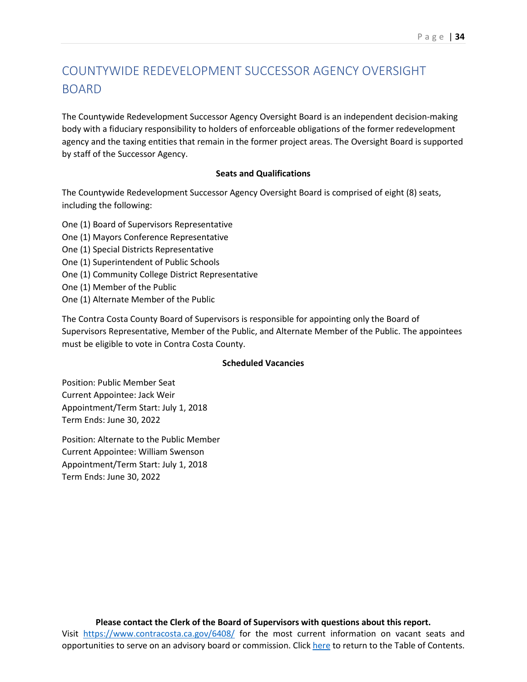# <span id="page-35-0"></span>COUNTYWIDE REDEVELOPMENT SUCCESSOR AGENCY OVERSIGHT **BOARD**

The Countywide Redevelopment Successor Agency Oversight Board is an independent decision-making body with a fiduciary responsibility to holders of enforceable obligations of the former redevelopment agency and the taxing entities that remain in the former project areas. The Oversight Board is supported by staff of the Successor Agency.

### **Seats and Qualifications**

The Countywide Redevelopment Successor Agency Oversight Board is comprised of eight (8) seats, including the following:

- One (1) Board of Supervisors Representative
- One (1) Mayors Conference Representative
- One (1) Special Districts Representative
- One (1) Superintendent of Public Schools
- One (1) Community College District Representative
- One (1) Member of the Public
- One (1) Alternate Member of the Public

The Contra Costa County Board of Supervisors is responsible for appointing only the Board of Supervisors Representative, Member of the Public, and Alternate Member of the Public. The appointees must be eligible to vote in Contra Costa County.

#### **Scheduled Vacancies**

Position: Public Member Seat Current Appointee: Jack Weir Appointment/Term Start: July 1, 2018 Term Ends: June 30, 2022

Position: Alternate to the Public Member Current Appointee: William Swenson Appointment/Term Start: July 1, 2018 Term Ends: June 30, 2022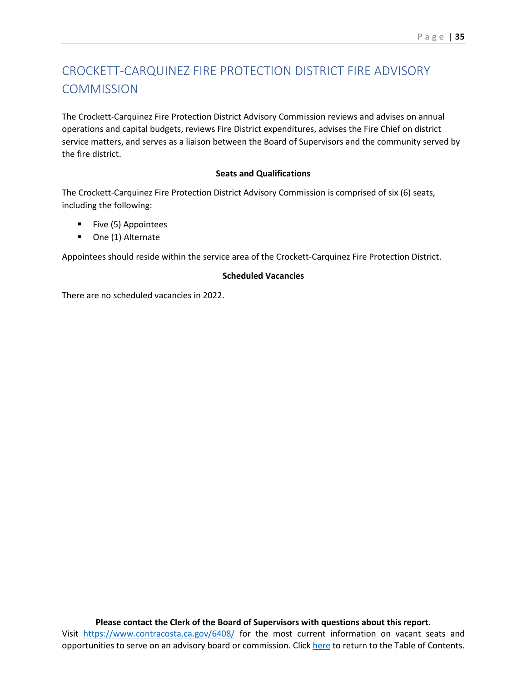# CROCKETT-CARQUINEZ FIRE PROTECTION DISTRICT FIRE ADVISORY **COMMISSION**

The Crockett-Carquinez Fire Protection District Advisory Commission reviews and advises on annual operations and capital budgets, reviews Fire District expenditures, advises the Fire Chief on district service matters, and serves as a liaison between the Board of Supervisors and the community served by the fire district.

#### **Seats and Qualifications**

The Crockett-Carquinez Fire Protection District Advisory Commission is comprised of six (6) seats, including the following:

- **Five (5) Appointees**
- One (1) Alternate

Appointees should reside within the service area of the Crockett-Carquinez Fire Protection District.

#### **Scheduled Vacancies**

There are no scheduled vacancies in 2022.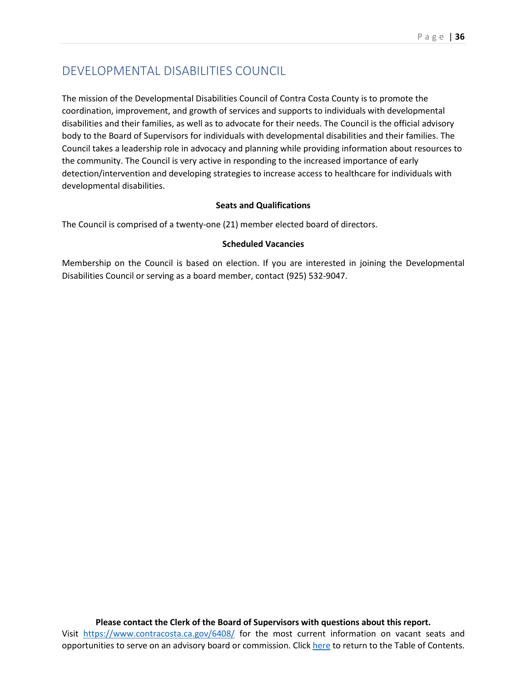## DEVELOPMENTAL DISABILITIES COUNCIL

The mission of the Developmental Disabilities Council of Contra Costa County is to promote the coordination, improvement, and growth of services and supports to individuals with developmental disabilities and their families, as well as to advocate for their needs. The Council is the official advisory body to the Board of Supervisors for individuals with developmental disabilities and their families. The Council takes a leadership role in advocacy and planning while providing information about resources to the community. The Council is very active in responding to the increased importance of early detection/intervention and developing strategies to increase access to healthcare for individuals with developmental disabilities.

#### **Seats and Qualifications**

The Council is comprised of a twenty-one (21) member elected board of directors.

#### **Scheduled Vacancies**

Membership on the Council is based on election. If you are interested in joining the Developmental Disabilities Council or serving as a board member, contact (925) 532-9047.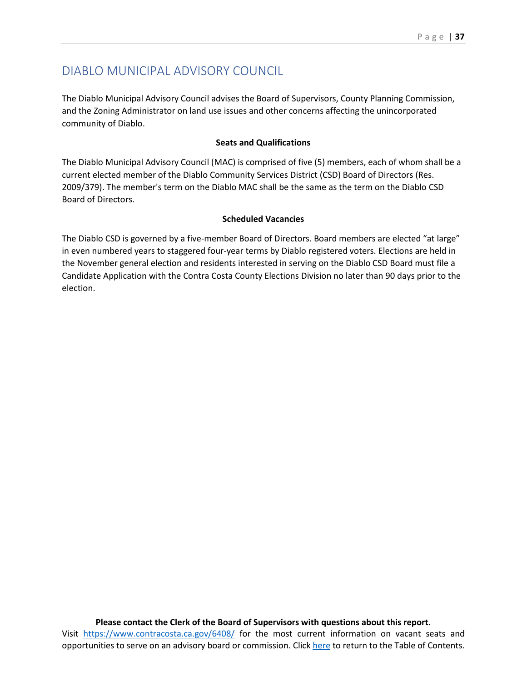## DIABLO MUNICIPAL ADVISORY COUNCIL

The Diablo Municipal Advisory Council advises the Board of Supervisors, County Planning Commission, and the Zoning Administrator on land use issues and other concerns affecting the unincorporated community of Diablo.

#### **Seats and Qualifications**

The Diablo Municipal Advisory Council (MAC) is comprised of five (5) members, each of whom shall be a current elected member of the Diablo Community Services District (CSD) Board of Directors (Res. 2009/379). The member's term on the Diablo MAC shall be the same as the term on the Diablo CSD Board of Directors.

#### **Scheduled Vacancies**

The Diablo CSD is governed by a five-member Board of Directors. Board members are elected "at large" in even numbered years to staggered four-year terms by Diablo registered voters. Elections are held in the November general election and residents interested in serving on the Diablo CSD Board must file a Candidate Application with the Contra Costa County Elections Division no later than 90 days prior to the election.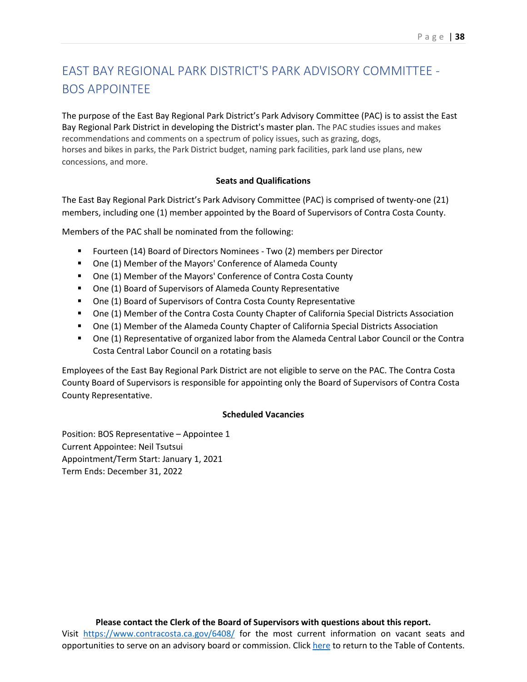## EAST BAY REGIONAL PARK DISTRICT'S PARK ADVISORY COMMITTEE - BOS APPOINTEE

The purpose of the East Bay Regional Park District's Park Advisory Committee (PAC) is to assist the East Bay Regional Park District in developing the District's master plan. The PAC studies issues and makes recommendations and comments on a spectrum of policy issues, such as grazing, dogs, horses and bikes in parks, the Park District budget, naming park facilities, park land use plans, new concessions, and more.

#### **Seats and Qualifications**

The East Bay Regional Park District's Park Advisory Committee (PAC) is comprised of twenty-one (21) members, including one (1) member appointed by the Board of Supervisors of Contra Costa County.

Members of the PAC shall be nominated from the following:

- Fourteen (14) Board of Directors Nominees Two (2) members per Director
- One (1) Member of the Mayors' Conference of Alameda County
- One (1) Member of the Mayors' Conference of Contra Costa County
- One (1) Board of Supervisors of Alameda County Representative
- One (1) Board of Supervisors of Contra Costa County Representative
- One (1) Member of the Contra Costa County Chapter of California Special Districts Association
- One (1) Member of the Alameda County Chapter of California Special Districts Association
- One (1) Representative of organized labor from the Alameda Central Labor Council or the Contra Costa Central Labor Council on a rotating basis

Employees of the East Bay Regional Park District are not eligible to serve on the PAC. The Contra Costa County Board of Supervisors is responsible for appointing only the Board of Supervisors of Contra Costa County Representative.

#### **Scheduled Vacancies**

Position: BOS Representative – Appointee 1 Current Appointee: Neil Tsutsui Appointment/Term Start: January 1, 2021 Term Ends: December 31, 2022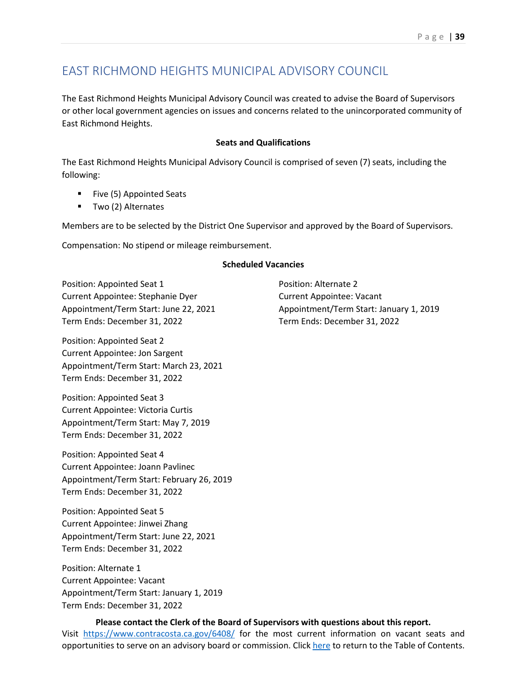## EAST RICHMOND HEIGHTS MUNICIPAL ADVISORY COUNCIL

The East Richmond Heights Municipal Advisory Council was created to advise the Board of Supervisors or other local government agencies on issues and concerns related to the unincorporated community of East Richmond Heights.

#### **Seats and Qualifications**

The East Richmond Heights Municipal Advisory Council is comprised of seven (7) seats, including the following:

- **Five (5) Appointed Seats**
- Two (2) Alternates

Members are to be selected by the District One Supervisor and approved by the Board of Supervisors.

Compensation: No stipend or mileage reimbursement.

#### **Scheduled Vacancies**

Position: Appointed Seat 1 Current Appointee: Stephanie Dyer Appointment/Term Start: June 22, 2021 Term Ends: December 31, 2022

Position: Appointed Seat 2 Current Appointee: Jon Sargent Appointment/Term Start: March 23, 2021 Term Ends: December 31, 2022

Position: Appointed Seat 3 Current Appointee: Victoria Curtis Appointment/Term Start: May 7, 2019 Term Ends: December 31, 2022

Position: Appointed Seat 4 Current Appointee: Joann Pavlinec Appointment/Term Start: February 26, 2019 Term Ends: December 31, 2022

Position: Appointed Seat 5 Current Appointee: Jinwei Zhang Appointment/Term Start: June 22, 2021 Term Ends: December 31, 2022

Position: Alternate 1 Current Appointee: Vacant Appointment/Term Start: January 1, 2019 Term Ends: December 31, 2022

Position: Alternate 2 Current Appointee: Vacant Appointment/Term Start: January 1, 2019 Term Ends: December 31, 2022

## **Please contact the Clerk of the Board of Supervisors with questions about this report.**

Visit <https://www.contracosta.ca.gov/6408/> for the most current information on vacant seats and opportunities to serve on an advisory board or commission. Clic[k here](#page-2-0) to return to the Table of Contents.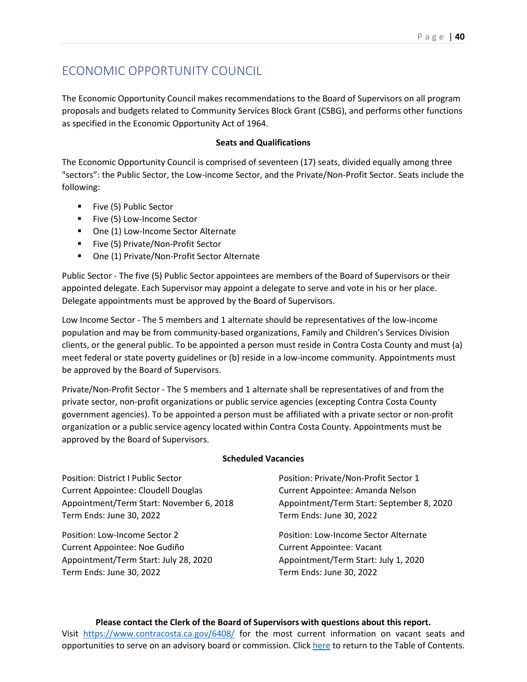## ECONOMIC OPPORTUNITY COUNCIL

The Economic Opportunity Council makes recommendations to the Board of Supervisors on all program proposals and budgets related to Community Services Block Grant (CSBG), and performs other functions as specified in the Economic Opportunity Act of 1964.

#### **Seats and Qualifications**

The Economic Opportunity Council is comprised of seventeen (17) seats, divided equally among three "sectors": the Public Sector, the Low-income Sector, and the Private/Non-Profit Sector. Seats include the following:

- Five (5) Public Sector
- Five (5) Low-Income Sector
- One (1) Low-Income Sector Alternate
- Five (5) Private/Non-Profit Sector
- One (1) Private/Non-Profit Sector Alternate

Public Sector - The five (5) Public Sector appointees are members of the Board of Supervisors or their appointed delegate. Each Supervisor may appoint a delegate to serve and vote in his or her place. Delegate appointments must be approved by the Board of Supervisors.

Low Income Sector - The 5 members and 1 alternate should be representatives of the low-income population and may be from community-based organizations, Family and Children's Services Division clients, or the general public. To be appointed a person must reside in Contra Costa County and must (a) meet federal or state poverty guidelines or (b) reside in a low-income community. Appointments must be approved by the Board of Supervisors.

Private/Non-Profit Sector - The 5 members and 1 alternate shall be representatives of and from the private sector, non-profit organizations or public service agencies (excepting Contra Costa County government agencies). To be appointed a person must be affiliated with a private sector or non-profit organization or a public service agency located within Contra Costa County. Appointments must be approved by the Board of Supervisors.

#### **Scheduled Vacancies**

Position: District I Public Sector Current Appointee: Cloudell Douglas Appointment/Term Start: November 6, 2018 Term Ends: June 30, 2022

Position: Low-Income Sector 2 Current Appointee: Noe Gudiño Appointment/Term Start: July 28, 2020 Term Ends: June 30, 2022

Position: Private/Non-Profit Sector 1 Current Appointee: Amanda Nelson Appointment/Term Start: September 8, 2020 Term Ends: June 30, 2022

Position: Low-Income Sector Alternate Current Appointee: Vacant Appointment/Term Start: July 1, 2020 Term Ends: June 30, 2022

#### **Please contact the Clerk of the Board of Supervisors with questions about this report.**

Visit <https://www.contracosta.ca.gov/6408/> for the most current information on vacant seats and opportunities to serve on an advisory board or commission. Clic[k here](#page-2-0) to return to the Table of Contents.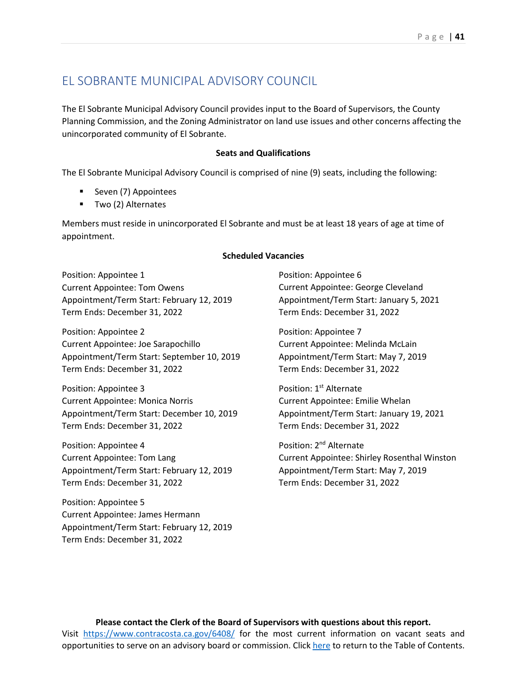### EL SOBRANTE MUNICIPAL ADVISORY COUNCIL

The El Sobrante Municipal Advisory Council provides input to the Board of Supervisors, the County Planning Commission, and the Zoning Administrator on land use issues and other concerns affecting the unincorporated community of El Sobrante.

#### **Seats and Qualifications**

The El Sobrante Municipal Advisory Council is comprised of nine (9) seats, including the following:

- **Seven (7) Appointees**
- **Two (2) Alternates**

Members must reside in unincorporated El Sobrante and must be at least 18 years of age at time of appointment.

#### **Scheduled Vacancies**

Position: Appointee 1 Current Appointee: Tom Owens Appointment/Term Start: February 12, 2019 Term Ends: December 31, 2022

Position: Appointee 2 Current Appointee: Joe Sarapochillo Appointment/Term Start: September 10, 2019 Term Ends: December 31, 2022

Position: Appointee 3 Current Appointee: Monica Norris Appointment/Term Start: December 10, 2019 Term Ends: December 31, 2022

Position: Appointee 4 Current Appointee: Tom Lang Appointment/Term Start: February 12, 2019 Term Ends: December 31, 2022

Position: Appointee 5 Current Appointee: James Hermann Appointment/Term Start: February 12, 2019 Term Ends: December 31, 2022

Position: Appointee 6 Current Appointee: George Cleveland Appointment/Term Start: January 5, 2021 Term Ends: December 31, 2022

Position: Appointee 7 Current Appointee: Melinda McLain Appointment/Term Start: May 7, 2019 Term Ends: December 31, 2022

Position: 1<sup>st</sup> Alternate Current Appointee: Emilie Whelan Appointment/Term Start: January 19, 2021 Term Ends: December 31, 2022

Position: 2nd Alternate Current Appointee: Shirley Rosenthal Winston Appointment/Term Start: May 7, 2019 Term Ends: December 31, 2022

**Please contact the Clerk of the Board of Supervisors with questions about this report.** Visit <https://www.contracosta.ca.gov/6408/> for the most current information on vacant seats and opportunities to serve on an advisory board or commission. Clic[k here](#page-2-0) to return to the Table of Contents.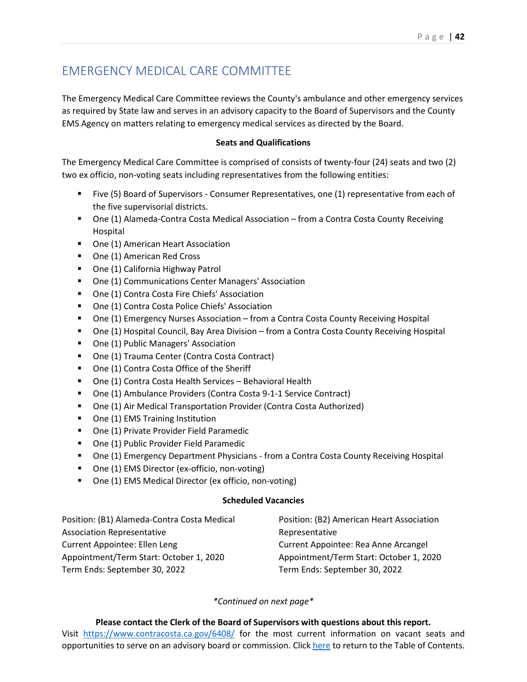## EMERGENCY MEDICAL CARE COMMITTEE

The Emergency Medical Care Committee reviews the County's ambulance and other emergency services as required by State law and serves in an advisory capacity to the Board of Supervisors and the County EMS Agency on matters relating to emergency medical services as directed by the Board.

#### **Seats and Qualifications**

The Emergency Medical Care Committee is comprised of consists of twenty-four (24) seats and two (2) two ex officio, non-voting seats including representatives from the following entities:

- Five (5) Board of Supervisors Consumer Representatives, one (1) representative from each of the five supervisorial districts.
- One (1) Alameda-Contra Costa Medical Association from a Contra Costa County Receiving Hospital
- One (1) American Heart Association
- One (1) American Red Cross
- **•** One (1) California Highway Patrol
- **One (1) Communications Center Managers' Association**
- **•** One (1) Contra Costa Fire Chiefs' Association
- One (1) Contra Costa Police Chiefs' Association
- One (1) Emergency Nurses Association from a Contra Costa County Receiving Hospital
- One (1) Hospital Council, Bay Area Division from a Contra Costa County Receiving Hospital
- One (1) Public Managers' Association
- One (1) Trauma Center (Contra Costa Contract)
- One (1) Contra Costa Office of the Sheriff
- One (1) Contra Costa Health Services Behavioral Health
- One (1) Ambulance Providers (Contra Costa 9-1-1 Service Contract)
- One (1) Air Medical Transportation Provider (Contra Costa Authorized)
- One (1) EMS Training Institution
- **One (1) Private Provider Field Paramedic**
- One (1) Public Provider Field Paramedic
- One (1) Emergency Department Physicians from a Contra Costa County Receiving Hospital
- One (1) EMS Director (ex-officio, non-voting)
- One (1) EMS Medical Director (ex officio, non-voting)

#### **Scheduled Vacancies**

Position: (B1) Alameda-Contra Costa Medical Association Representative Current Appointee: Ellen Leng Appointment/Term Start: October 1, 2020 Term Ends: September 30, 2022 Position: (B2) American Heart Association Representative Current Appointee: Rea Anne Arcangel Appointment/Term Start: October 1, 2020 Term Ends: September 30, 2022

*\*Continued on next page\**

**Please contact the Clerk of the Board of Supervisors with questions about this report.** Visit <https://www.contracosta.ca.gov/6408/> for the most current information on vacant seats and opportunities to serve on an advisory board or commission. Clic[k here](#page-2-0) to return to the Table of Contents.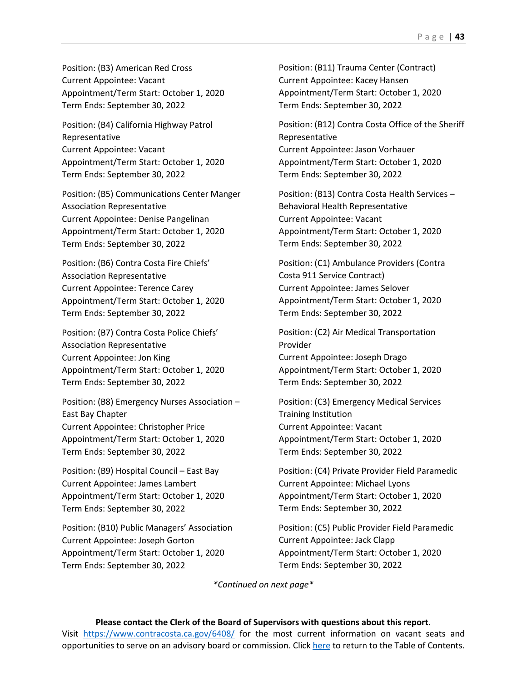Position: (B3) American Red Cross Current Appointee: Vacant Appointment/Term Start: October 1, 2020 Term Ends: September 30, 2022

Position: (B4) California Highway Patrol Representative Current Appointee: Vacant Appointment/Term Start: October 1, 2020 Term Ends: September 30, 2022

Position: (B5) Communications Center Manger Association Representative Current Appointee: Denise Pangelinan Appointment/Term Start: October 1, 2020 Term Ends: September 30, 2022

Position: (B6) Contra Costa Fire Chiefs' Association Representative Current Appointee: Terence Carey Appointment/Term Start: October 1, 2020 Term Ends: September 30, 2022

Position: (B7) Contra Costa Police Chiefs' Association Representative Current Appointee: Jon King Appointment/Term Start: October 1, 2020 Term Ends: September 30, 2022

Position: (B8) Emergency Nurses Association – East Bay Chapter Current Appointee: Christopher Price Appointment/Term Start: October 1, 2020 Term Ends: September 30, 2022

Position: (B9) Hospital Council – East Bay Current Appointee: James Lambert Appointment/Term Start: October 1, 2020 Term Ends: September 30, 2022

Position: (B10) Public Managers' Association Current Appointee: Joseph Gorton Appointment/Term Start: October 1, 2020 Term Ends: September 30, 2022

Position: (B11) Trauma Center (Contract) Current Appointee: Kacey Hansen Appointment/Term Start: October 1, 2020 Term Ends: September 30, 2022

Position: (B12) Contra Costa Office of the Sheriff Representative Current Appointee: Jason Vorhauer Appointment/Term Start: October 1, 2020 Term Ends: September 30, 2022

Position: (B13) Contra Costa Health Services – Behavioral Health Representative Current Appointee: Vacant Appointment/Term Start: October 1, 2020 Term Ends: September 30, 2022

Position: (C1) Ambulance Providers (Contra Costa 911 Service Contract) Current Appointee: James Selover Appointment/Term Start: October 1, 2020 Term Ends: September 30, 2022

Position: (C2) Air Medical Transportation Provider Current Appointee: Joseph Drago Appointment/Term Start: October 1, 2020 Term Ends: September 30, 2022

Position: (C3) Emergency Medical Services Training Institution Current Appointee: Vacant Appointment/Term Start: October 1, 2020 Term Ends: September 30, 2022

Position: (C4) Private Provider Field Paramedic Current Appointee: Michael Lyons Appointment/Term Start: October 1, 2020 Term Ends: September 30, 2022

Position: (C5) Public Provider Field Paramedic Current Appointee: Jack Clapp Appointment/Term Start: October 1, 2020 Term Ends: September 30, 2022

*\*Continued on next page\**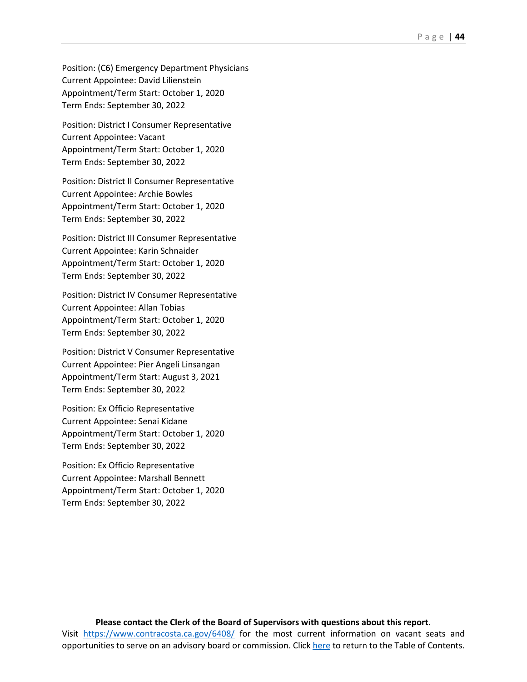Position: (C6) Emergency Department Physicians Current Appointee: David Lilienstein Appointment/Term Start: October 1, 2020 Term Ends: September 30, 2022

Position: District I Consumer Representative Current Appointee: Vacant Appointment/Term Start: October 1, 2020 Term Ends: September 30, 2022

Position: District II Consumer Representative Current Appointee: Archie Bowles Appointment/Term Start: October 1, 2020 Term Ends: September 30, 2022

Position: District III Consumer Representative Current Appointee: Karin Schnaider Appointment/Term Start: October 1, 2020 Term Ends: September 30, 2022

Position: District IV Consumer Representative Current Appointee: Allan Tobias Appointment/Term Start: October 1, 2020 Term Ends: September 30, 2022

Position: District V Consumer Representative Current Appointee: Pier Angeli Linsangan Appointment/Term Start: August 3, 2021 Term Ends: September 30, 2022

Position: Ex Officio Representative Current Appointee: Senai Kidane Appointment/Term Start: October 1, 2020 Term Ends: September 30, 2022

Position: Ex Officio Representative Current Appointee: Marshall Bennett Appointment/Term Start: October 1, 2020 Term Ends: September 30, 2022

#### **Please contact the Clerk of the Board of Supervisors with questions about this report.** Visit <https://www.contracosta.ca.gov/6408/> for the most current information on vacant seats and opportunities to serve on an advisory board or commission. Clic[k here](#page-2-0) to return to the Table of Contents.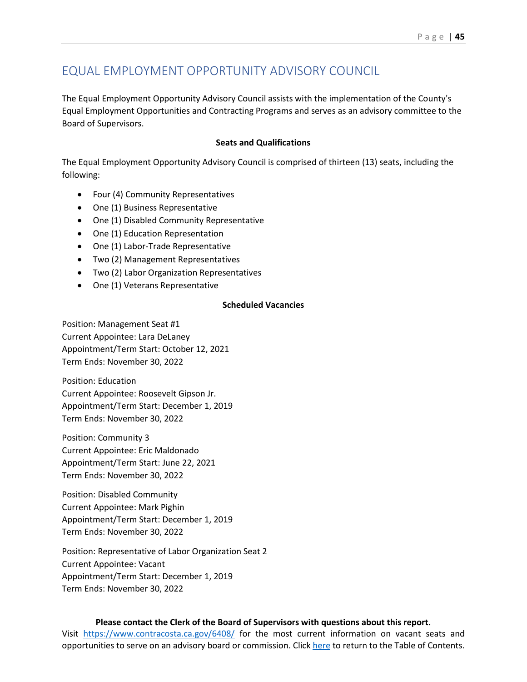## EQUAL EMPLOYMENT OPPORTUNITY ADVISORY COUNCIL

The Equal Employment Opportunity Advisory Council assists with the implementation of the County's Equal Employment Opportunities and Contracting Programs and serves as an advisory committee to the Board of Supervisors.

#### **Seats and Qualifications**

The Equal Employment Opportunity Advisory Council is comprised of thirteen (13) seats, including the following:

- Four (4) Community Representatives
- One (1) Business Representative
- One (1) Disabled Community Representative
- One (1) Education Representation
- One (1) Labor-Trade Representative
- Two (2) Management Representatives
- Two (2) Labor Organization Representatives
- One (1) Veterans Representative

#### **Scheduled Vacancies**

Position: Management Seat #1 Current Appointee: Lara DeLaney Appointment/Term Start: October 12, 2021 Term Ends: November 30, 2022

Position: Education Current Appointee: Roosevelt Gipson Jr. Appointment/Term Start: December 1, 2019 Term Ends: November 30, 2022

Position: Community 3 Current Appointee: Eric Maldonado Appointment/Term Start: June 22, 2021 Term Ends: November 30, 2022

Position: Disabled Community Current Appointee: Mark Pighin Appointment/Term Start: December 1, 2019 Term Ends: November 30, 2022

Position: Representative of Labor Organization Seat 2 Current Appointee: Vacant Appointment/Term Start: December 1, 2019 Term Ends: November 30, 2022

#### **Please contact the Clerk of the Board of Supervisors with questions about this report.**

Visit <https://www.contracosta.ca.gov/6408/> for the most current information on vacant seats and opportunities to serve on an advisory board or commission. Clic[k here](#page-2-0) to return to the Table of Contents.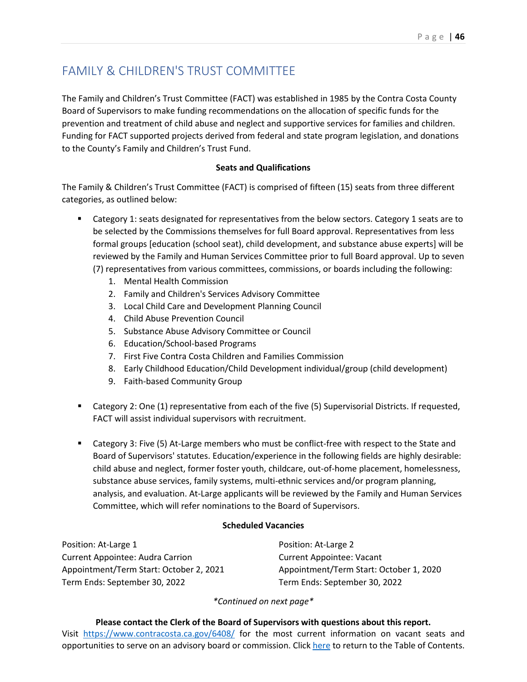## FAMILY & CHILDREN'S TRUST COMMITTEE

The Family and Children's Trust Committee (FACT) was established in 1985 by the Contra Costa County Board of Supervisors to make funding recommendations on the allocation of specific funds for the prevention and treatment of child abuse and neglect and supportive services for families and children. Funding for FACT supported projects derived from federal and state program legislation, and donations to the County's Family and Children's Trust Fund.

#### **Seats and Qualifications**

The Family & Children's Trust Committee (FACT) is comprised of fifteen (15) seats from three different categories, as outlined below:

- Category 1: seats designated for representatives from the below sectors. Category 1 seats are to be selected by the Commissions themselves for full Board approval. Representatives from less formal groups [education (school seat), child development, and substance abuse experts] will be reviewed by the Family and Human Services Committee prior to full Board approval. Up to seven (7) representatives from various committees, commissions, or boards including the following:
	- 1. Mental Health Commission
	- 2. Family and Children's Services Advisory Committee
	- 3. Local Child Care and Development Planning Council
	- 4. Child Abuse Prevention Council
	- 5. Substance Abuse Advisory Committee or Council
	- 6. Education/School-based Programs
	- 7. First Five Contra Costa Children and Families Commission
	- 8. Early Childhood Education/Child Development individual/group (child development)
	- 9. Faith-based Community Group
- Category 2: One (1) representative from each of the five (5) Supervisorial Districts. If requested, FACT will assist individual supervisors with recruitment.
- **EXTED 2018 12 At-Large members who must be conflict-free with respect to the State and 1** Board of Supervisors' statutes. Education/experience in the following fields are highly desirable: child abuse and neglect, former foster youth, childcare, out-of-home placement, homelessness, substance abuse services, family systems, multi-ethnic services and/or program planning, analysis, and evaluation. At-Large applicants will be reviewed by the Family and Human Services Committee, which will refer nominations to the Board of Supervisors.

#### **Scheduled Vacancies**

Position: At-Large 1 Current Appointee: Audra Carrion Appointment/Term Start: October 2, 2021 Term Ends: September 30, 2022

Position: At-Large 2 Current Appointee: Vacant Appointment/Term Start: October 1, 2020 Term Ends: September 30, 2022

*\*Continued on next page\**

**Please contact the Clerk of the Board of Supervisors with questions about this report.** Visit <https://www.contracosta.ca.gov/6408/> for the most current information on vacant seats and opportunities to serve on an advisory board or commission. Clic[k here](#page-2-0) to return to the Table of Contents.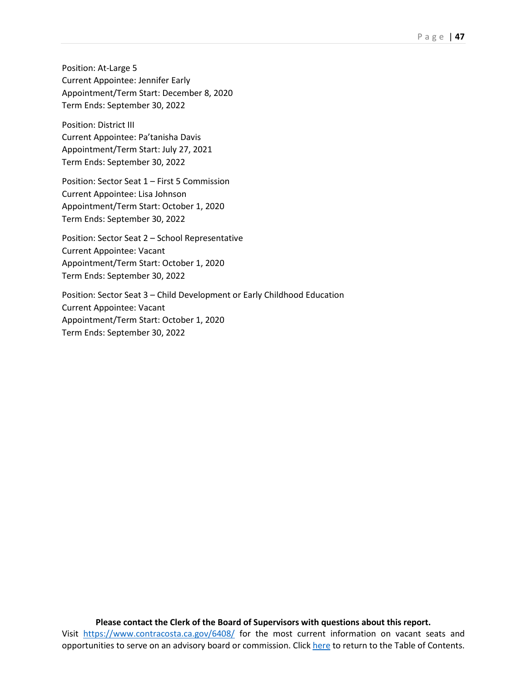Position: At-Large 5 Current Appointee: Jennifer Early Appointment/Term Start: December 8, 2020 Term Ends: September 30, 2022

Position: District III Current Appointee: Pa'tanisha Davis Appointment/Term Start: July 27, 2021 Term Ends: September 30, 2022

Position: Sector Seat 1 – First 5 Commission Current Appointee: Lisa Johnson Appointment/Term Start: October 1, 2020 Term Ends: September 30, 2022

Position: Sector Seat 2 – School Representative Current Appointee: Vacant Appointment/Term Start: October 1, 2020 Term Ends: September 30, 2022

Position: Sector Seat 3 – Child Development or Early Childhood Education Current Appointee: Vacant Appointment/Term Start: October 1, 2020 Term Ends: September 30, 2022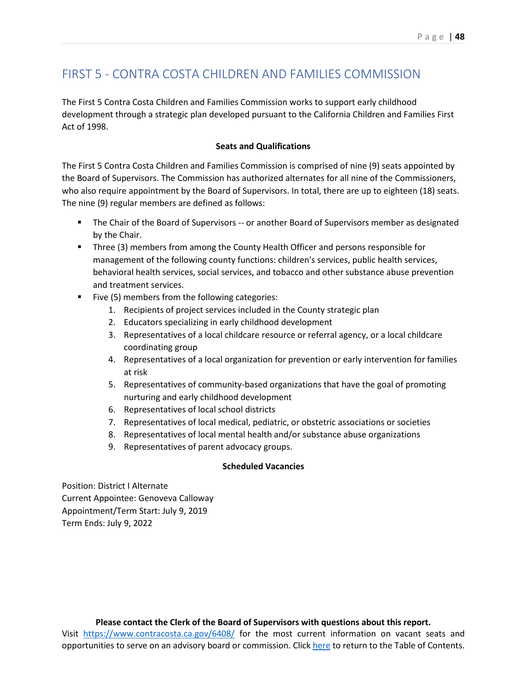## FIRST 5 - CONTRA COSTA CHILDREN AND FAMILIES COMMISSION

The First 5 Contra Costa Children and Families Commission works to support early childhood development through a strategic plan developed pursuant to the California Children and Families First Act of 1998.

#### **Seats and Qualifications**

The First 5 Contra Costa Children and Families Commission is comprised of nine (9) seats appointed by the Board of Supervisors. The Commission has authorized alternates for all nine of the Commissioners, who also require appointment by the Board of Supervisors. In total, there are up to eighteen (18) seats. The nine (9) regular members are defined as follows:

- **The Chair of the Board of Supervisors -- or another Board of Supervisors member as designated** by the Chair.
- Three (3) members from among the County Health Officer and persons responsible for management of the following county functions: children's services, public health services, behavioral health services, social services, and tobacco and other substance abuse prevention and treatment services.
- Five (5) members from the following categories:
	- 1. Recipients of project services included in the County strategic plan
	- 2. Educators specializing in early childhood development
	- 3. Representatives of a local childcare resource or referral agency, or a local childcare coordinating group
	- 4. Representatives of a local organization for prevention or early intervention for families at risk
	- 5. Representatives of community-based organizations that have the goal of promoting nurturing and early childhood development
	- 6. Representatives of local school districts
	- 7. Representatives of local medical, pediatric, or obstetric associations or societies
	- 8. Representatives of local mental health and/or substance abuse organizations
	- 9. Representatives of parent advocacy groups.

#### **Scheduled Vacancies**

Position: District I Alternate Current Appointee: Genoveva Calloway Appointment/Term Start: July 9, 2019 Term Ends: July 9, 2022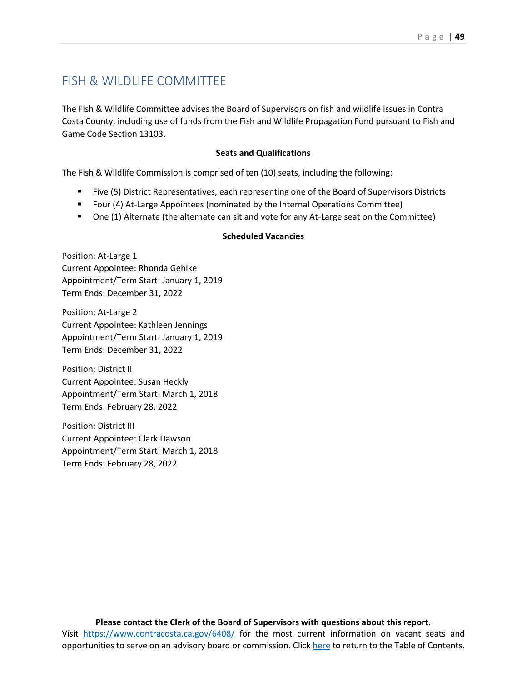## FISH & WILDLIFE COMMITTEE

The Fish & Wildlife Committee advises the Board of Supervisors on fish and wildlife issues in Contra Costa County, including use of funds from the Fish and Wildlife Propagation Fund pursuant to Fish and Game Code Section 13103.

#### **Seats and Qualifications**

The Fish & Wildlife Commission is comprised of ten (10) seats, including the following:

- Five (5) District Representatives, each representing one of the Board of Supervisors Districts
- Four (4) At-Large Appointees (nominated by the Internal Operations Committee)
- **One (1) Alternate (the alternate can sit and vote for any At-Large seat on the Committee)**

#### **Scheduled Vacancies**

Position: At-Large 1 Current Appointee: Rhonda Gehlke Appointment/Term Start: January 1, 2019 Term Ends: December 31, 2022

Position: At-Large 2 Current Appointee: Kathleen Jennings Appointment/Term Start: January 1, 2019 Term Ends: December 31, 2022

Position: District II Current Appointee: Susan Heckly Appointment/Term Start: March 1, 2018 Term Ends: February 28, 2022

Position: District III Current Appointee: Clark Dawson Appointment/Term Start: March 1, 2018 Term Ends: February 28, 2022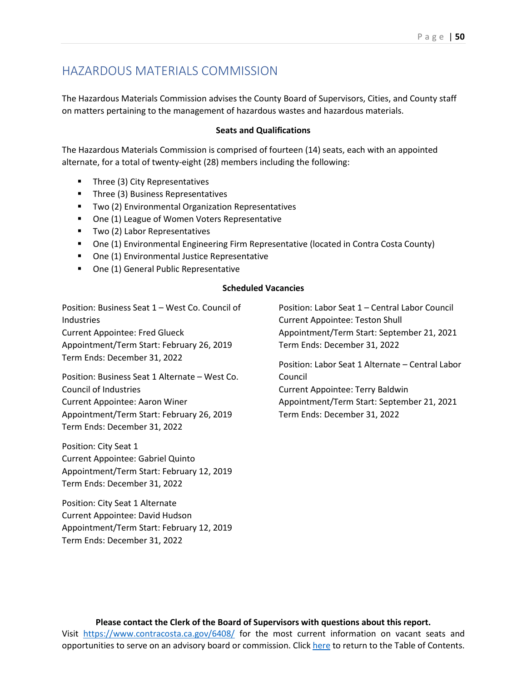## HAZARDOUS MATERIALS COMMISSION

The Hazardous Materials Commission advises the County Board of Supervisors, Cities, and County staff on matters pertaining to the management of hazardous wastes and hazardous materials.

#### **Seats and Qualifications**

The Hazardous Materials Commission is comprised of fourteen (14) seats, each with an appointed alternate, for a total of twenty-eight (28) members including the following:

- Three (3) City Representatives
- **Three (3) Business Representatives**
- **TWO (2) Environmental Organization Representatives**
- One (1) League of Women Voters Representative
- **Two (2) Labor Representatives**
- One (1) Environmental Engineering Firm Representative (located in Contra Costa County)
- One (1) Environmental Justice Representative
- **One (1) General Public Representative**

#### **Scheduled Vacancies**

Position: Business Seat 1 – West Co. Council of **Industries** Current Appointee: Fred Glueck Appointment/Term Start: February 26, 2019 Term Ends: December 31, 2022

Position: Business Seat 1 Alternate – West Co. Council of Industries Current Appointee: Aaron Winer Appointment/Term Start: February 26, 2019 Term Ends: December 31, 2022

Position: City Seat 1 Current Appointee: Gabriel Quinto Appointment/Term Start: February 12, 2019 Term Ends: December 31, 2022

Position: City Seat 1 Alternate Current Appointee: David Hudson Appointment/Term Start: February 12, 2019 Term Ends: December 31, 2022

Position: Labor Seat 1 – Central Labor Council Current Appointee: Teston Shull Appointment/Term Start: September 21, 2021 Term Ends: December 31, 2022

Position: Labor Seat 1 Alternate – Central Labor Council Current Appointee: Terry Baldwin Appointment/Term Start: September 21, 2021

Term Ends: December 31, 2022

**Please contact the Clerk of the Board of Supervisors with questions about this report.** Visit <https://www.contracosta.ca.gov/6408/> for the most current information on vacant seats and opportunities to serve on an advisory board or commission. Clic[k here](#page-2-0) to return to the Table of Contents.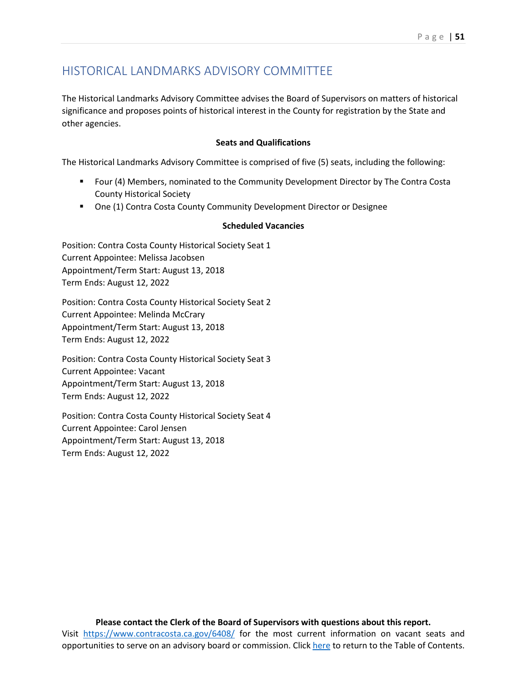## HISTORICAL LANDMARKS ADVISORY COMMITTEE

The Historical Landmarks Advisory Committee advises the Board of Supervisors on matters of historical significance and proposes points of historical interest in the County for registration by the State and other agencies.

#### **Seats and Qualifications**

The Historical Landmarks Advisory Committee is comprised of five (5) seats, including the following:

- Four (4) Members, nominated to the Community Development Director by The Contra Costa County Historical Society
- One (1) Contra Costa County Community Development Director or Designee

#### **Scheduled Vacancies**

Position: Contra Costa County Historical Society Seat 1 Current Appointee: Melissa Jacobsen Appointment/Term Start: August 13, 2018 Term Ends: August 12, 2022

Position: Contra Costa County Historical Society Seat 2 Current Appointee: Melinda McCrary Appointment/Term Start: August 13, 2018 Term Ends: August 12, 2022

Position: Contra Costa County Historical Society Seat 3 Current Appointee: Vacant Appointment/Term Start: August 13, 2018 Term Ends: August 12, 2022

Position: Contra Costa County Historical Society Seat 4 Current Appointee: Carol Jensen Appointment/Term Start: August 13, 2018 Term Ends: August 12, 2022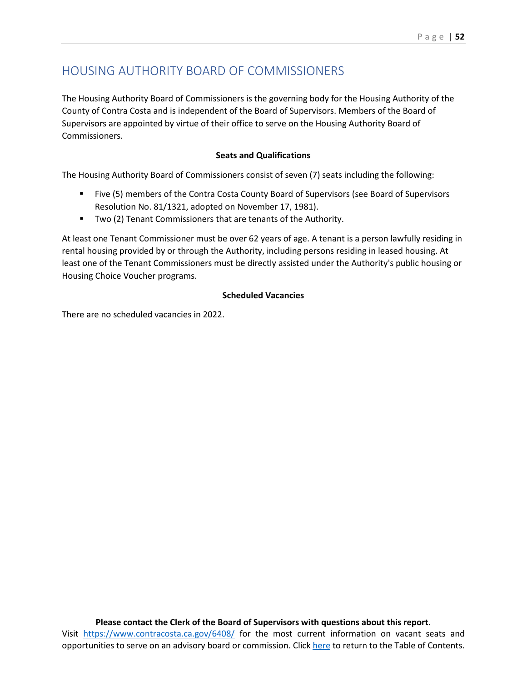## HOUSING AUTHORITY BOARD OF COMMISSIONERS

The Housing Authority Board of Commissioners is the governing body for the Housing Authority of the County of Contra Costa and is independent of the Board of Supervisors. Members of the Board of Supervisors are appointed by virtue of their office to serve on the Housing Authority Board of Commissioners.

#### **Seats and Qualifications**

The Housing Authority Board of Commissioners consist of seven (7) seats including the following:

- Five (5) members of the Contra Costa County Board of Supervisors (see Board of Supervisors Resolution No. 81/1321, adopted on November 17, 1981).
- **TWO (2) Tenant Commissioners that are tenants of the Authority.**

At least one Tenant Commissioner must be over 62 years of age. A tenant is a person lawfully residing in rental housing provided by or through the Authority, including persons residing in leased housing. At least one of the Tenant Commissioners must be directly assisted under the Authority's public housing or Housing Choice Voucher programs.

#### **Scheduled Vacancies**

There are no scheduled vacancies in 2022.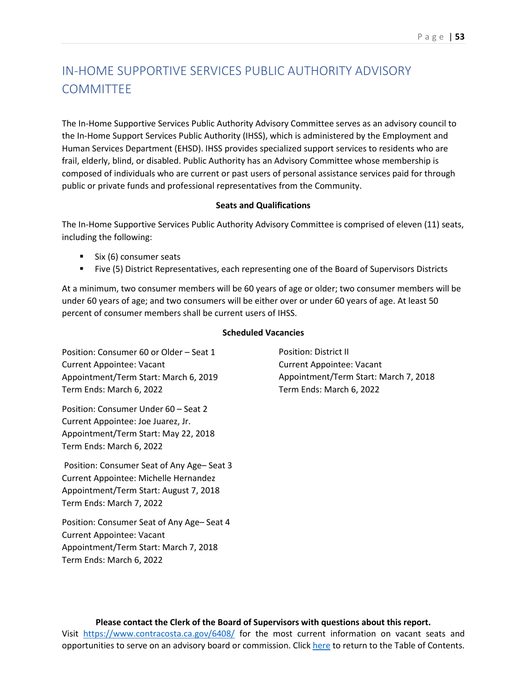# IN-HOME SUPPORTIVE SERVICES PUBLIC AUTHORITY ADVISORY **COMMITTEE**

The In-Home Supportive Services Public Authority Advisory Committee serves as an advisory council to the In-Home Support Services Public Authority (IHSS), which is administered by the Employment and Human Services Department (EHSD). IHSS provides specialized support services to residents who are frail, elderly, blind, or disabled. Public Authority has an Advisory Committee whose membership is composed of individuals who are current or past users of personal assistance services paid for through public or private funds and professional representatives from the Community.

#### **Seats and Qualifications**

The In-Home Supportive Services Public Authority Advisory Committee is comprised of eleven (11) seats, including the following:

- $\blacksquare$  Six (6) consumer seats
- Five (5) District Representatives, each representing one of the Board of Supervisors Districts

At a minimum, two consumer members will be 60 years of age or older; two consumer members will be under 60 years of age; and two consumers will be either over or under 60 years of age. At least 50 percent of consumer members shall be current users of IHSS.

#### **Scheduled Vacancies**

Position: Consumer 60 or Older – Seat 1 Current Appointee: Vacant Appointment/Term Start: March 6, 2019 Term Ends: March 6, 2022

Position: Consumer Under 60 – Seat 2 Current Appointee: Joe Juarez, Jr. Appointment/Term Start: May 22, 2018 Term Ends: March 6, 2022

Position: Consumer Seat of Any Age– Seat 3 Current Appointee: Michelle Hernandez Appointment/Term Start: August 7, 2018 Term Ends: March 7, 2022

Position: Consumer Seat of Any Age– Seat 4 Current Appointee: Vacant Appointment/Term Start: March 7, 2018 Term Ends: March 6, 2022

Position: District II Current Appointee: Vacant Appointment/Term Start: March 7, 2018 Term Ends: March 6, 2022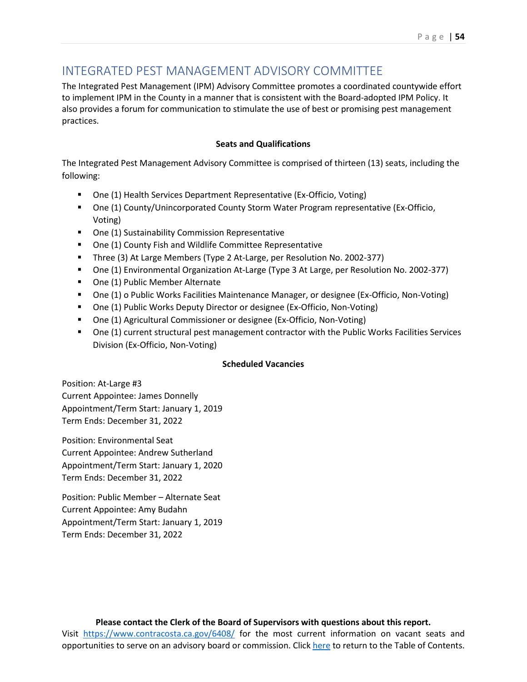## INTEGRATED PEST MANAGEMENT ADVISORY COMMITTEE

The Integrated Pest Management (IPM) Advisory Committee promotes a coordinated countywide effort to implement IPM in the County in a manner that is consistent with the Board-adopted IPM Policy. It also provides a forum for communication to stimulate the use of best or promising pest management practices.

#### **Seats and Qualifications**

The Integrated Pest Management Advisory Committee is comprised of thirteen (13) seats, including the following:

- One (1) Health Services Department Representative (Ex-Officio, Voting)
- One (1) County/Unincorporated County Storm Water Program representative (Ex-Officio, Voting)
- One (1) Sustainability Commission Representative
- One (1) County Fish and Wildlife Committee Representative
- Three (3) At Large Members (Type 2 At-Large, per Resolution No. 2002-377)
- One (1) Environmental Organization At-Large (Type 3 At Large, per Resolution No. 2002-377)
- One (1) Public Member Alternate
- One (1) o Public Works Facilities Maintenance Manager, or designee (Ex-Officio, Non-Voting)
- One (1) Public Works Deputy Director or designee (Ex-Officio, Non-Voting)
- One (1) Agricultural Commissioner or designee (Ex-Officio, Non-Voting)
- One (1) current structural pest management contractor with the Public Works Facilities Services Division (Ex-Officio, Non-Voting)

#### **Scheduled Vacancies**

Position: At-Large #3 Current Appointee: James Donnelly Appointment/Term Start: January 1, 2019 Term Ends: December 31, 2022

Position: Environmental Seat Current Appointee: Andrew Sutherland Appointment/Term Start: January 1, 2020 Term Ends: December 31, 2022

Position: Public Member – Alternate Seat Current Appointee: Amy Budahn Appointment/Term Start: January 1, 2019 Term Ends: December 31, 2022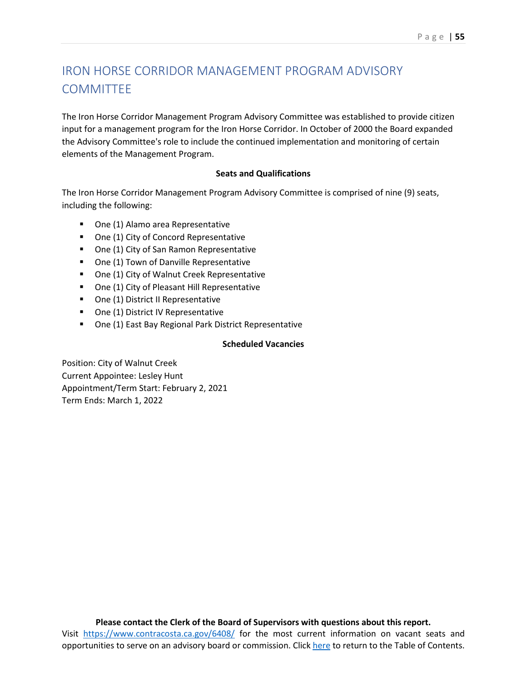## IRON HORSE CORRIDOR MANAGEMENT PROGRAM ADVISORY **COMMITTEE**

The Iron Horse Corridor Management Program Advisory Committee was established to provide citizen input for a management program for the Iron Horse Corridor. In October of 2000 the Board expanded the Advisory Committee's role to include the continued implementation and monitoring of certain elements of the Management Program.

#### **Seats and Qualifications**

The Iron Horse Corridor Management Program Advisory Committee is comprised of nine (9) seats, including the following:

- One (1) Alamo area Representative
- One (1) City of Concord Representative
- One (1) City of San Ramon Representative
- One (1) Town of Danville Representative
- One (1) City of Walnut Creek Representative
- One (1) City of Pleasant Hill Representative
- One (1) District II Representative
- One (1) District IV Representative
- One (1) East Bay Regional Park District Representative

#### **Scheduled Vacancies**

Position: City of Walnut Creek Current Appointee: Lesley Hunt Appointment/Term Start: February 2, 2021 Term Ends: March 1, 2022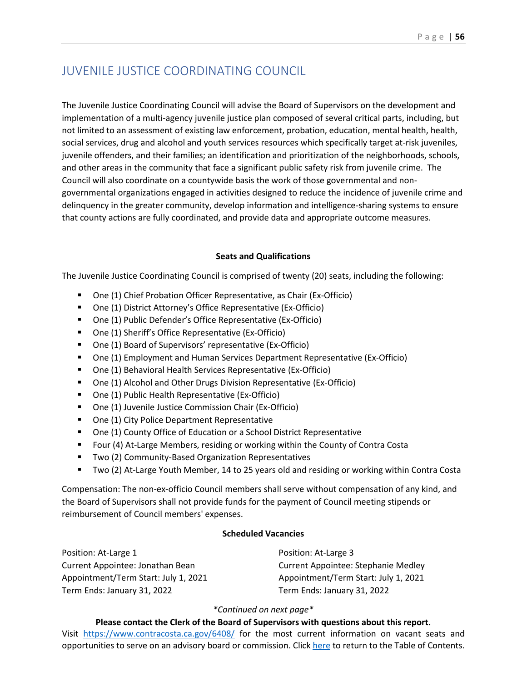## JUVENILE JUSTICE COORDINATING COUNCIL

The Juvenile Justice Coordinating Council will advise the Board of Supervisors on the development and implementation of a multi-agency juvenile justice plan composed of several critical parts, including, but not limited to an assessment of existing law enforcement, probation, education, mental health, health, social services, drug and alcohol and youth services resources which specifically target at-risk juveniles, juvenile offenders, and their families; an identification and prioritization of the neighborhoods, schools, and other areas in the community that face a significant public safety risk from juvenile crime. The Council will also coordinate on a countywide basis the work of those governmental and nongovernmental organizations engaged in activities designed to reduce the incidence of juvenile crime and delinquency in the greater community, develop information and intelligence-sharing systems to ensure that county actions are fully coordinated, and provide data and appropriate outcome measures.

#### **Seats and Qualifications**

The Juvenile Justice Coordinating Council is comprised of twenty (20) seats, including the following:

- One (1) Chief Probation Officer Representative, as Chair (Ex-Officio)
- One (1) District Attorney's Office Representative (Ex-Officio)
- One (1) Public Defender's Office Representative (Ex-Officio)
- One (1) Sheriff's Office Representative (Ex-Officio)
- One (1) Board of Supervisors' representative (Ex-Officio)
- One (1) Employment and Human Services Department Representative (Ex-Officio)
- One (1) Behavioral Health Services Representative (Ex-Officio)
- One (1) Alcohol and Other Drugs Division Representative (Ex-Officio)
- One (1) Public Health Representative (Ex-Officio)
- One (1) Juvenile Justice Commission Chair (Ex-Officio)
- One (1) City Police Department Representative
- One (1) County Office of Education or a School District Representative
- **Figure 1** Four (4) At-Large Members, residing or working within the County of Contra Costa
- Two (2) Community-Based Organization Representatives
- **TWO (2) At-Large Youth Member, 14 to 25 years old and residing or working within Contra Costa**

Compensation: The non-ex-officio Council members shall serve without compensation of any kind, and the Board of Supervisors shall not provide funds for the payment of Council meeting stipends or reimbursement of Council members' expenses.

#### **Scheduled Vacancies**

| Position: At-Large 1                 | Position: At-Large 3                 |
|--------------------------------------|--------------------------------------|
| Current Appointee: Jonathan Bean     | Current Appointee: Stephanie Medley  |
| Appointment/Term Start: July 1, 2021 | Appointment/Term Start: July 1, 2021 |
| Term Ends: January 31, 2022          | Term Ends: January 31, 2022          |

#### *\*Continued on next page\**

**Please contact the Clerk of the Board of Supervisors with questions about this report.** Visit <https://www.contracosta.ca.gov/6408/> for the most current information on vacant seats and opportunities to serve on an advisory board or commission. Clic[k here](#page-2-0) to return to the Table of Contents.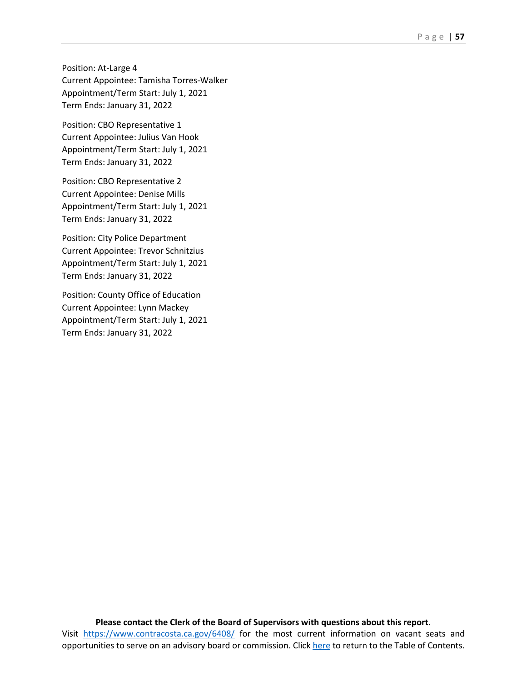Position: At-Large 4 Current Appointee: Tamisha Torres-Walker Appointment/Term Start: July 1, 2021 Term Ends: January 31, 2022

Position: CBO Representative 1 Current Appointee: Julius Van Hook Appointment/Term Start: July 1, 2021 Term Ends: January 31, 2022

Position: CBO Representative 2 Current Appointee: Denise Mills Appointment/Term Start: July 1, 2021 Term Ends: January 31, 2022

Position: City Police Department Current Appointee: Trevor Schnitzius Appointment/Term Start: July 1, 2021 Term Ends: January 31, 2022

Position: County Office of Education Current Appointee: Lynn Mackey Appointment/Term Start: July 1, 2021 Term Ends: January 31, 2022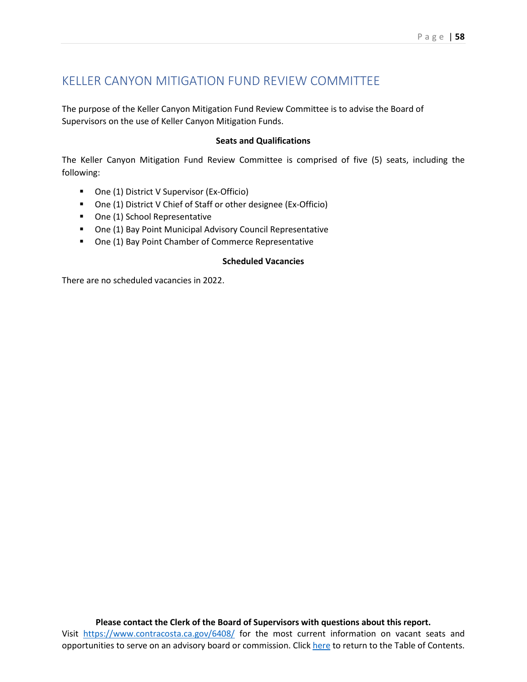## KELLER CANYON MITIGATION FUND REVIEW COMMITTEE

The purpose of the Keller Canyon Mitigation Fund Review Committee is to advise the Board of Supervisors on the use of Keller Canyon Mitigation Funds.

#### **Seats and Qualifications**

The Keller Canyon Mitigation Fund Review Committee is comprised of five (5) seats, including the following:

- One (1) District V Supervisor (Ex-Officio)
- One (1) District V Chief of Staff or other designee (Ex-Officio)
- One (1) School Representative
- One (1) Bay Point Municipal Advisory Council Representative
- One (1) Bay Point Chamber of Commerce Representative

#### **Scheduled Vacancies**

There are no scheduled vacancies in 2022.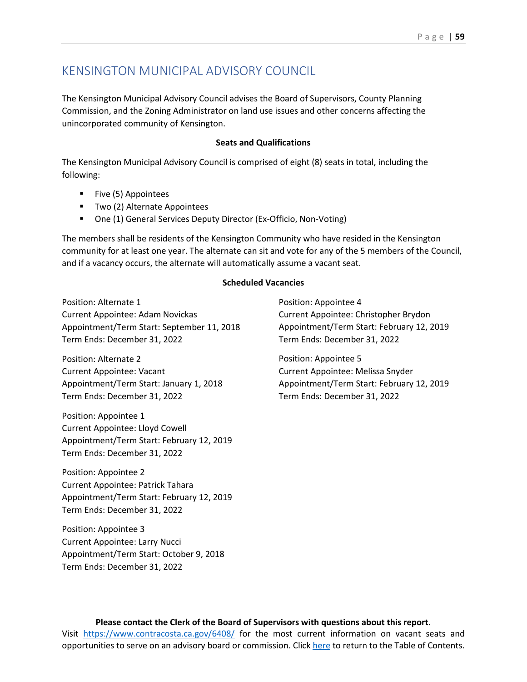### KENSINGTON MUNICIPAL ADVISORY COUNCIL

The Kensington Municipal Advisory Council advises the Board of Supervisors, County Planning Commission, and the Zoning Administrator on land use issues and other concerns affecting the unincorporated community of Kensington.

#### **Seats and Qualifications**

The Kensington Municipal Advisory Council is comprised of eight (8) seats in total, including the following:

- **Five (5) Appointees**
- Two (2) Alternate Appointees
- One (1) General Services Deputy Director (Ex-Officio, Non-Voting)

The members shall be residents of the Kensington Community who have resided in the Kensington community for at least one year. The alternate can sit and vote for any of the 5 members of the Council, and if a vacancy occurs, the alternate will automatically assume a vacant seat.

#### **Scheduled Vacancies**

Position: Alternate 1 Current Appointee: Adam Novickas Appointment/Term Start: September 11, 2018 Term Ends: December 31, 2022

Position: Alternate 2 Current Appointee: Vacant Appointment/Term Start: January 1, 2018 Term Ends: December 31, 2022

Position: Appointee 1 Current Appointee: Lloyd Cowell Appointment/Term Start: February 12, 2019 Term Ends: December 31, 2022

Position: Appointee 2 Current Appointee: Patrick Tahara Appointment/Term Start: February 12, 2019 Term Ends: December 31, 2022

Position: Appointee 3 Current Appointee: Larry Nucci Appointment/Term Start: October 9, 2018 Term Ends: December 31, 2022

Position: Appointee 4 Current Appointee: Christopher Brydon Appointment/Term Start: February 12, 2019 Term Ends: December 31, 2022

Position: Appointee 5 Current Appointee: Melissa Snyder Appointment/Term Start: February 12, 2019 Term Ends: December 31, 2022

**Please contact the Clerk of the Board of Supervisors with questions about this report.** Visit <https://www.contracosta.ca.gov/6408/> for the most current information on vacant seats and opportunities to serve on an advisory board or commission. Clic[k here](#page-2-0) to return to the Table of Contents.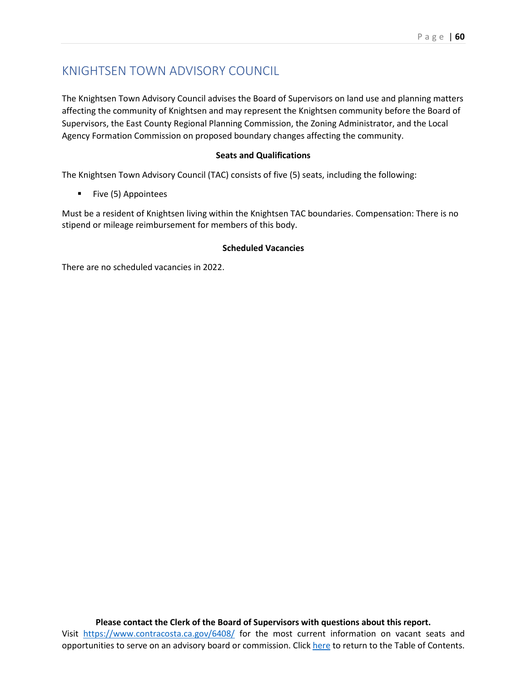## KNIGHTSEN TOWN ADVISORY COUNCIL

The Knightsen Town Advisory Council advises the Board of Supervisors on land use and planning matters affecting the community of Knightsen and may represent the Knightsen community before the Board of Supervisors, the East County Regional Planning Commission, the Zoning Administrator, and the Local Agency Formation Commission on proposed boundary changes affecting the community.

#### **Seats and Qualifications**

The Knightsen Town Advisory Council (TAC) consists of five (5) seats, including the following:

**Five (5) Appointees** 

Must be a resident of Knightsen living within the Knightsen TAC boundaries. Compensation: There is no stipend or mileage reimbursement for members of this body.

#### **Scheduled Vacancies**

There are no scheduled vacancies in 2022.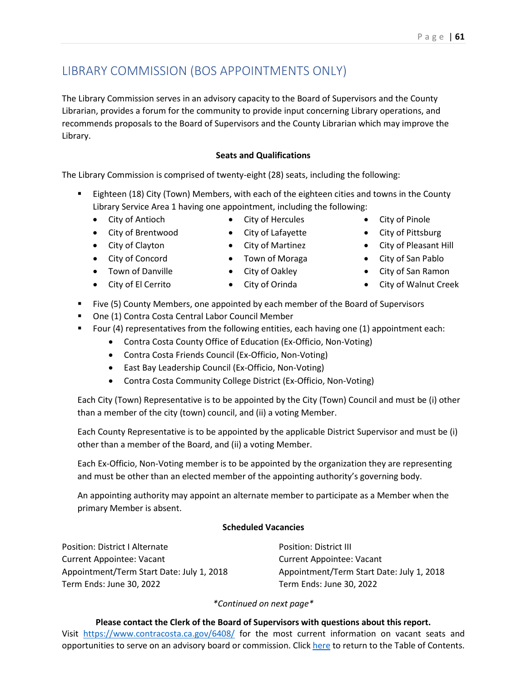# LIBRARY COMMISSION (BOS APPOINTMENTS ONLY)

The Library Commission serves in an advisory capacity to the Board of Supervisors and the County Librarian, provides a forum for the community to provide input concerning Library operations, and recommends proposals to the Board of Supervisors and the County Librarian which may improve the Library.

### **Seats and Qualifications**

The Library Commission is comprised of twenty-eight (28) seats, including the following:

- **Eighteen (18) City (Town) Members, with each of the eighteen cities and towns in the County** Library Service Area 1 having one appointment, including the following:
	- City of Antioch
- City of Hercules
- City of Brentwood
- City of Lafayette • City of Martinez

• Town of Moraga

- City of Clayton
- City of Concord
- Town of Danville • City of El Cerrito
- City of Oakley
- City of Orinda
- Five (5) County Members, one appointed by each member of the Board of Supervisors
- One (1) Contra Costa Central Labor Council Member
- Four (4) representatives from the following entities, each having one  $(1)$  appointment each:
	- Contra Costa County Office of Education (Ex-Officio, Non-Voting)
	- Contra Costa Friends Council (Ex-Officio, Non-Voting)
	- East Bay Leadership Council (Ex-Officio, Non-Voting)
	- Contra Costa Community College District (Ex-Officio, Non-Voting)

Each City (Town) Representative is to be appointed by the City (Town) Council and must be (i) other than a member of the city (town) council, and (ii) a voting Member.

Each County Representative is to be appointed by the applicable District Supervisor and must be (i) other than a member of the Board, and (ii) a voting Member.

Each Ex-Officio, Non-Voting member is to be appointed by the organization they are representing and must be other than an elected member of the appointing authority's governing body.

An appointing authority may appoint an alternate member to participate as a Member when the primary Member is absent.

### **Scheduled Vacancies**

Position: District I Alternate Current Appointee: Vacant Appointment/Term Start Date: July 1, 2018 Term Ends: June 30, 2022

Position: District III Current Appointee: Vacant Appointment/Term Start Date: July 1, 2018 Term Ends: June 30, 2022

*\*Continued on next page\**

**Please contact the Clerk of the Board of Supervisors with questions about this report.** Visit <https://www.contracosta.ca.gov/6408/> for the most current information on vacant seats and opportunities to serve on an advisory board or commission. Clic[k here](#page-2-0) to return to the Table of Contents.

- City of Pinole
- City of Pittsburg
- City of Pleasant Hill
- City of San Pablo
- City of San Ramon
- City of Walnut Creek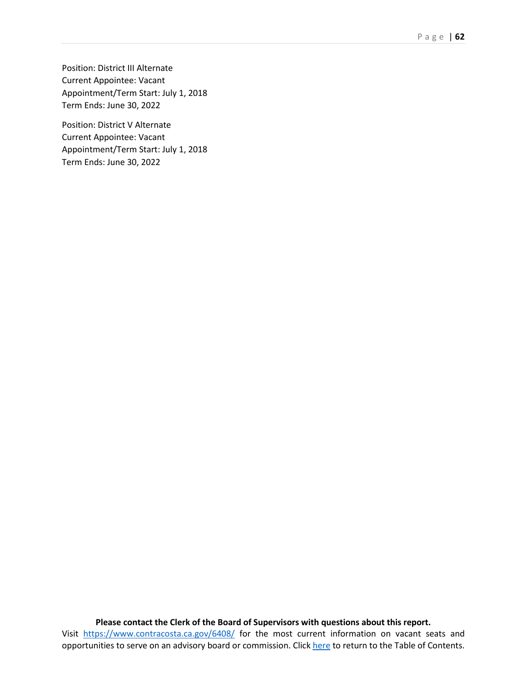Position: District III Alternate Current Appointee: Vacant Appointment/Term Start: July 1, 2018 Term Ends: June 30, 2022

Position: District V Alternate Current Appointee: Vacant Appointment/Term Start: July 1, 2018 Term Ends: June 30, 2022

**Please contact the Clerk of the Board of Supervisors with questions about this report.** Visit <https://www.contracosta.ca.gov/6408/> for the most current information on vacant seats and opportunities to serve on an advisory board or commission. Clic[k here](#page-2-0) to return to the Table of Contents.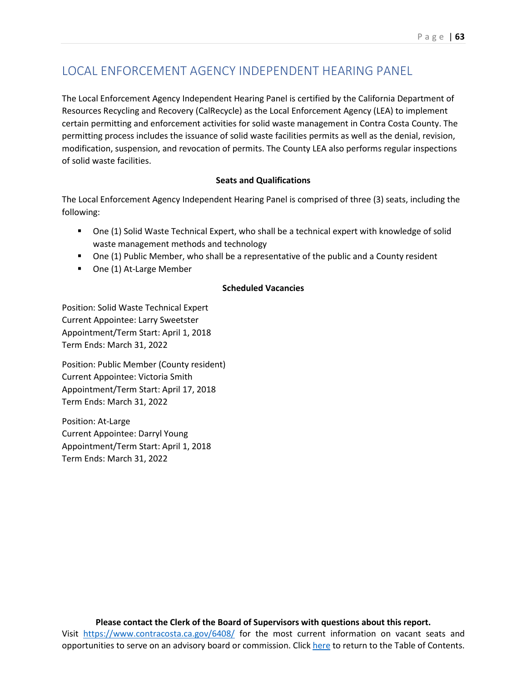## LOCAL ENFORCEMENT AGENCY INDEPENDENT HEARING PANEL

The Local Enforcement Agency Independent Hearing Panel is certified by the California Department of Resources Recycling and Recovery (CalRecycle) as the Local Enforcement Agency (LEA) to implement certain permitting and enforcement activities for solid waste management in Contra Costa County. The permitting process includes the issuance of solid waste facilities permits as well as the denial, revision, modification, suspension, and revocation of permits. The County LEA also performs regular inspections of solid waste facilities.

#### **Seats and Qualifications**

The Local Enforcement Agency Independent Hearing Panel is comprised of three (3) seats, including the following:

- One (1) Solid Waste Technical Expert, who shall be a technical expert with knowledge of solid waste management methods and technology
- One (1) Public Member, who shall be a representative of the public and a County resident
- One (1) At-Large Member

#### **Scheduled Vacancies**

Position: Solid Waste Technical Expert Current Appointee: Larry Sweetster Appointment/Term Start: April 1, 2018 Term Ends: March 31, 2022

Position: Public Member (County resident) Current Appointee: Victoria Smith Appointment/Term Start: April 17, 2018 Term Ends: March 31, 2022

Position: At-Large Current Appointee: Darryl Young Appointment/Term Start: April 1, 2018 Term Ends: March 31, 2022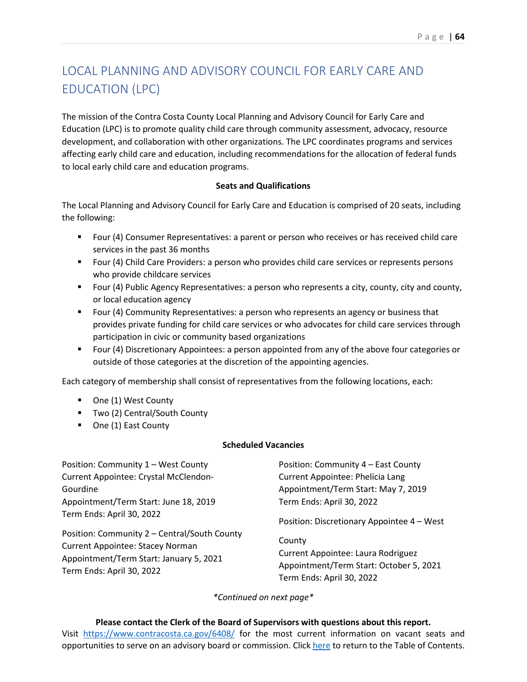# LOCAL PLANNING AND ADVISORY COUNCIL FOR EARLY CARE AND EDUCATION (LPC)

The mission of the Contra Costa County Local Planning and Advisory Council for Early Care and Education (LPC) is to promote quality child care through community assessment, advocacy, resource development, and collaboration with other organizations. The LPC coordinates programs and services affecting early child care and education, including recommendations for the allocation of federal funds to local early child care and education programs.

#### **Seats and Qualifications**

The Local Planning and Advisory Council for Early Care and Education is comprised of 20 seats, including the following:

- Four (4) Consumer Representatives: a parent or person who receives or has received child care services in the past 36 months
- **Figure 1** Four (4) Child Care Providers: a person who provides child care services or represents persons who provide childcare services
- Four (4) Public Agency Representatives: a person who represents a city, county, city and county, or local education agency
- **F** Four (4) Community Representatives: a person who represents an agency or business that provides private funding for child care services or who advocates for child care services through participation in civic or community based organizations
- Four (4) Discretionary Appointees: a person appointed from any of the above four categories or outside of those categories at the discretion of the appointing agencies.

Each category of membership shall consist of representatives from the following locations, each:

- One (1) West County
- Two (2) Central/South County
- One (1) East County

#### **Scheduled Vacancies**

Position: Community 1 – West County Current Appointee: Crystal McClendon-Gourdine Appointment/Term Start: June 18, 2019 Term Ends: April 30, 2022 Position: Community 2 – Central/South County Current Appointee: Stacey Norman Appointment/Term Start: January 5, 2021 Term Ends: April 30, 2022 Position: Community 4 – East County Current Appointee: Phelicia Lang Appointment/Term Start: May 7, 2019 Term Ends: April 30, 2022 Position: Discretionary Appointee 4 – West County Current Appointee: Laura Rodriguez Appointment/Term Start: October 5, 2021 Term Ends: April 30, 2022

*\*Continued on next page\**

#### **Please contact the Clerk of the Board of Supervisors with questions about this report.**

Visit <https://www.contracosta.ca.gov/6408/> for the most current information on vacant seats and opportunities to serve on an advisory board or commission. Clic[k here](#page-2-0) to return to the Table of Contents.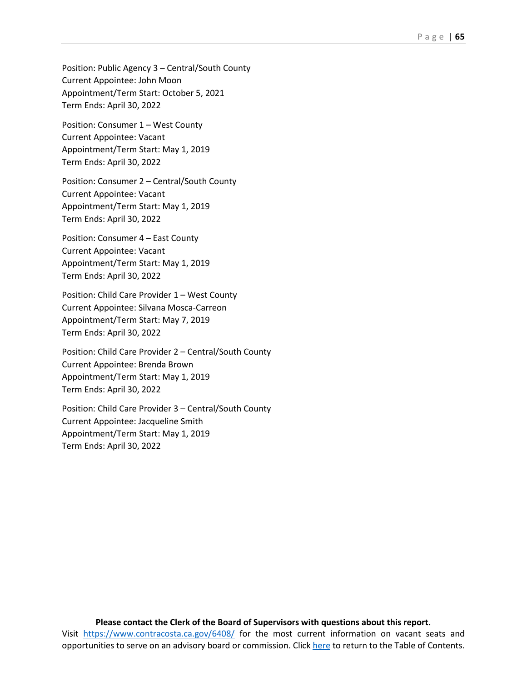Position: Public Agency 3 – Central/South County Current Appointee: John Moon Appointment/Term Start: October 5, 2021 Term Ends: April 30, 2022

Position: Consumer 1 – West County Current Appointee: Vacant Appointment/Term Start: May 1, 2019 Term Ends: April 30, 2022

Position: Consumer 2 – Central/South County Current Appointee: Vacant Appointment/Term Start: May 1, 2019 Term Ends: April 30, 2022

Position: Consumer 4 – East County Current Appointee: Vacant Appointment/Term Start: May 1, 2019 Term Ends: April 30, 2022

Position: Child Care Provider 1 – West County Current Appointee: Silvana Mosca-Carreon Appointment/Term Start: May 7, 2019 Term Ends: April 30, 2022

Position: Child Care Provider 2 – Central/South County Current Appointee: Brenda Brown Appointment/Term Start: May 1, 2019 Term Ends: April 30, 2022

Position: Child Care Provider 3 – Central/South County Current Appointee: Jacqueline Smith Appointment/Term Start: May 1, 2019 Term Ends: April 30, 2022

### **Please contact the Clerk of the Board of Supervisors with questions about this report.** Visit <https://www.contracosta.ca.gov/6408/> for the most current information on vacant seats and

opportunities to serve on an advisory board or commission. Clic[k here](#page-2-0) to return to the Table of Contents.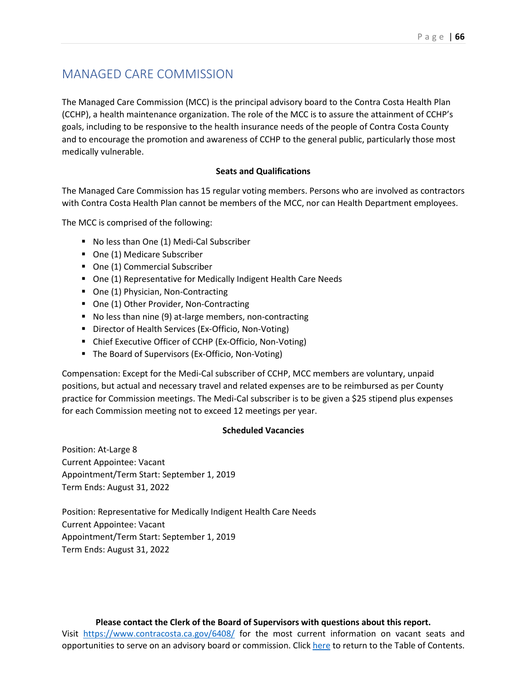## MANAGED CARE COMMISSION

The Managed Care Commission (MCC) is the principal advisory board to the Contra Costa Health Plan (CCHP), a health maintenance organization. The role of the MCC is to assure the attainment of CCHP's goals, including to be responsive to the health insurance needs of the people of Contra Costa County and to encourage the promotion and awareness of CCHP to the general public, particularly those most medically vulnerable.

#### **Seats and Qualifications**

The Managed Care Commission has 15 regular voting members. Persons who are involved as contractors with Contra Costa Health Plan cannot be members of the MCC, nor can Health Department employees.

The MCC is comprised of the following:

- No less than One (1) Medi-Cal Subscriber
- One (1) Medicare Subscriber
- One (1) Commercial Subscriber
- One (1) Representative for Medically Indigent Health Care Needs
- One (1) Physician, Non-Contracting
- One (1) Other Provider, Non-Contracting
- No less than nine (9) at-large members, non-contracting
- Director of Health Services (Ex-Officio, Non-Voting)
- Chief Executive Officer of CCHP (Ex-Officio, Non-Voting)
- The Board of Supervisors (Ex-Officio, Non-Voting)

Compensation: Except for the Medi-Cal subscriber of CCHP, MCC members are voluntary, unpaid positions, but actual and necessary travel and related expenses are to be reimbursed as per County practice for Commission meetings. The Medi-Cal subscriber is to be given a \$25 stipend plus expenses for each Commission meeting not to exceed 12 meetings per year.

#### **Scheduled Vacancies**

Position: At-Large 8 Current Appointee: Vacant Appointment/Term Start: September 1, 2019 Term Ends: August 31, 2022

Position: Representative for Medically Indigent Health Care Needs Current Appointee: Vacant Appointment/Term Start: September 1, 2019 Term Ends: August 31, 2022

#### **Please contact the Clerk of the Board of Supervisors with questions about this report.**

Visit <https://www.contracosta.ca.gov/6408/> for the most current information on vacant seats and opportunities to serve on an advisory board or commission. Clic[k here](#page-2-0) to return to the Table of Contents.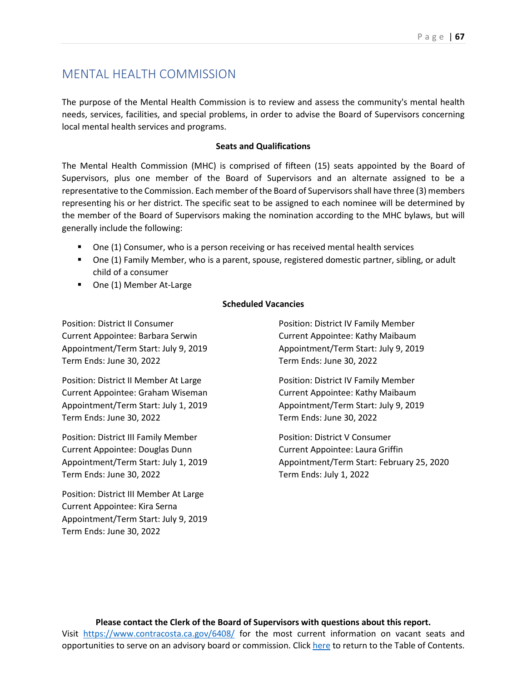## MENTAL HEALTH COMMISSION

The purpose of the Mental Health Commission is to review and assess the community's mental health needs, services, facilities, and special problems, in order to advise the Board of Supervisors concerning local mental health services and programs.

#### **Seats and Qualifications**

The Mental Health Commission (MHC) is comprised of fifteen (15) seats appointed by the Board of Supervisors, plus one member of the Board of Supervisors and an alternate assigned to be a representative to the Commission. Each member of the Board of Supervisors shall have three (3) members representing his or her district. The specific seat to be assigned to each nominee will be determined by the member of the Board of Supervisors making the nomination according to the MHC bylaws, but will generally include the following:

- One (1) Consumer, who is a person receiving or has received mental health services
- **Diamonal Family Member, who is a parent, spouse, registered domestic partner, sibling, or adult 4** child of a consumer
- One (1) Member At-Large

#### **Scheduled Vacancies**

Position: District II Consumer Current Appointee: Barbara Serwin Appointment/Term Start: July 9, 2019 Term Ends: June 30, 2022

Position: District II Member At Large Current Appointee: Graham Wiseman Appointment/Term Start: July 1, 2019 Term Ends: June 30, 2022

Position: District III Family Member Current Appointee: Douglas Dunn Appointment/Term Start: July 1, 2019 Term Ends: June 30, 2022

Position: District III Member At Large Current Appointee: Kira Serna Appointment/Term Start: July 9, 2019 Term Ends: June 30, 2022

Position: District IV Family Member Current Appointee: Kathy Maibaum Appointment/Term Start: July 9, 2019 Term Ends: June 30, 2022

Position: District IV Family Member Current Appointee: Kathy Maibaum Appointment/Term Start: July 9, 2019 Term Ends: June 30, 2022

Position: District V Consumer Current Appointee: Laura Griffin Appointment/Term Start: February 25, 2020 Term Ends: July 1, 2022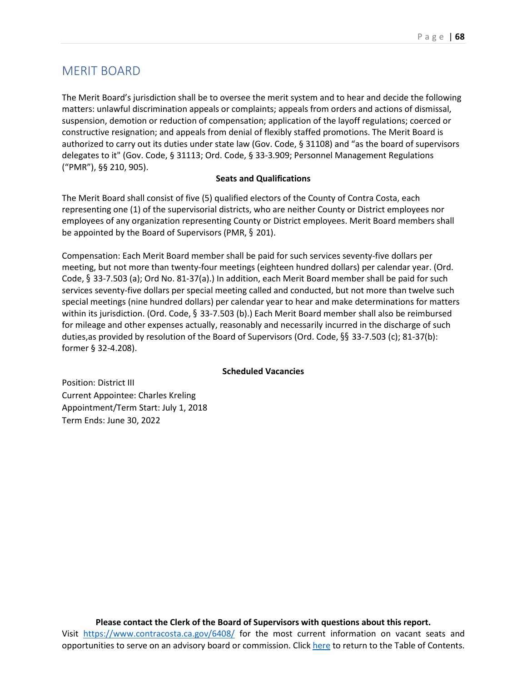### MERIT BOARD

The Merit Board's jurisdiction shall be to oversee the merit system and to hear and decide the following matters: unlawful discrimination appeals or complaints; appeals from orders and actions of dismissal, suspension, demotion or reduction of compensation; application of the layoff regulations; coerced or constructive resignation; and appeals from denial of flexibly staffed promotions. The Merit Board is authorized to carry out its duties under state law (Gov. Code, § 31108) and "as the board of supervisors delegates to it" (Gov. Code, § 31113; Ord. Code, § 33-3.909; Personnel Management Regulations ("PMR"), §§ 210, 905).

#### **Seats and Qualifications**

The Merit Board shall consist of five (5) qualified electors of the County of Contra Costa, each representing one (1) of the supervisorial districts, who are neither County or District employees nor employees of any organization representing County or District employees. Merit Board members shall be appointed by the Board of Supervisors (PMR, § 201).

Compensation: Each Merit Board member shall be paid for such services seventy-five dollars per meeting, but not more than twenty-four meetings (eighteen hundred dollars) per calendar year. (Ord. Code, § 33-7.503 (a); Ord No. 81-37(a).) In addition, each Merit Board member shall be paid for such services seventy-five dollars per special meeting called and conducted, but not more than twelve such special meetings (nine hundred dollars) per calendar year to hear and make determinations for matters within its jurisdiction. (Ord. Code, § 33-7.503 (b).) Each Merit Board member shall also be reimbursed for mileage and other expenses actually, reasonably and necessarily incurred in the discharge of such duties,as provided by resolution of the Board of Supervisors (Ord. Code, §§ 33-7.503 (c); 81-37(b): former § 32-4.208).

#### **Scheduled Vacancies**

Position: District III Current Appointee: Charles Kreling Appointment/Term Start: July 1, 2018 Term Ends: June 30, 2022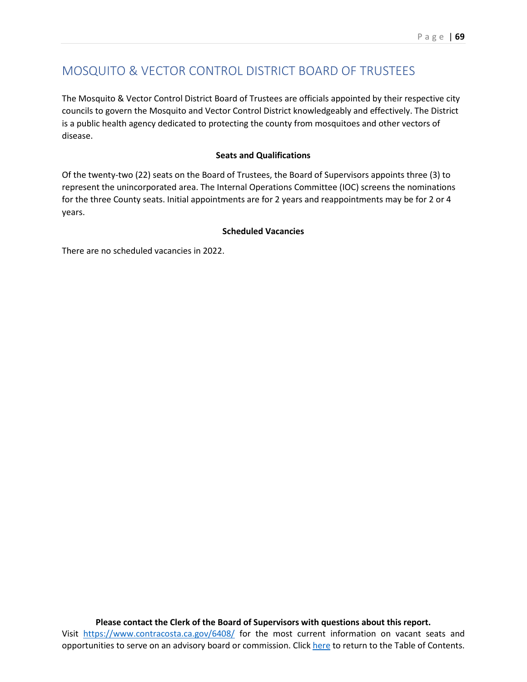## MOSQUITO & VECTOR CONTROL DISTRICT BOARD OF TRUSTEES

The Mosquito & Vector Control District Board of Trustees are officials appointed by their respective city councils to govern the Mosquito and Vector Control District knowledgeably and effectively. The District is a public health agency dedicated to protecting the county from mosquitoes and other vectors of disease.

#### **Seats and Qualifications**

Of the twenty-two (22) seats on the Board of Trustees, the Board of Supervisors appoints three (3) to represent the unincorporated area. The Internal Operations Committee (IOC) screens the nominations for the three County seats. Initial appointments are for 2 years and reappointments may be for 2 or 4 years.

#### **Scheduled Vacancies**

There are no scheduled vacancies in 2022.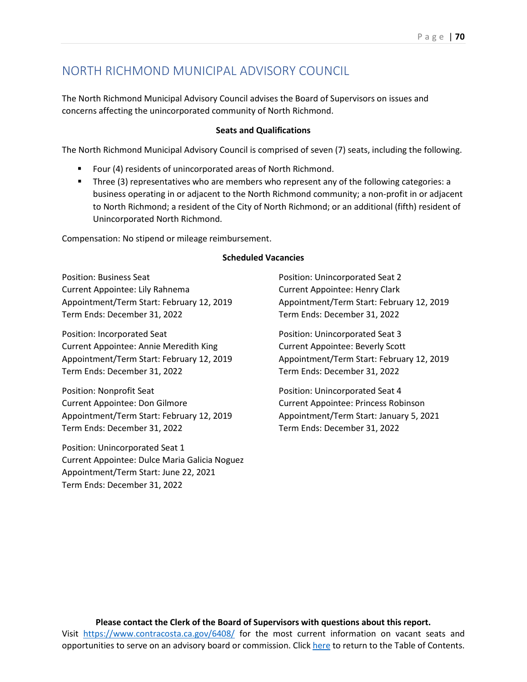## NORTH RICHMOND MUNICIPAL ADVISORY COUNCIL

The North Richmond Municipal Advisory Council advises the Board of Supervisors on issues and concerns affecting the unincorporated community of North Richmond.

#### **Seats and Qualifications**

The North Richmond Municipal Advisory Council is comprised of seven (7) seats, including the following.

- Four (4) residents of unincorporated areas of North Richmond.
- Three (3) representatives who are members who represent any of the following categories: a business operating in or adjacent to the North Richmond community; a non-profit in or adjacent to North Richmond; a resident of the City of North Richmond; or an additional (fifth) resident of Unincorporated North Richmond.

Compensation: No stipend or mileage reimbursement.

#### **Scheduled Vacancies**

Position: Business Seat Current Appointee: Lily Rahnema Appointment/Term Start: February 12, 2019 Term Ends: December 31, 2022

Position: Incorporated Seat Current Appointee: Annie Meredith King Appointment/Term Start: February 12, 2019 Term Ends: December 31, 2022

Position: Nonprofit Seat Current Appointee: Don Gilmore Appointment/Term Start: February 12, 2019 Term Ends: December 31, 2022

Position: Unincorporated Seat 1 Current Appointee: Dulce Maria Galicia Noguez Appointment/Term Start: June 22, 2021 Term Ends: December 31, 2022

Position: Unincorporated Seat 2 Current Appointee: Henry Clark Appointment/Term Start: February 12, 2019 Term Ends: December 31, 2022

Position: Unincorporated Seat 3 Current Appointee: Beverly Scott Appointment/Term Start: February 12, 2019 Term Ends: December 31, 2022

Position: Unincorporated Seat 4 Current Appointee: Princess Robinson Appointment/Term Start: January 5, 2021 Term Ends: December 31, 2022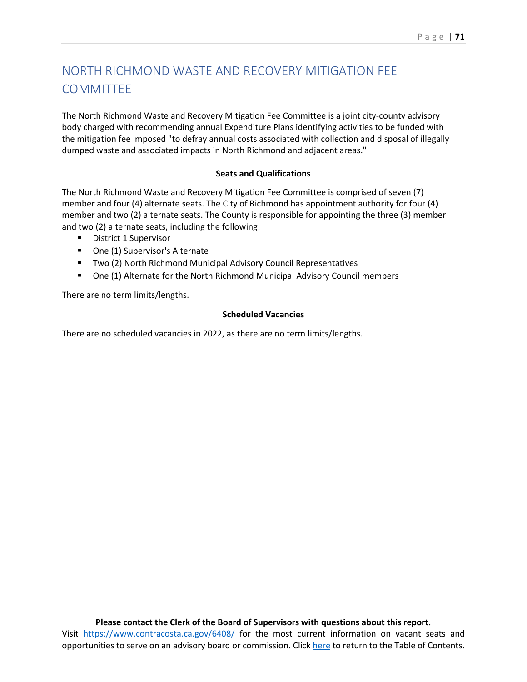# NORTH RICHMOND WASTE AND RECOVERY MITIGATION FEE **COMMITTEE**

The North Richmond Waste and Recovery Mitigation Fee Committee is a joint city-county advisory body charged with recommending annual Expenditure Plans identifying activities to be funded with the mitigation fee imposed "to defray annual costs associated with collection and disposal of illegally dumped waste and associated impacts in North Richmond and adjacent areas."

### **Seats and Qualifications**

The North Richmond Waste and Recovery Mitigation Fee Committee is comprised of seven (7) member and four (4) alternate seats. The City of Richmond has appointment authority for four (4) member and two (2) alternate seats. The County is responsible for appointing the three (3) member and two (2) alternate seats, including the following:

- District 1 Supervisor
- **•** One (1) Supervisor's Alternate
- **TWO (2) North Richmond Municipal Advisory Council Representatives**
- One (1) Alternate for the North Richmond Municipal Advisory Council members

There are no term limits/lengths.

### **Scheduled Vacancies**

There are no scheduled vacancies in 2022, as there are no term limits/lengths.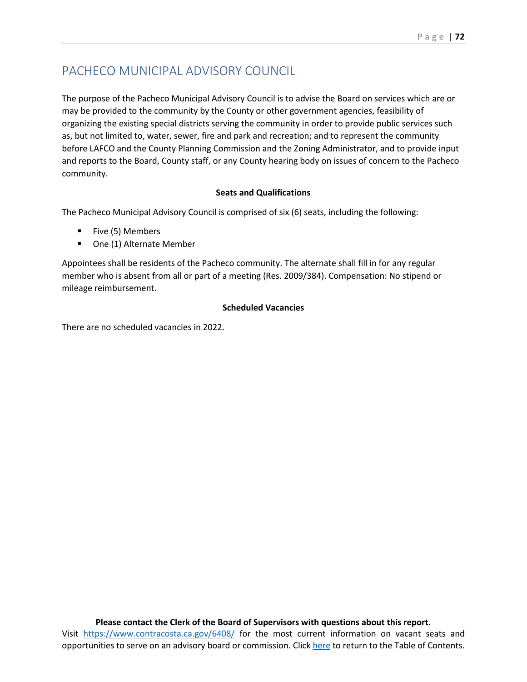## PACHECO MUNICIPAL ADVISORY COUNCIL

The purpose of the Pacheco Municipal Advisory Council is to advise the Board on services which are or may be provided to the community by the County or other government agencies, feasibility of organizing the existing special districts serving the community in order to provide public services such as, but not limited to, water, sewer, fire and park and recreation; and to represent the community before LAFCO and the County Planning Commission and the Zoning Administrator, and to provide input and reports to the Board, County staff, or any County hearing body on issues of concern to the Pacheco community.

### **Seats and Qualifications**

The Pacheco Municipal Advisory Council is comprised of six (6) seats, including the following:

- **Five (5) Members**
- **•** One (1) Alternate Member

Appointees shall be residents of the Pacheco community. The alternate shall fill in for any regular member who is absent from all or part of a meeting (Res. 2009/384). Compensation: No stipend or mileage reimbursement.

### **Scheduled Vacancies**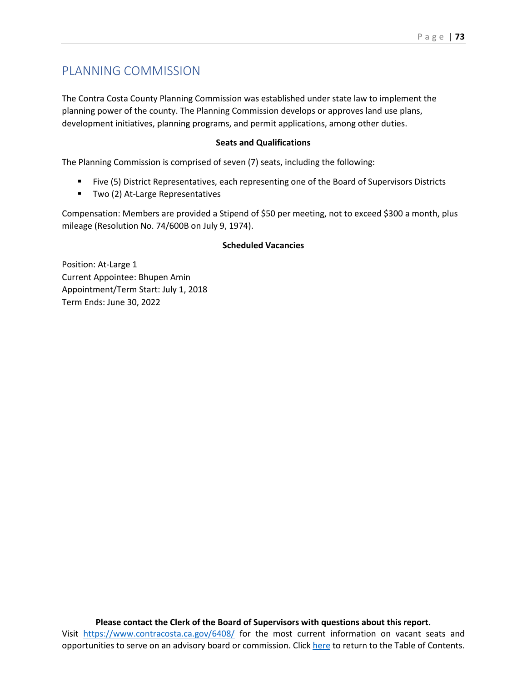### PLANNING COMMISSION

The Contra Costa County Planning Commission was established under state law to implement the planning power of the county. The Planning Commission develops or approves land use plans, development initiatives, planning programs, and permit applications, among other duties.

### **Seats and Qualifications**

The Planning Commission is comprised of seven (7) seats, including the following:

- Five (5) District Representatives, each representing one of the Board of Supervisors Districts
- **Two (2) At-Large Representatives**

Compensation: Members are provided a Stipend of \$50 per meeting, not to exceed \$300 a month, plus mileage (Resolution No. 74/600B on July 9, 1974).

### **Scheduled Vacancies**

Position: At-Large 1 Current Appointee: Bhupen Amin Appointment/Term Start: July 1, 2018 Term Ends: June 30, 2022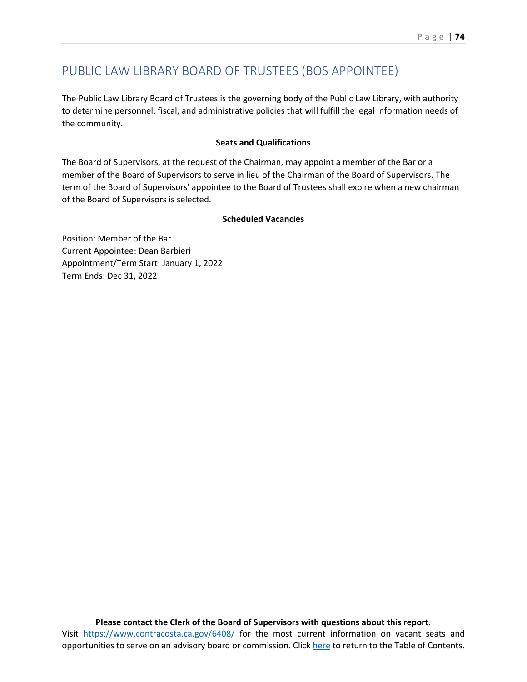### PUBLIC LAW LIBRARY BOARD OF TRUSTEES (BOS APPOINTEE)

The Public Law Library Board of Trustees is the governing body of the Public Law Library, with authority to determine personnel, fiscal, and administrative policies that will fulfill the legal information needs of the community.

### **Seats and Qualifications**

The Board of Supervisors, at the request of the Chairman, may appoint a member of the Bar or a member of the Board of Supervisors to serve in lieu of the Chairman of the Board of Supervisors. The term of the Board of Supervisors' appointee to the Board of Trustees shall expire when a new chairman of the Board of Supervisors is selected.

### **Scheduled Vacancies**

Position: Member of the Bar Current Appointee: Dean Barbieri Appointment/Term Start: January 1, 2022 Term Ends: Dec 31, 2022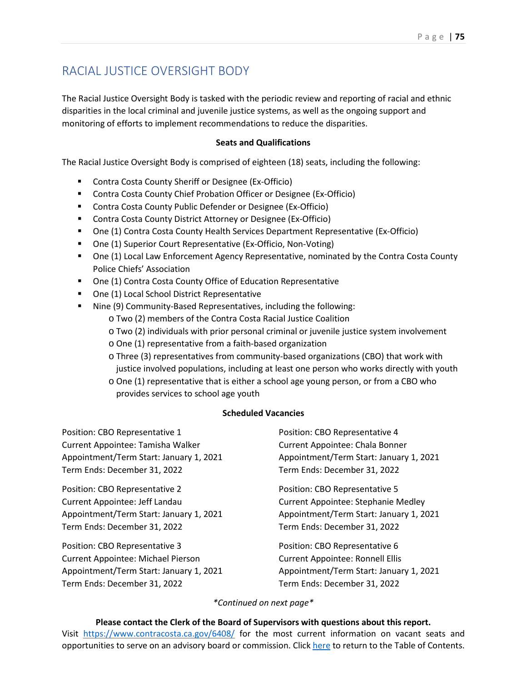### RACIAL JUSTICE OVERSIGHT BODY

The Racial Justice Oversight Body is tasked with the periodic review and reporting of racial and ethnic disparities in the local criminal and juvenile justice systems, as well as the ongoing support and monitoring of efforts to implement recommendations to reduce the disparities.

### **Seats and Qualifications**

The Racial Justice Oversight Body is comprised of eighteen (18) seats, including the following:

- **E** Contra Costa County Sheriff or Designee (Ex-Officio)
- **E** Contra Costa County Chief Probation Officer or Designee (Ex-Officio)
- Contra Costa County Public Defender or Designee (Ex-Officio)
- Contra Costa County District Attorney or Designee (Ex-Officio)
- One (1) Contra Costa County Health Services Department Representative (Ex-Officio)
- One (1) Superior Court Representative (Ex-Officio, Non-Voting)
- One (1) Local Law Enforcement Agency Representative, nominated by the Contra Costa County Police Chiefs' Association
- One (1) Contra Costa County Office of Education Representative
- **One (1) Local School District Representative**
- Nine (9) Community-Based Representatives, including the following:
	- o Two (2) members of the Contra Costa Racial Justice Coalition
	- o Two (2) individuals with prior personal criminal or juvenile justice system involvement
	- o One (1) representative from a faith-based organization
	- o Three (3) representatives from community-based organizations (CBO) that work with justice involved populations, including at least one person who works directly with youth
	- o One (1) representative that is either a school age young person, or from a CBO who provides services to school age youth

### **Scheduled Vacancies**

Position: CBO Representative 1 Current Appointee: Tamisha Walker Appointment/Term Start: January 1, 2021 Term Ends: December 31, 2022

Position: CBO Representative 2 Current Appointee: Jeff Landau Appointment/Term Start: January 1, 2021 Term Ends: December 31, 2022

Position: CBO Representative 3 Current Appointee: Michael Pierson Appointment/Term Start: January 1, 2021 Term Ends: December 31, 2022

Position: CBO Representative 4 Current Appointee: Chala Bonner Appointment/Term Start: January 1, 2021 Term Ends: December 31, 2022

Position: CBO Representative 5 Current Appointee: Stephanie Medley Appointment/Term Start: January 1, 2021 Term Ends: December 31, 2022

Position: CBO Representative 6 Current Appointee: Ronnell Ellis Appointment/Term Start: January 1, 2021 Term Ends: December 31, 2022

*\*Continued on next page\**

**Please contact the Clerk of the Board of Supervisors with questions about this report.** Visit <https://www.contracosta.ca.gov/6408/> for the most current information on vacant seats and

opportunities to serve on an advisory board or commission. Clic[k here](#page-2-0) to return to the Table of Contents.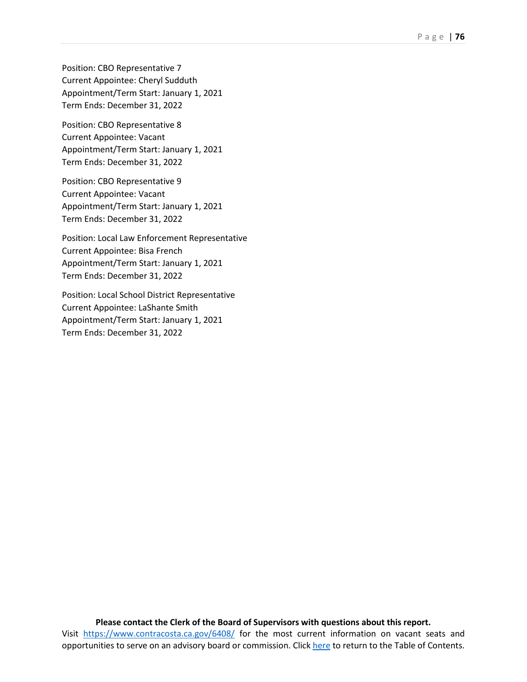Position: CBO Representative 7 Current Appointee: Cheryl Sudduth Appointment/Term Start: January 1, 2021 Term Ends: December 31, 2022

Position: CBO Representative 8 Current Appointee: Vacant Appointment/Term Start: January 1, 2021 Term Ends: December 31, 2022

Position: CBO Representative 9 Current Appointee: Vacant Appointment/Term Start: January 1, 2021 Term Ends: December 31, 2022

Position: Local Law Enforcement Representative Current Appointee: Bisa French Appointment/Term Start: January 1, 2021 Term Ends: December 31, 2022

Position: Local School District Representative Current Appointee: LaShante Smith Appointment/Term Start: January 1, 2021 Term Ends: December 31, 2022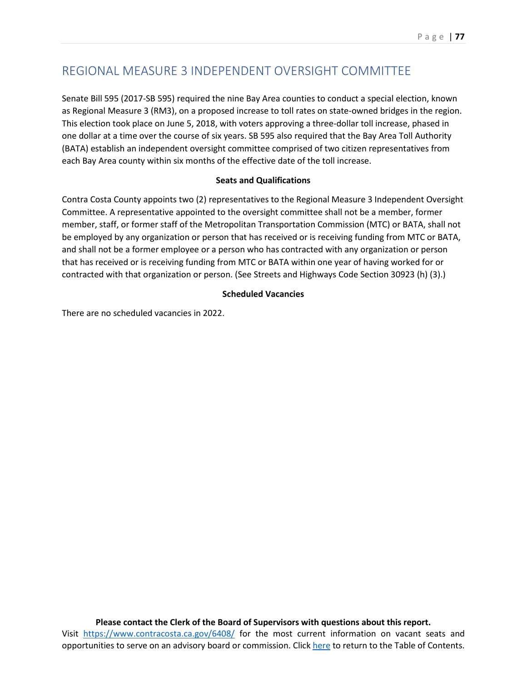## REGIONAL MEASURE 3 INDEPENDENT OVERSIGHT COMMITTEE

Senate Bill 595 (2017-SB 595) required the nine Bay Area counties to conduct a special election, known as Regional Measure 3 (RM3), on a proposed increase to toll rates on state-owned bridges in the region. This election took place on June 5, 2018, with voters approving a three-dollar toll increase, phased in one dollar at a time over the course of six years. SB 595 also required that the Bay Area Toll Authority (BATA) establish an independent oversight committee comprised of two citizen representatives from each Bay Area county within six months of the effective date of the toll increase.

### **Seats and Qualifications**

Contra Costa County appoints two (2) representatives to the Regional Measure 3 Independent Oversight Committee. A representative appointed to the oversight committee shall not be a member, former member, staff, or former staff of the Metropolitan Transportation Commission (MTC) or BATA, shall not be employed by any organization or person that has received or is receiving funding from MTC or BATA, and shall not be a former employee or a person who has contracted with any organization or person that has received or is receiving funding from MTC or BATA within one year of having worked for or contracted with that organization or person. (See Streets and Highways Code Section 30923 (h) (3).)

### **Scheduled Vacancies**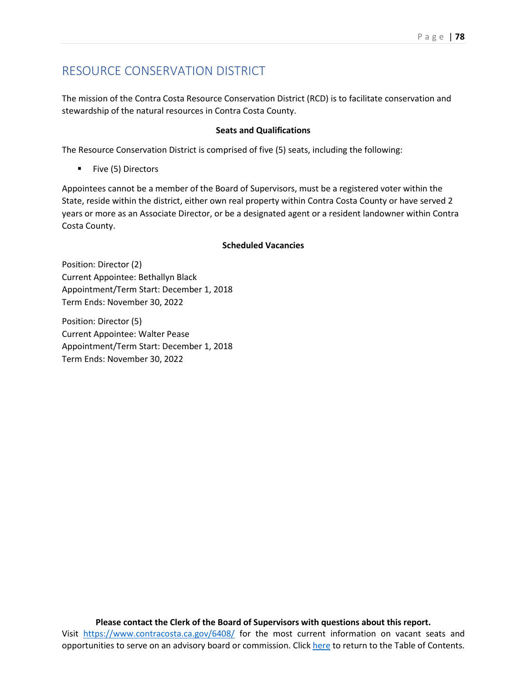## RESOURCE CONSERVATION DISTRICT

The mission of the Contra Costa Resource Conservation District (RCD) is to facilitate conservation and stewardship of the natural resources in Contra Costa County.

### **Seats and Qualifications**

The Resource Conservation District is comprised of five (5) seats, including the following:

**Five (5) Directors** 

Appointees cannot be a member of the Board of Supervisors, must be a registered voter within the State, reside within the district, either own real property within Contra Costa County or have served 2 years or more as an Associate Director, or be a designated agent or a resident landowner within Contra Costa County.

#### **Scheduled Vacancies**

Position: Director (2) Current Appointee: Bethallyn Black Appointment/Term Start: December 1, 2018 Term Ends: November 30, 2022

Position: Director (5) Current Appointee: Walter Pease Appointment/Term Start: December 1, 2018 Term Ends: November 30, 2022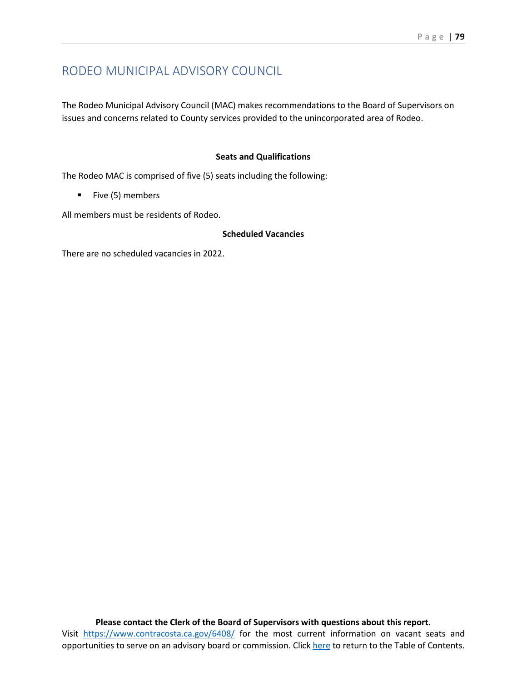### RODEO MUNICIPAL ADVISORY COUNCIL

The Rodeo Municipal Advisory Council (MAC) makes recommendations to the Board of Supervisors on issues and concerns related to County services provided to the unincorporated area of Rodeo.

### **Seats and Qualifications**

The Rodeo MAC is comprised of five (5) seats including the following:

 $\blacksquare$  Five (5) members

All members must be residents of Rodeo.

### **Scheduled Vacancies**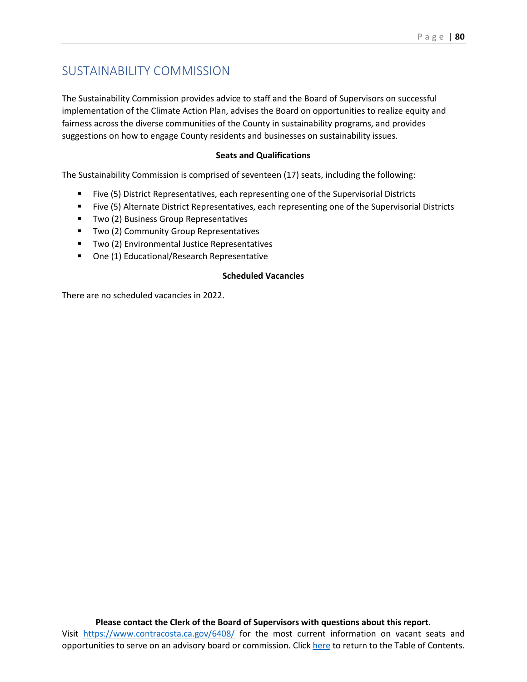### SUSTAINABILITY COMMISSION

The Sustainability Commission provides advice to staff and the Board of Supervisors on successful implementation of the Climate Action Plan, advises the Board on opportunities to realize equity and fairness across the diverse communities of the County in sustainability programs, and provides suggestions on how to engage County residents and businesses on sustainability issues.

#### **Seats and Qualifications**

The Sustainability Commission is comprised of seventeen (17) seats, including the following:

- Five (5) District Representatives, each representing one of the Supervisorial Districts
- Five (5) Alternate District Representatives, each representing one of the Supervisorial Districts
- **Two (2) Business Group Representatives**
- **Two (2) Community Group Representatives**
- **TWO (2) Environmental Justice Representatives**
- One (1) Educational/Research Representative

### **Scheduled Vacancies**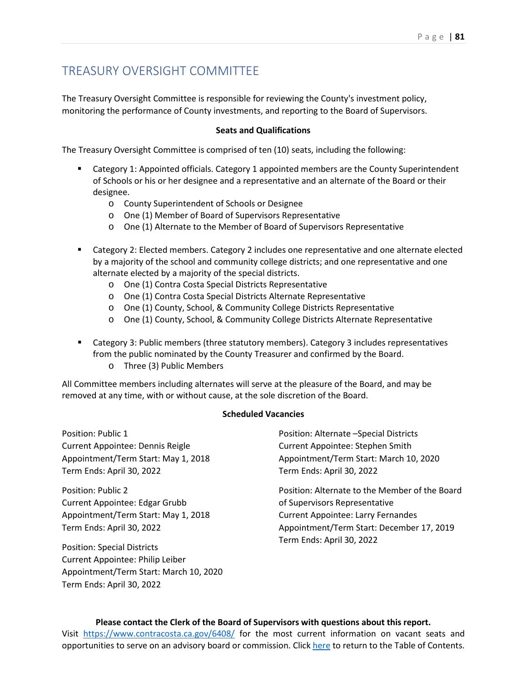### TREASURY OVERSIGHT COMMITTEE

The Treasury Oversight Committee is responsible for reviewing the County's investment policy, monitoring the performance of County investments, and reporting to the Board of Supervisors.

#### **Seats and Qualifications**

The Treasury Oversight Committee is comprised of ten (10) seats, including the following:

- Category 1: Appointed officials. Category 1 appointed members are the County Superintendent of Schools or his or her designee and a representative and an alternate of the Board or their designee.
	- o County Superintendent of Schools or Designee
	- o One (1) Member of Board of Supervisors Representative
	- o One (1) Alternate to the Member of Board of Supervisors Representative
- Category 2: Elected members. Category 2 includes one representative and one alternate elected by a majority of the school and community college districts; and one representative and one alternate elected by a majority of the special districts.
	- o One (1) Contra Costa Special Districts Representative
	- o One (1) Contra Costa Special Districts Alternate Representative
	- o One (1) County, School, & Community College Districts Representative
	- o One (1) County, School, & Community College Districts Alternate Representative
- Category 3: Public members (three statutory members). Category 3 includes representatives from the public nominated by the County Treasurer and confirmed by the Board.
	- o Three (3) Public Members

All Committee members including alternates will serve at the pleasure of the Board, and may be removed at any time, with or without cause, at the sole discretion of the Board.

#### **Scheduled Vacancies**

Position: Public 1 Current Appointee: Dennis Reigle Appointment/Term Start: May 1, 2018 Term Ends: April 30, 2022

Position: Public 2 Current Appointee: Edgar Grubb Appointment/Term Start: May 1, 2018 Term Ends: April 30, 2022

Position: Special Districts Current Appointee: Philip Leiber Appointment/Term Start: March 10, 2020 Term Ends: April 30, 2022

Position: Alternate –Special Districts Current Appointee: Stephen Smith Appointment/Term Start: March 10, 2020 Term Ends: April 30, 2022

Position: Alternate to the Member of the Board of Supervisors Representative Current Appointee: Larry Fernandes Appointment/Term Start: December 17, 2019 Term Ends: April 30, 2022

#### **Please contact the Clerk of the Board of Supervisors with questions about this report.**

Visit <https://www.contracosta.ca.gov/6408/> for the most current information on vacant seats and opportunities to serve on an advisory board or commission. Clic[k here](#page-2-0) to return to the Table of Contents.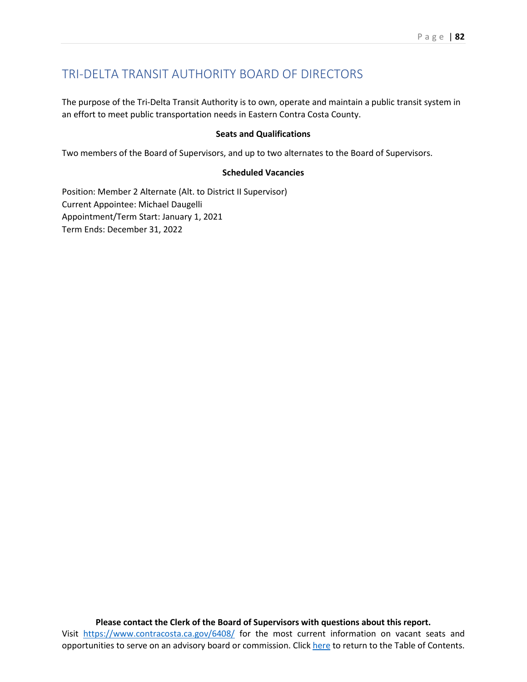### TRI-DELTA TRANSIT AUTHORITY BOARD OF DIRECTORS

The purpose of the Tri-Delta Transit Authority is to own, operate and maintain a public transit system in an effort to meet public transportation needs in Eastern Contra Costa County.

### **Seats and Qualifications**

Two members of the Board of Supervisors, and up to two alternates to the Board of Supervisors.

### **Scheduled Vacancies**

Position: Member 2 Alternate (Alt. to District II Supervisor) Current Appointee: Michael Daugelli Appointment/Term Start: January 1, 2021 Term Ends: December 31, 2022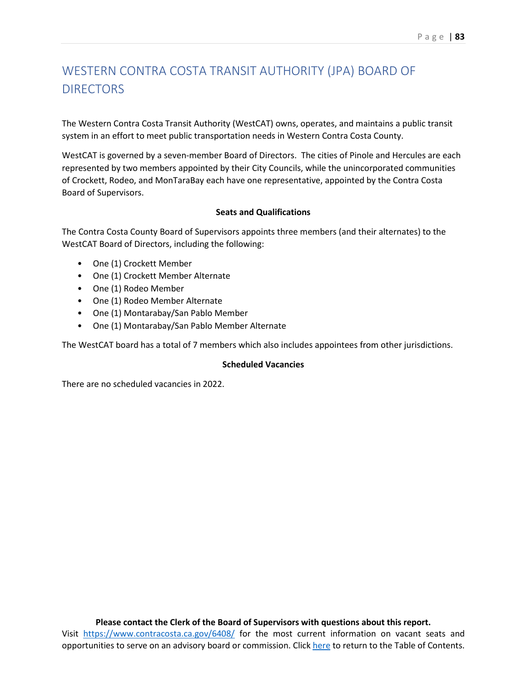# WESTERN CONTRA COSTA TRANSIT AUTHORITY (JPA) BOARD OF **DIRECTORS**

The Western Contra Costa Transit Authority (WestCAT) owns, operates, and maintains a public transit system in an effort to meet public transportation needs in Western Contra Costa County.

WestCAT is governed by a seven-member Board of Directors. The cities of Pinole and Hercules are each represented by two members appointed by their City Councils, while the unincorporated communities of Crockett, Rodeo, and MonTaraBay each have one representative, appointed by the Contra Costa Board of Supervisors.

### **Seats and Qualifications**

The Contra Costa County Board of Supervisors appoints three members (and their alternates) to the WestCAT Board of Directors, including the following:

- One (1) Crockett Member
- One (1) Crockett Member Alternate
- One (1) Rodeo Member
- One (1) Rodeo Member Alternate
- One (1) Montarabay/San Pablo Member
- One (1) Montarabay/San Pablo Member Alternate

The WestCAT board has a total of 7 members which also includes appointees from other jurisdictions.

### **Scheduled Vacancies**